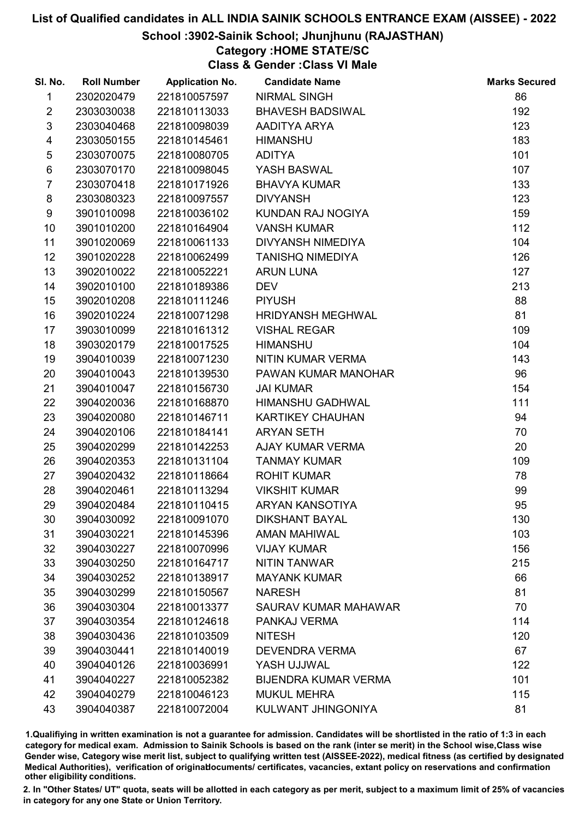### School :3902-Sainik School; Jhunjhunu (RAJASTHAN)

### Category :HOME STATE/SC

Class & Gender :Class VI Male

| SI. No.        | <b>Roll Number</b> | <b>Application No.</b> | <b>Candidate Name</b>       | <b>Marks Secured</b> |
|----------------|--------------------|------------------------|-----------------------------|----------------------|
| 1              | 2302020479         | 221810057597           | <b>NIRMAL SINGH</b>         | 86                   |
| $\overline{2}$ | 2303030038         | 221810113033           | <b>BHAVESH BADSIWAL</b>     | 192                  |
| $\mathfrak{S}$ | 2303040468         | 221810098039           | AADITYA ARYA                | 123                  |
| 4              | 2303050155         | 221810145461           | <b>HIMANSHU</b>             | 183                  |
| $\sqrt{5}$     | 2303070075         | 221810080705           | <b>ADITYA</b>               | 101                  |
| 6              | 2303070170         | 221810098045           | YASH BASWAL                 | 107                  |
| $\overline{7}$ | 2303070418         | 221810171926           | <b>BHAVYA KUMAR</b>         | 133                  |
| 8              | 2303080323         | 221810097557           | <b>DIVYANSH</b>             | 123                  |
| 9              | 3901010098         | 221810036102           | KUNDAN RAJ NOGIYA           | 159                  |
| 10             | 3901010200         | 221810164904           | <b>VANSH KUMAR</b>          | 112                  |
| 11             | 3901020069         | 221810061133           | DIVYANSH NIMEDIYA           | 104                  |
| 12             | 3901020228         | 221810062499           | <b>TANISHQ NIMEDIYA</b>     | 126                  |
| 13             | 3902010022         | 221810052221           | <b>ARUN LUNA</b>            | 127                  |
| 14             | 3902010100         | 221810189386           | <b>DEV</b>                  | 213                  |
| 15             | 3902010208         | 221810111246           | <b>PIYUSH</b>               | 88                   |
| 16             | 3902010224         | 221810071298           | <b>HRIDYANSH MEGHWAL</b>    | 81                   |
| 17             | 3903010099         | 221810161312           | <b>VISHAL REGAR</b>         | 109                  |
| 18             | 3903020179         | 221810017525           | <b>HIMANSHU</b>             | 104                  |
| 19             | 3904010039         | 221810071230           | NITIN KUMAR VERMA           | 143                  |
| 20             | 3904010043         | 221810139530           | PAWAN KUMAR MANOHAR         | 96                   |
| 21             | 3904010047         | 221810156730           | <b>JAI KUMAR</b>            | 154                  |
| 22             | 3904020036         | 221810168870           | <b>HIMANSHU GADHWAL</b>     | 111                  |
| 23             | 3904020080         | 221810146711           | KARTIKEY CHAUHAN            | 94                   |
| 24             | 3904020106         | 221810184141           | <b>ARYAN SETH</b>           | 70                   |
| 25             | 3904020299         | 221810142253           | AJAY KUMAR VERMA            | 20                   |
| 26             | 3904020353         | 221810131104           | <b>TANMAY KUMAR</b>         | 109                  |
| 27             | 3904020432         | 221810118664           | <b>ROHIT KUMAR</b>          | 78                   |
| 28             | 3904020461         | 221810113294           | <b>VIKSHIT KUMAR</b>        | 99                   |
| 29             | 3904020484         | 221810110415           | <b>ARYAN KANSOTIYA</b>      | 95                   |
| 30             | 3904030092         | 221810091070           | <b>DIKSHANT BAYAL</b>       | 130                  |
| 31             | 3904030221         | 221810145396           | <b>AMAN MAHIWAL</b>         | 103                  |
| 32             | 3904030227         | 221810070996           | <b>VIJAY KUMAR</b>          | 156                  |
| 33             | 3904030250         | 221810164717           | <b>NITIN TANWAR</b>         | 215                  |
| 34             | 3904030252         | 221810138917           | <b>MAYANK KUMAR</b>         | 66                   |
| 35             | 3904030299         | 221810150567           | <b>NARESH</b>               | 81                   |
| 36             | 3904030304         | 221810013377           | <b>SAURAV KUMAR MAHAWAR</b> | 70                   |
| 37             | 3904030354         | 221810124618           | PANKAJ VERMA                | 114                  |
| 38             | 3904030436         | 221810103509           | <b>NITESH</b>               | 120                  |
| 39             | 3904030441         | 221810140019           | <b>DEVENDRA VERMA</b>       | 67                   |
| 40             | 3904040126         | 221810036991           | YASH UJJWAL                 | 122                  |
| 41             | 3904040227         | 221810052382           | <b>BIJENDRA KUMAR VERMA</b> | 101                  |
| 42             | 3904040279         | 221810046123           | <b>MUKUL MEHRA</b>          | 115                  |
| 43             | 3904040387         | 221810072004           | KULWANT JHINGONIYA          | 81                   |

1.Qualifiying in written examination is not a guarantee for admission. Candidates will be shortlisted in the ratio of 1:3 in each category for medical exam. Admission to Sainik Schools is based on the rank (inter se merit) in the School wise,Class wise Gender wise, Category wise merit list, subject to qualifying written test (AISSEE-2022), medical fitness (as certified by designated Medical Authorities), verification of originablocuments/ certificates, vacancies, extant policy on reservations and confirmation other eligibility conditions.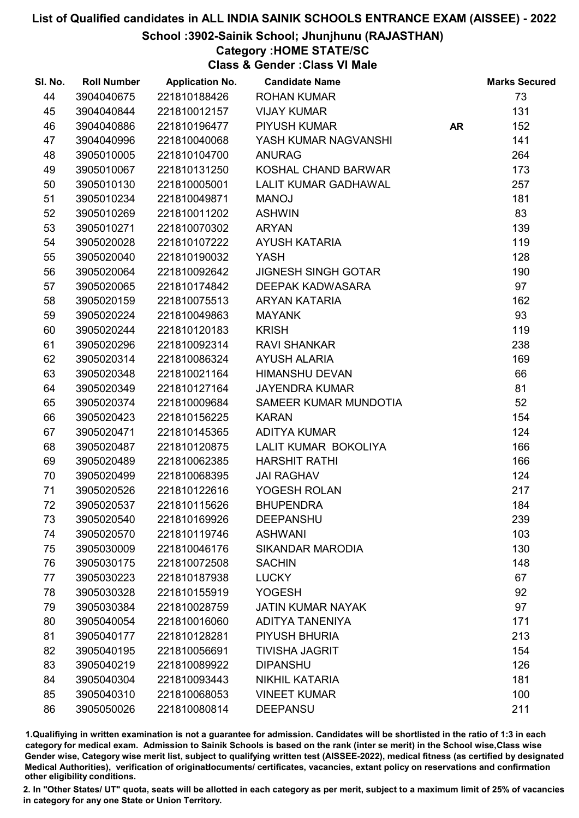### School :3902-Sainik School; Jhunjhunu (RAJASTHAN)

### Category :HOME STATE/SC

Class & Gender :Class VI Male

| SI. No. | <b>Roll Number</b> | <b>Application No.</b> | <b>Candidate Name</b>      |           | <b>Marks Secured</b> |
|---------|--------------------|------------------------|----------------------------|-----------|----------------------|
| 44      | 3904040675         | 221810188426           | <b>ROHAN KUMAR</b>         |           | 73                   |
| 45      | 3904040844         | 221810012157           | <b>VIJAY KUMAR</b>         |           | 131                  |
| 46      | 3904040886         | 221810196477           | <b>PIYUSH KUMAR</b>        | <b>AR</b> | 152                  |
| 47      | 3904040996         | 221810040068           | YASH KUMAR NAGVANSHI       |           | 141                  |
| 48      | 3905010005         | 221810104700           | <b>ANURAG</b>              |           | 264                  |
| 49      | 3905010067         | 221810131250           | KOSHAL CHAND BARWAR        |           | 173                  |
| 50      | 3905010130         | 221810005001           | LALIT KUMAR GADHAWAL       |           | 257                  |
| 51      | 3905010234         | 221810049871           | <b>MANOJ</b>               |           | 181                  |
| 52      | 3905010269         | 221810011202           | <b>ASHWIN</b>              |           | 83                   |
| 53      | 3905010271         | 221810070302           | <b>ARYAN</b>               |           | 139                  |
| 54      | 3905020028         | 221810107222           | AYUSH KATARIA              |           | 119                  |
| 55      | 3905020040         | 221810190032           | <b>YASH</b>                |           | 128                  |
| 56      | 3905020064         | 221810092642           | <b>JIGNESH SINGH GOTAR</b> |           | 190                  |
| 57      | 3905020065         | 221810174842           | DEEPAK KADWASARA           |           | 97                   |
| 58      | 3905020159         | 221810075513           | ARYAN KATARIA              |           | 162                  |
| 59      | 3905020224         | 221810049863           | <b>MAYANK</b>              |           | 93                   |
| 60      | 3905020244         | 221810120183           | <b>KRISH</b>               |           | 119                  |
| 61      | 3905020296         | 221810092314           | <b>RAVI SHANKAR</b>        |           | 238                  |
| 62      | 3905020314         | 221810086324           | <b>AYUSH ALARIA</b>        |           | 169                  |
| 63      | 3905020348         | 221810021164           | <b>HIMANSHU DEVAN</b>      |           | 66                   |
| 64      | 3905020349         | 221810127164           | <b>JAYENDRA KUMAR</b>      |           | 81                   |
| 65      | 3905020374         | 221810009684           | SAMEER KUMAR MUNDOTIA      |           | 52                   |
| 66      | 3905020423         | 221810156225           | <b>KARAN</b>               |           | 154                  |
| 67      | 3905020471         | 221810145365           | <b>ADITYA KUMAR</b>        |           | 124                  |
| 68      | 3905020487         | 221810120875           | LALIT KUMAR BOKOLIYA       |           | 166                  |
| 69      | 3905020489         | 221810062385           | <b>HARSHIT RATHI</b>       |           | 166                  |
| 70      | 3905020499         | 221810068395           | <b>JAI RAGHAV</b>          |           | 124                  |
| 71      | 3905020526         | 221810122616           | YOGESH ROLAN               |           | 217                  |
| 72      | 3905020537         | 221810115626           | <b>BHUPENDRA</b>           |           | 184                  |
| 73      | 3905020540         | 221810169926           | <b>DEEPANSHU</b>           |           | 239                  |
| 74      | 3905020570         | 221810119746           | <b>ASHWANI</b>             |           | 103                  |
| 75      | 3905030009         | 221810046176           | <b>SIKANDAR MARODIA</b>    |           | 130                  |
| 76      | 3905030175         | 221810072508           | <b>SACHIN</b>              |           | 148                  |
| 77      | 3905030223         | 221810187938           | <b>LUCKY</b>               |           | 67                   |
| 78      | 3905030328         | 221810155919           | <b>YOGESH</b>              |           | 92                   |
| 79      | 3905030384         | 221810028759           | <b>JATIN KUMAR NAYAK</b>   |           | 97                   |
| 80      | 3905040054         | 221810016060           | <b>ADITYA TANENIYA</b>     |           | 171                  |
| 81      | 3905040177         | 221810128281           | PIYUSH BHURIA              |           | 213                  |
| 82      | 3905040195         | 221810056691           | <b>TIVISHA JAGRIT</b>      |           | 154                  |
| 83      | 3905040219         | 221810089922           | <b>DIPANSHU</b>            |           | 126                  |
| 84      | 3905040304         | 221810093443           | NIKHIL KATARIA             |           | 181                  |
| 85      | 3905040310         | 221810068053           | <b>VINEET KUMAR</b>        |           | 100                  |
| 86      | 3905050026         | 221810080814           | <b>DEEPANSU</b>            |           | 211                  |

1.Qualifiying in written examination is not a guarantee for admission. Candidates will be shortlisted in the ratio of 1:3 in each category for medical exam. Admission to Sainik Schools is based on the rank (inter se merit) in the School wise,Class wise Gender wise, Category wise merit list, subject to qualifying written test (AISSEE-2022), medical fitness (as certified by designated Medical Authorities), verification of originablocuments/ certificates, vacancies, extant policy on reservations and confirmation other eligibility conditions.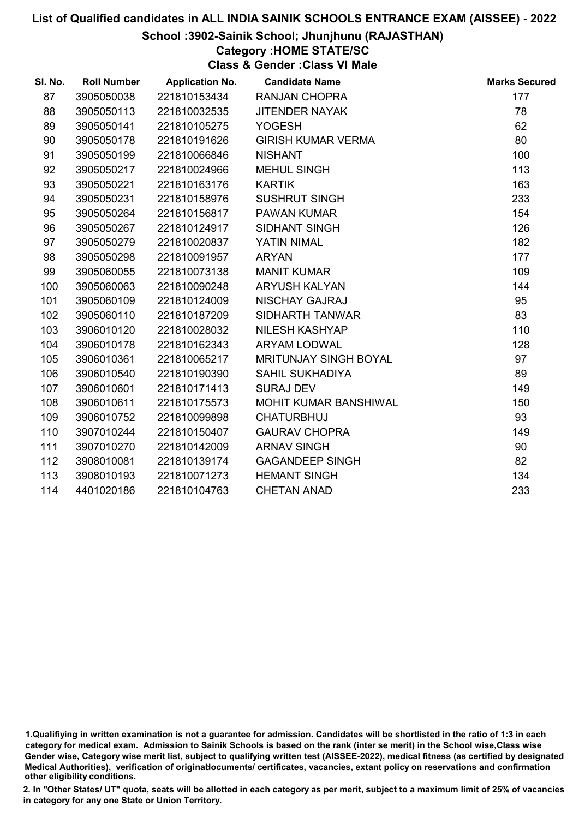### School :3902-Sainik School; Jhunjhunu (RAJASTHAN)

### Category :HOME STATE/SC

Class & Gender :Class VI Male

| SI. No. | <b>Roll Number</b> | <b>Application No.</b> | <b>Candidate Name</b>     | <b>Marks Secured</b> |
|---------|--------------------|------------------------|---------------------------|----------------------|
| 87      | 3905050038         | 221810153434           | <b>RANJAN CHOPRA</b>      | 177                  |
| 88      | 3905050113         | 221810032535           | <b>JITENDER NAYAK</b>     | 78                   |
| 89      | 3905050141         | 221810105275           | <b>YOGESH</b>             | 62                   |
| 90      | 3905050178         | 221810191626           | <b>GIRISH KUMAR VERMA</b> | 80                   |
| 91      | 3905050199         | 221810066846           | <b>NISHANT</b>            | 100                  |
| 92      | 3905050217         | 221810024966           | MEHUL SINGH               | 113                  |
| 93      | 3905050221         | 221810163176           | <b>KARTIK</b>             | 163                  |
| 94      | 3905050231         | 221810158976           | <b>SUSHRUT SINGH</b>      | 233                  |
| 95      | 3905050264         | 221810156817           | <b>PAWAN KUMAR</b>        | 154                  |
| 96      | 3905050267         | 221810124917           | <b>SIDHANT SINGH</b>      | 126                  |
| 97      | 3905050279         | 221810020837           | YATIN NIMAL               | 182                  |
| 98      | 3905050298         | 221810091957           | <b>ARYAN</b>              | 177                  |
| 99      | 3905060055         | 221810073138           | <b>MANIT KUMAR</b>        | 109                  |
| 100     | 3905060063         | 221810090248           | <b>ARYUSH KALYAN</b>      | 144                  |
| 101     | 3905060109         | 221810124009           | NISCHAY GAJRAJ            | 95                   |
| 102     | 3905060110         | 221810187209           | SIDHARTH TANWAR           | 83                   |
| 103     | 3906010120         | 221810028032           | <b>NILESH KASHYAP</b>     | 110                  |
| 104     | 3906010178         | 221810162343           | <b>ARYAM LODWAL</b>       | 128                  |
| 105     | 3906010361         | 221810065217           | MRITUNJAY SINGH BOYAL     | 97                   |
| 106     | 3906010540         | 221810190390           | <b>SAHIL SUKHADIYA</b>    | 89                   |
| 107     | 3906010601         | 221810171413           | <b>SURAJ DEV</b>          | 149                  |
| 108     | 3906010611         | 221810175573           | MOHIT KUMAR BANSHIWAL     | 150                  |
| 109     | 3906010752         | 221810099898           | <b>CHATURBHUJ</b>         | 93                   |
| 110     | 3907010244         | 221810150407           | <b>GAURAV CHOPRA</b>      | 149                  |
| 111     | 3907010270         | 221810142009           | <b>ARNAV SINGH</b>        | 90                   |
| 112     | 3908010081         | 221810139174           | <b>GAGANDEEP SINGH</b>    | 82                   |
| 113     | 3908010193         | 221810071273           | <b>HEMANT SINGH</b>       | 134                  |
| 114     | 4401020186         | 221810104763           | <b>CHETAN ANAD</b>        | 233                  |

<sup>1.</sup>Qualifiying in written examination is not a guarantee for admission. Candidates will be shortlisted in the ratio of 1:3 in each category for medical exam. Admission to Sainik Schools is based on the rank (inter se merit) in the School wise,Class wise Gender wise, Category wise merit list, subject to qualifying written test (AISSEE-2022), medical fitness (as certified by designated Medical Authorities), verification of originablocuments/ certificates, vacancies, extant policy on reservations and confirmation other eligibility conditions.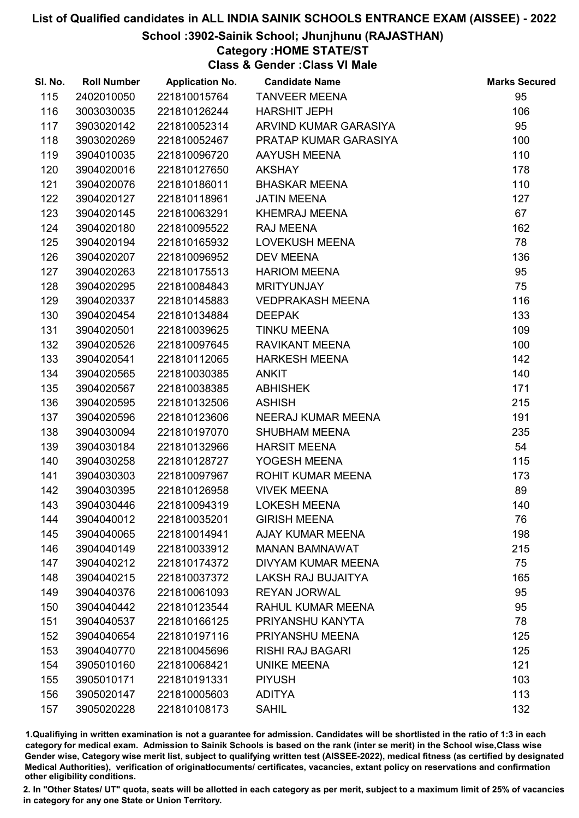### School :3902-Sainik School; Jhunjhunu (RAJASTHAN)

### Category :HOME STATE/ST

Class & Gender :Class VI Male

| SI. No. | <b>Roll Number</b> | <b>Application No.</b> | <b>Candidate Name</b>     | <b>Marks Secured</b> |
|---------|--------------------|------------------------|---------------------------|----------------------|
| 115     | 2402010050         | 221810015764           | <b>TANVEER MEENA</b>      | 95                   |
| 116     | 3003030035         | 221810126244           | <b>HARSHIT JEPH</b>       | 106                  |
| 117     | 3903020142         | 221810052314           | ARVIND KUMAR GARASIYA     | 95                   |
| 118     | 3903020269         | 221810052467           | PRATAP KUMAR GARASIYA     | 100                  |
| 119     | 3904010035         | 221810096720           | AAYUSH MEENA              | 110                  |
| 120     | 3904020016         | 221810127650           | <b>AKSHAY</b>             | 178                  |
| 121     | 3904020076         | 221810186011           | <b>BHASKAR MEENA</b>      | 110                  |
| 122     | 3904020127         | 221810118961           | <b>JATIN MEENA</b>        | 127                  |
| 123     | 3904020145         | 221810063291           | <b>KHEMRAJ MEENA</b>      | 67                   |
| 124     | 3904020180         | 221810095522           | RAJ MEENA                 | 162                  |
| 125     | 3904020194         | 221810165932           | <b>LOVEKUSH MEENA</b>     | 78                   |
| 126     | 3904020207         | 221810096952           | <b>DEV MEENA</b>          | 136                  |
| 127     | 3904020263         | 221810175513           | <b>HARIOM MEENA</b>       | 95                   |
| 128     | 3904020295         | 221810084843           | <b>MRITYUNJAY</b>         | 75                   |
| 129     | 3904020337         | 221810145883           | <b>VEDPRAKASH MEENA</b>   | 116                  |
| 130     | 3904020454         | 221810134884           | <b>DEEPAK</b>             | 133                  |
| 131     | 3904020501         | 221810039625           | <b>TINKU MEENA</b>        | 109                  |
| 132     | 3904020526         | 221810097645           | <b>RAVIKANT MEENA</b>     | 100                  |
| 133     | 3904020541         | 221810112065           | <b>HARKESH MEENA</b>      | 142                  |
| 134     | 3904020565         | 221810030385           | <b>ANKIT</b>              | 140                  |
| 135     | 3904020567         | 221810038385           | <b>ABHISHEK</b>           | 171                  |
| 136     | 3904020595         | 221810132506           | <b>ASHISH</b>             | 215                  |
| 137     | 3904020596         | 221810123606           | NEERAJ KUMAR MEENA        | 191                  |
| 138     | 3904030094         | 221810197070           | <b>SHUBHAM MEENA</b>      | 235                  |
| 139     | 3904030184         | 221810132966           | <b>HARSIT MEENA</b>       | 54                   |
| 140     | 3904030258         | 221810128727           | YOGESH MEENA              | 115                  |
| 141     | 3904030303         | 221810097967           | <b>ROHIT KUMAR MEENA</b>  | 173                  |
| 142     | 3904030395         | 221810126958           | <b>VIVEK MEENA</b>        | 89                   |
| 143     | 3904030446         | 221810094319           | <b>LOKESH MEENA</b>       | 140                  |
| 144     | 3904040012         | 221810035201           | <b>GIRISH MEENA</b>       | 76                   |
| 145     | 3904040065         | 221810014941           | <b>AJAY KUMAR MEENA</b>   | 198                  |
| 146     | 3904040149         | 221810033912           | <b>MANAN BAMNAWAT</b>     | 215                  |
| 147     | 3904040212         | 221810174372           | DIVYAM KUMAR MEENA        | 75                   |
| 148     | 3904040215         | 221810037372           | <b>LAKSH RAJ BUJAITYA</b> | 165                  |
| 149     | 3904040376         | 221810061093           | <b>REYAN JORWAL</b>       | 95                   |
| 150     | 3904040442         | 221810123544           | RAHUL KUMAR MEENA         | 95                   |
| 151     | 3904040537         | 221810166125           | PRIYANSHU KANYTA          | 78                   |
| 152     | 3904040654         | 221810197116           | PRIYANSHU MEENA           | 125                  |
| 153     | 3904040770         | 221810045696           | <b>RISHI RAJ BAGARI</b>   | 125                  |
| 154     | 3905010160         | 221810068421           | <b>UNIKE MEENA</b>        | 121                  |
| 155     | 3905010171         | 221810191331           | <b>PIYUSH</b>             | 103                  |
| 156     | 3905020147         | 221810005603           | <b>ADITYA</b>             | 113                  |
| 157     | 3905020228         | 221810108173           | <b>SAHIL</b>              | 132                  |

1.Qualifiying in written examination is not a guarantee for admission. Candidates will be shortlisted in the ratio of 1:3 in each category for medical exam. Admission to Sainik Schools is based on the rank (inter se merit) in the School wise,Class wise Gender wise, Category wise merit list, subject to qualifying written test (AISSEE-2022), medical fitness (as certified by designated Medical Authorities), verification of originablocuments/ certificates, vacancies, extant policy on reservations and confirmation other eligibility conditions.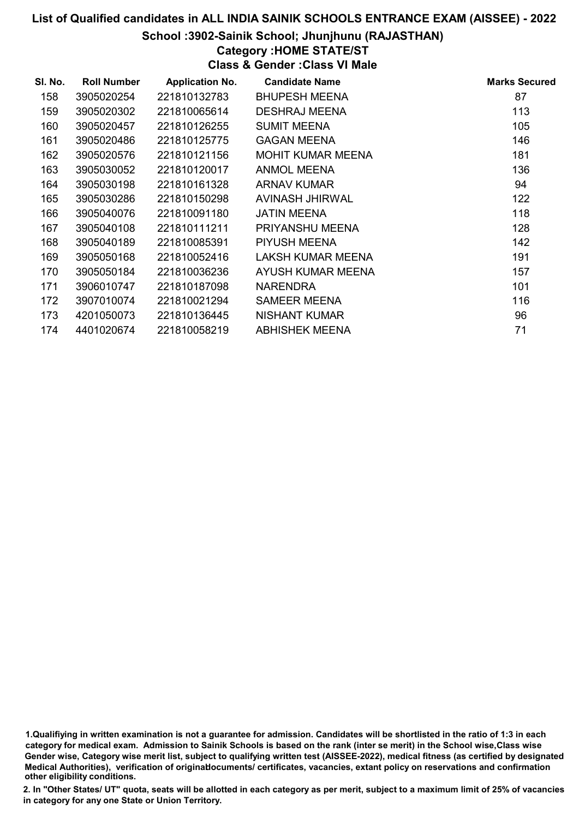### School :3902-Sainik School; Jhunjhunu (RAJASTHAN)

### Category :HOME STATE/ST

Class & Gender :Class VI Male

| SI. No. | <b>Roll Number</b> | <b>Application No.</b> | <b>Candidate Name</b>    | <b>Marks Secured</b> |
|---------|--------------------|------------------------|--------------------------|----------------------|
| 158     | 3905020254         | 221810132783           | <b>BHUPESH MEENA</b>     | 87                   |
| 159     | 3905020302         | 221810065614           | <b>DESHRAJ MEENA</b>     | 113                  |
| 160     | 3905020457         | 221810126255           | <b>SUMIT MEENA</b>       | 105                  |
| 161     | 3905020486         | 221810125775           | <b>GAGAN MEENA</b>       | 146                  |
| 162     | 3905020576         | 221810121156           | <b>MOHIT KUMAR MEENA</b> | 181                  |
| 163     | 3905030052         | 221810120017           | ANMOL MEENA              | 136                  |
| 164     | 3905030198         | 221810161328           | ARNAV KUMAR              | 94                   |
| 165     | 3905030286         | 221810150298           | AVINASH JHIRWAL          | 122                  |
| 166     | 3905040076         | 221810091180           | <b>JATIN MEENA</b>       | 118                  |
| 167     | 3905040108         | 221810111211           | PRIYANSHU MEENA          | 128                  |
| 168     | 3905040189         | 221810085391           | PIYUSH MEENA             | 142                  |
| 169     | 3905050168         | 221810052416           | LAKSH KUMAR MEENA        | 191                  |
| 170     | 3905050184         | 221810036236           | AYUSH KUMAR MEENA        | 157                  |
| 171     | 3906010747         | 221810187098           | <b>NARENDRA</b>          | 101                  |
| 172     | 3907010074         | 221810021294           | SAMEER MEENA             | 116                  |
| 173     | 4201050073         | 221810136445           | <b>NISHANT KUMAR</b>     | 96                   |
| 174     | 4401020674         | 221810058219           | <b>ABHISHEK MEENA</b>    | 71                   |

1.Qualifiying in written examination is not a guarantee for admission. Candidates will be shortlisted in the ratio of 1:3 in each category for medical exam. Admission to Sainik Schools is based on the rank (inter se merit) in the School wise,Class wise Gender wise, Category wise merit list, subject to qualifying written test (AISSEE-2022), medical fitness (as certified by designated Medical Authorities), verification of originablocuments/ certificates, vacancies, extant policy on reservations and confirmation other eligibility conditions.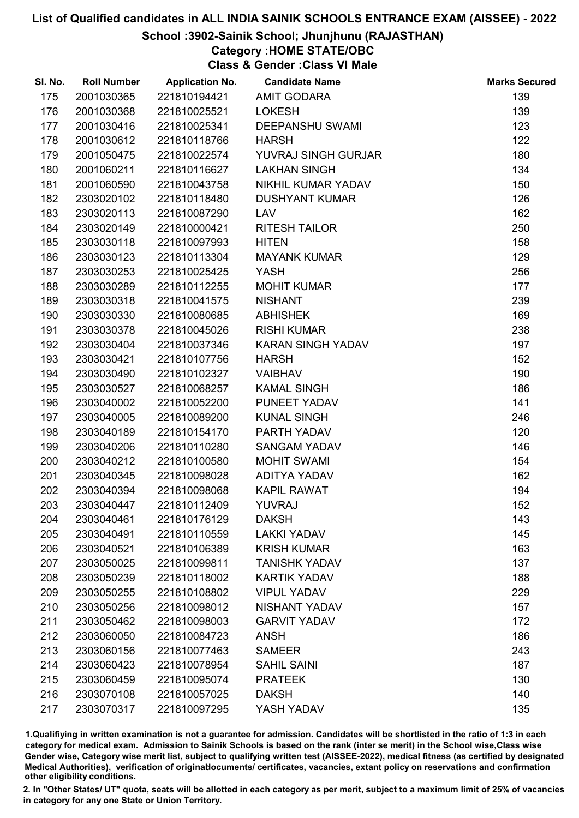### School :3902-Sainik School; Jhunjhunu (RAJASTHAN)

## Category :HOME STATE/OBC

Class & Gender :Class VI Male

| SI. No. | <b>Roll Number</b> | <b>Application No.</b> | <b>Candidate Name</b>    | <b>Marks Secured</b> |
|---------|--------------------|------------------------|--------------------------|----------------------|
| 175     | 2001030365         | 221810194421           | <b>AMIT GODARA</b>       | 139                  |
| 176     | 2001030368         | 221810025521           | <b>LOKESH</b>            | 139                  |
| 177     | 2001030416         | 221810025341           | <b>DEEPANSHU SWAMI</b>   | 123                  |
| 178     | 2001030612         | 221810118766           | <b>HARSH</b>             | 122                  |
| 179     | 2001050475         | 221810022574           | YUVRAJ SINGH GURJAR      | 180                  |
| 180     | 2001060211         | 221810116627           | <b>LAKHAN SINGH</b>      | 134                  |
| 181     | 2001060590         | 221810043758           | NIKHIL KUMAR YADAV       | 150                  |
| 182     | 2303020102         | 221810118480           | <b>DUSHYANT KUMAR</b>    | 126                  |
| 183     | 2303020113         | 221810087290           | LAV                      | 162                  |
| 184     | 2303020149         | 221810000421           | <b>RITESH TAILOR</b>     | 250                  |
| 185     | 2303030118         | 221810097993           | <b>HITEN</b>             | 158                  |
| 186     | 2303030123         | 221810113304           | <b>MAYANK KUMAR</b>      | 129                  |
| 187     | 2303030253         | 221810025425           | <b>YASH</b>              | 256                  |
| 188     | 2303030289         | 221810112255           | <b>MOHIT KUMAR</b>       | 177                  |
| 189     | 2303030318         | 221810041575           | <b>NISHANT</b>           | 239                  |
| 190     | 2303030330         | 221810080685           | <b>ABHISHEK</b>          | 169                  |
| 191     | 2303030378         | 221810045026           | <b>RISHI KUMAR</b>       | 238                  |
| 192     | 2303030404         | 221810037346           | <b>KARAN SINGH YADAV</b> | 197                  |
| 193     | 2303030421         | 221810107756           | <b>HARSH</b>             | 152                  |
| 194     | 2303030490         | 221810102327           | <b>VAIBHAV</b>           | 190                  |
| 195     | 2303030527         | 221810068257           | <b>KAMAL SINGH</b>       | 186                  |
| 196     | 2303040002         | 221810052200           | PUNEET YADAV             | 141                  |
| 197     | 2303040005         | 221810089200           | <b>KUNAL SINGH</b>       | 246                  |
| 198     | 2303040189         | 221810154170           | PARTH YADAV              | 120                  |
| 199     | 2303040206         | 221810110280           | <b>SANGAM YADAV</b>      | 146                  |
| 200     | 2303040212         | 221810100580           | <b>MOHIT SWAMI</b>       | 154                  |
| 201     | 2303040345         | 221810098028           | ADITYA YADAV             | 162                  |
| 202     | 2303040394         | 221810098068           | <b>KAPIL RAWAT</b>       | 194                  |
| 203     | 2303040447         | 221810112409           | <b>YUVRAJ</b>            | 152                  |
| 204     | 2303040461         | 221810176129           | <b>DAKSH</b>             | 143                  |
| 205     | 2303040491         | 221810110559           | <b>LAKKI YADAV</b>       | 145                  |
| 206     | 2303040521         | 221810106389           | <b>KRISH KUMAR</b>       | 163                  |
| 207     | 2303050025         | 221810099811           | <b>TANISHK YADAV</b>     | 137                  |
| 208     | 2303050239         | 221810118002           | <b>KARTIK YADAV</b>      | 188                  |
| 209     | 2303050255         | 221810108802           | <b>VIPUL YADAV</b>       | 229                  |
| 210     | 2303050256         | 221810098012           | NISHANT YADAV            | 157                  |
| 211     | 2303050462         | 221810098003           | <b>GARVIT YADAV</b>      | 172                  |
| 212     | 2303060050         | 221810084723           | <b>ANSH</b>              | 186                  |
| 213     | 2303060156         | 221810077463           | <b>SAMEER</b>            | 243                  |
| 214     | 2303060423         | 221810078954           | <b>SAHIL SAINI</b>       | 187                  |
| 215     | 2303060459         | 221810095074           | <b>PRATEEK</b>           | 130                  |
| 216     | 2303070108         | 221810057025           | <b>DAKSH</b>             | 140                  |
| 217     | 2303070317         | 221810097295           | YASH YADAV               | 135                  |

1.Qualifiying in written examination is not a guarantee for admission. Candidates will be shortlisted in the ratio of 1:3 in each category for medical exam. Admission to Sainik Schools is based on the rank (inter se merit) in the School wise,Class wise Gender wise, Category wise merit list, subject to qualifying written test (AISSEE-2022), medical fitness (as certified by designated Medical Authorities), verification of originablocuments/ certificates, vacancies, extant policy on reservations and confirmation other eligibility conditions.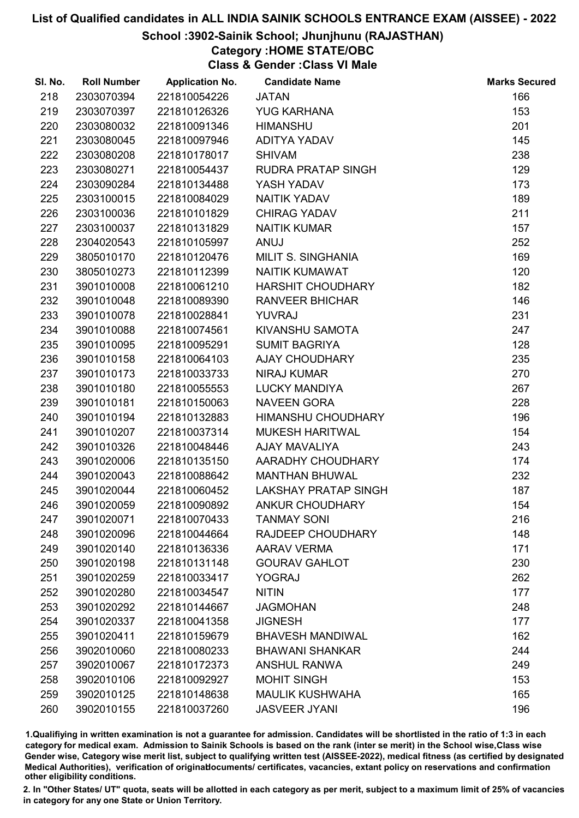### School :3902-Sainik School; Jhunjhunu (RAJASTHAN)

Category :HOME STATE/OBC

Class & Gender :Class VI Male

| SI. No. | <b>Roll Number</b> | <b>Application No.</b> | <b>Candidate Name</b>       | <b>Marks Secured</b> |
|---------|--------------------|------------------------|-----------------------------|----------------------|
| 218     | 2303070394         | 221810054226           | <b>JATAN</b>                | 166                  |
| 219     | 2303070397         | 221810126326           | <b>YUG KARHANA</b>          | 153                  |
| 220     | 2303080032         | 221810091346           | <b>HIMANSHU</b>             | 201                  |
| 221     | 2303080045         | 221810097946           | ADITYA YADAV                | 145                  |
| 222     | 2303080208         | 221810178017           | <b>SHIVAM</b>               | 238                  |
| 223     | 2303080271         | 221810054437           | <b>RUDRA PRATAP SINGH</b>   | 129                  |
| 224     | 2303090284         | 221810134488           | YASH YADAV                  | 173                  |
| 225     | 2303100015         | 221810084029           | <b>NAITIK YADAV</b>         | 189                  |
| 226     | 2303100036         | 221810101829           | <b>CHIRAG YADAV</b>         | 211                  |
| 227     | 2303100037         | 221810131829           | <b>NAITIK KUMAR</b>         | 157                  |
| 228     | 2304020543         | 221810105997           | <b>ANUJ</b>                 | 252                  |
| 229     | 3805010170         | 221810120476           | MILIT S. SINGHANIA          | 169                  |
| 230     | 3805010273         | 221810112399           | <b>NAITIK KUMAWAT</b>       | 120                  |
| 231     | 3901010008         | 221810061210           | <b>HARSHIT CHOUDHARY</b>    | 182                  |
| 232     | 3901010048         | 221810089390           | <b>RANVEER BHICHAR</b>      | 146                  |
| 233     | 3901010078         | 221810028841           | <b>YUVRAJ</b>               | 231                  |
| 234     | 3901010088         | 221810074561           | KIVANSHU SAMOTA             | 247                  |
| 235     | 3901010095         | 221810095291           | <b>SUMIT BAGRIYA</b>        | 128                  |
| 236     | 3901010158         | 221810064103           | <b>AJAY CHOUDHARY</b>       | 235                  |
| 237     | 3901010173         | 221810033733           | <b>NIRAJ KUMAR</b>          | 270                  |
| 238     | 3901010180         | 221810055553           | <b>LUCKY MANDIYA</b>        | 267                  |
| 239     | 3901010181         | 221810150063           | <b>NAVEEN GORA</b>          | 228                  |
| 240     | 3901010194         | 221810132883           | HIMANSHU CHOUDHARY          | 196                  |
| 241     | 3901010207         | 221810037314           | <b>MUKESH HARITWAL</b>      | 154                  |
| 242     | 3901010326         | 221810048446           | <b>AJAY MAVALIYA</b>        | 243                  |
| 243     | 3901020006         | 221810135150           | AARADHY CHOUDHARY           | 174                  |
| 244     | 3901020043         | 221810088642           | <b>MANTHAN BHUWAL</b>       | 232                  |
| 245     | 3901020044         | 221810060452           | <b>LAKSHAY PRATAP SINGH</b> | 187                  |
| 246     | 3901020059         | 221810090892           | <b>ANKUR CHOUDHARY</b>      | 154                  |
| 247     | 3901020071         | 221810070433           | <b>TANMAY SONI</b>          | 216                  |
| 248     | 3901020096         | 221810044664           | RAJDEEP CHOUDHARY           | 148                  |
| 249     | 3901020140         | 221810136336           | <b>AARAV VERMA</b>          | 171                  |
| 250     | 3901020198         | 221810131148           | <b>GOURAV GAHLOT</b>        | 230                  |
| 251     | 3901020259         | 221810033417           | <b>YOGRAJ</b>               | 262                  |
| 252     | 3901020280         | 221810034547           | <b>NITIN</b>                | 177                  |
| 253     | 3901020292         | 221810144667           | <b>JAGMOHAN</b>             | 248                  |
| 254     | 3901020337         | 221810041358           | <b>JIGNESH</b>              | 177                  |
| 255     | 3901020411         | 221810159679           | <b>BHAVESH MANDIWAL</b>     | 162                  |
| 256     | 3902010060         | 221810080233           | <b>BHAWANI SHANKAR</b>      | 244                  |
| 257     | 3902010067         | 221810172373           | <b>ANSHUL RANWA</b>         | 249                  |
| 258     | 3902010106         | 221810092927           | <b>MOHIT SINGH</b>          | 153                  |
| 259     | 3902010125         | 221810148638           | <b>MAULIK KUSHWAHA</b>      | 165                  |
| 260     | 3902010155         | 221810037260           | <b>JASVEER JYANI</b>        | 196                  |

1.Qualifiying in written examination is not a guarantee for admission. Candidates will be shortlisted in the ratio of 1:3 in each category for medical exam. Admission to Sainik Schools is based on the rank (inter se merit) in the School wise,Class wise Gender wise, Category wise merit list, subject to qualifying written test (AISSEE-2022), medical fitness (as certified by designated Medical Authorities), verification of originablocuments/ certificates, vacancies, extant policy on reservations and confirmation other eligibility conditions.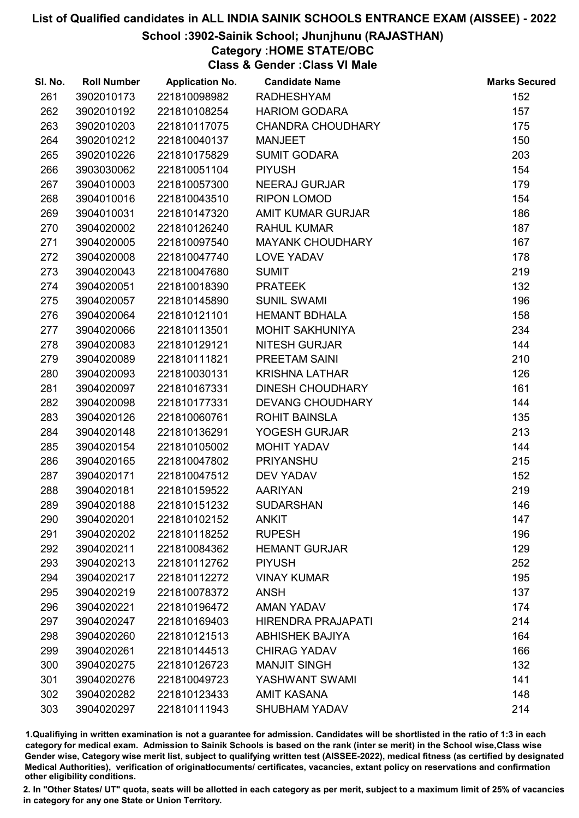### School :3902-Sainik School; Jhunjhunu (RAJASTHAN)

## Category :HOME STATE/OBC

Class & Gender :Class VI Male

| SI. No. | <b>Roll Number</b> | <b>Application No.</b> | <b>Candidate Name</b>     | <b>Marks Secured</b> |
|---------|--------------------|------------------------|---------------------------|----------------------|
| 261     | 3902010173         | 221810098982           | <b>RADHESHYAM</b>         | 152                  |
| 262     | 3902010192         | 221810108254           | <b>HARIOM GODARA</b>      | 157                  |
| 263     | 3902010203         | 221810117075           | <b>CHANDRA CHOUDHARY</b>  | 175                  |
| 264     | 3902010212         | 221810040137           | <b>MANJEET</b>            | 150                  |
| 265     | 3902010226         | 221810175829           | <b>SUMIT GODARA</b>       | 203                  |
| 266     | 3903030062         | 221810051104           | <b>PIYUSH</b>             | 154                  |
| 267     | 3904010003         | 221810057300           | <b>NEERAJ GURJAR</b>      | 179                  |
| 268     | 3904010016         | 221810043510           | <b>RIPON LOMOD</b>        | 154                  |
| 269     | 3904010031         | 221810147320           | AMIT KUMAR GURJAR         | 186                  |
| 270     | 3904020002         | 221810126240           | <b>RAHUL KUMAR</b>        | 187                  |
| 271     | 3904020005         | 221810097540           | <b>MAYANK CHOUDHARY</b>   | 167                  |
| 272     | 3904020008         | 221810047740           | <b>LOVE YADAV</b>         | 178                  |
| 273     | 3904020043         | 221810047680           | <b>SUMIT</b>              | 219                  |
| 274     | 3904020051         | 221810018390           | <b>PRATEEK</b>            | 132                  |
| 275     | 3904020057         | 221810145890           | <b>SUNIL SWAMI</b>        | 196                  |
| 276     | 3904020064         | 221810121101           | <b>HEMANT BDHALA</b>      | 158                  |
| 277     | 3904020066         | 221810113501           | <b>MOHIT SAKHUNIYA</b>    | 234                  |
| 278     | 3904020083         | 221810129121           | <b>NITESH GURJAR</b>      | 144                  |
| 279     | 3904020089         | 221810111821           | PREETAM SAINI             | 210                  |
| 280     | 3904020093         | 221810030131           | <b>KRISHNA LATHAR</b>     | 126                  |
| 281     | 3904020097         | 221810167331           | <b>DINESH CHOUDHARY</b>   | 161                  |
| 282     | 3904020098         | 221810177331           | <b>DEVANG CHOUDHARY</b>   | 144                  |
| 283     | 3904020126         | 221810060761           | <b>ROHIT BAINSLA</b>      | 135                  |
| 284     | 3904020148         | 221810136291           | YOGESH GURJAR             | 213                  |
| 285     | 3904020154         | 221810105002           | MOHIT YADAV               | 144                  |
| 286     | 3904020165         | 221810047802           | PRIYANSHU                 | 215                  |
| 287     | 3904020171         | 221810047512           | <b>DEV YADAV</b>          | 152                  |
| 288     | 3904020181         | 221810159522           | <b>AARIYAN</b>            | 219                  |
| 289     | 3904020188         | 221810151232           | <b>SUDARSHAN</b>          | 146                  |
| 290     | 3904020201         | 221810102152           | <b>ANKIT</b>              | 147                  |
| 291     | 3904020202         | 221810118252           | <b>RUPESH</b>             | 196                  |
| 292     | 3904020211         | 221810084362           | <b>HEMANT GURJAR</b>      | 129                  |
| 293     | 3904020213         | 221810112762           | <b>PIYUSH</b>             | 252                  |
| 294     | 3904020217         | 221810112272           | <b>VINAY KUMAR</b>        | 195                  |
| 295     | 3904020219         | 221810078372           | <b>ANSH</b>               | 137                  |
| 296     | 3904020221         | 221810196472           | <b>AMAN YADAV</b>         | 174                  |
| 297     | 3904020247         | 221810169403           | <b>HIRENDRA PRAJAPATI</b> | 214                  |
| 298     | 3904020260         | 221810121513           | <b>ABHISHEK BAJIYA</b>    | 164                  |
| 299     | 3904020261         | 221810144513           | <b>CHIRAG YADAV</b>       | 166                  |
| 300     | 3904020275         | 221810126723           | <b>MANJIT SINGH</b>       | 132                  |
| 301     | 3904020276         | 221810049723           | YASHWANT SWAMI            | 141                  |
| 302     | 3904020282         | 221810123433           | <b>AMIT KASANA</b>        | 148                  |
| 303     | 3904020297         | 221810111943           | <b>SHUBHAM YADAV</b>      | 214                  |

1.Qualifiying in written examination is not a guarantee for admission. Candidates will be shortlisted in the ratio of 1:3 in each category for medical exam. Admission to Sainik Schools is based on the rank (inter se merit) in the School wise,Class wise Gender wise, Category wise merit list, subject to qualifying written test (AISSEE-2022), medical fitness (as certified by designated Medical Authorities), verification of originablocuments/ certificates, vacancies, extant policy on reservations and confirmation other eligibility conditions.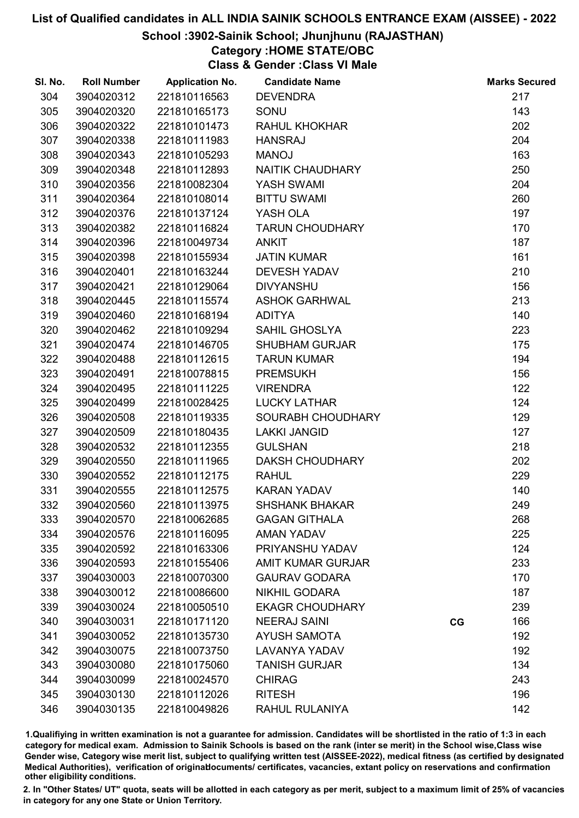### School :3902-Sainik School; Jhunjhunu (RAJASTHAN)

## Category :HOME STATE/OBC

Class & Gender :Class VI Male

| SI. No. | <b>Roll Number</b> | <b>Application No.</b> | <b>Candidate Name</b>    |    | <b>Marks Secured</b> |
|---------|--------------------|------------------------|--------------------------|----|----------------------|
| 304     | 3904020312         | 221810116563           | <b>DEVENDRA</b>          |    | 217                  |
| 305     | 3904020320         | 221810165173           | SONU                     |    | 143                  |
| 306     | 3904020322         | 221810101473           | <b>RAHUL KHOKHAR</b>     |    | 202                  |
| 307     | 3904020338         | 221810111983           | <b>HANSRAJ</b>           |    | 204                  |
| 308     | 3904020343         | 221810105293           | <b>MANOJ</b>             |    | 163                  |
| 309     | 3904020348         | 221810112893           | NAITIK CHAUDHARY         |    | 250                  |
| 310     | 3904020356         | 221810082304           | <b>YASH SWAMI</b>        |    | 204                  |
| 311     | 3904020364         | 221810108014           | <b>BITTU SWAMI</b>       |    | 260                  |
| 312     | 3904020376         | 221810137124           | YASH OLA                 |    | 197                  |
| 313     | 3904020382         | 221810116824           | <b>TARUN CHOUDHARY</b>   |    | 170                  |
| 314     | 3904020396         | 221810049734           | <b>ANKIT</b>             |    | 187                  |
| 315     | 3904020398         | 221810155934           | <b>JATIN KUMAR</b>       |    | 161                  |
| 316     | 3904020401         | 221810163244           | <b>DEVESH YADAV</b>      |    | 210                  |
| 317     | 3904020421         | 221810129064           | <b>DIVYANSHU</b>         |    | 156                  |
| 318     | 3904020445         | 221810115574           | <b>ASHOK GARHWAL</b>     |    | 213                  |
| 319     | 3904020460         | 221810168194           | <b>ADITYA</b>            |    | 140                  |
| 320     | 3904020462         | 221810109294           | <b>SAHIL GHOSLYA</b>     |    | 223                  |
| 321     | 3904020474         | 221810146705           | <b>SHUBHAM GURJAR</b>    |    | 175                  |
| 322     | 3904020488         | 221810112615           | <b>TARUN KUMAR</b>       |    | 194                  |
| 323     | 3904020491         | 221810078815           | <b>PREMSUKH</b>          |    | 156                  |
| 324     | 3904020495         | 221810111225           | <b>VIRENDRA</b>          |    | 122                  |
| 325     | 3904020499         | 221810028425           | <b>LUCKY LATHAR</b>      |    | 124                  |
| 326     | 3904020508         | 221810119335           | SOURABH CHOUDHARY        |    | 129                  |
| 327     | 3904020509         | 221810180435           | <b>LAKKI JANGID</b>      |    | 127                  |
| 328     | 3904020532         | 221810112355           | <b>GULSHAN</b>           |    | 218                  |
| 329     | 3904020550         | 221810111965           | <b>DAKSH CHOUDHARY</b>   |    | 202                  |
| 330     | 3904020552         | 221810112175           | <b>RAHUL</b>             |    | 229                  |
| 331     | 3904020555         | 221810112575           | <b>KARAN YADAV</b>       |    | 140                  |
| 332     | 3904020560         | 221810113975           | <b>SHSHANK BHAKAR</b>    |    | 249                  |
| 333     | 3904020570         | 221810062685           | <b>GAGAN GITHALA</b>     |    | 268                  |
| 334     | 3904020576         | 221810116095           | <b>AMAN YADAV</b>        |    | 225                  |
| 335     | 3904020592         | 221810163306           | PRIYANSHU YADAV          |    | 124                  |
| 336     | 3904020593         | 221810155406           | <b>AMIT KUMAR GURJAR</b> |    | 233                  |
| 337     | 3904030003         | 221810070300           | <b>GAURAV GODARA</b>     |    | 170                  |
| 338     | 3904030012         | 221810086600           | <b>NIKHIL GODARA</b>     |    | 187                  |
| 339     | 3904030024         | 221810050510           | <b>EKAGR CHOUDHARY</b>   |    | 239                  |
| 340     | 3904030031         | 221810171120           | <b>NEERAJ SAINI</b>      | CG | 166                  |
| 341     | 3904030052         | 221810135730           | <b>AYUSH SAMOTA</b>      |    | 192                  |
| 342     | 3904030075         | 221810073750           | <b>LAVANYA YADAV</b>     |    | 192                  |
| 343     | 3904030080         | 221810175060           | <b>TANISH GURJAR</b>     |    | 134                  |
| 344     | 3904030099         | 221810024570           | <b>CHIRAG</b>            |    | 243                  |
| 345     | 3904030130         | 221810112026           | <b>RITESH</b>            |    | 196                  |
| 346     | 3904030135         | 221810049826           | RAHUL RULANIYA           |    | 142                  |

1.Qualifiying in written examination is not a guarantee for admission. Candidates will be shortlisted in the ratio of 1:3 in each category for medical exam. Admission to Sainik Schools is based on the rank (inter se merit) in the School wise,Class wise Gender wise, Category wise merit list, subject to qualifying written test (AISSEE-2022), medical fitness (as certified by designated Medical Authorities), verification of originablocuments/ certificates, vacancies, extant policy on reservations and confirmation other eligibility conditions.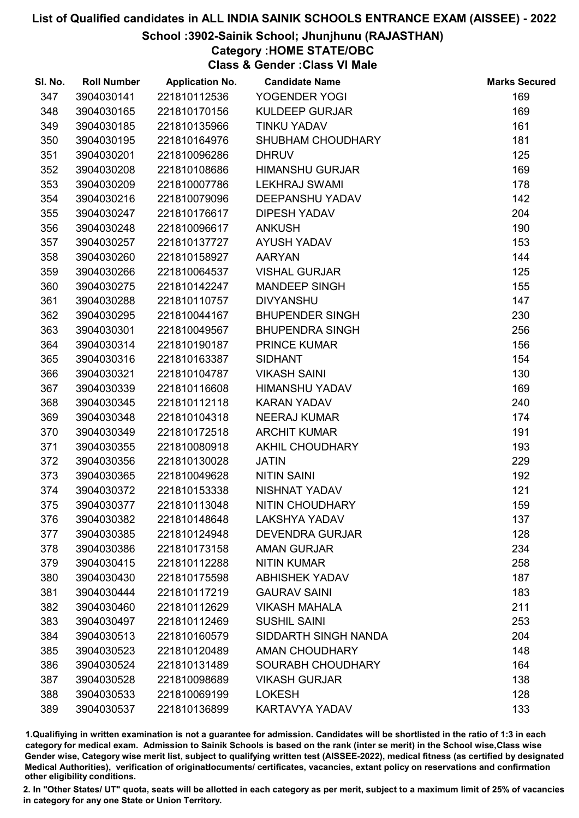### School :3902-Sainik School; Jhunjhunu (RAJASTHAN)

## Category :HOME STATE/OBC

Class & Gender :Class VI Male

| SI. No. | <b>Roll Number</b> | <b>Application No.</b> | <b>Candidate Name</b>    | <b>Marks Secured</b> |
|---------|--------------------|------------------------|--------------------------|----------------------|
| 347     | 3904030141         | 221810112536           | YOGENDER YOGI            | 169                  |
| 348     | 3904030165         | 221810170156           | <b>KULDEEP GURJAR</b>    | 169                  |
| 349     | 3904030185         | 221810135966           | <b>TINKU YADAV</b>       | 161                  |
| 350     | 3904030195         | 221810164976           | SHUBHAM CHOUDHARY        | 181                  |
| 351     | 3904030201         | 221810096286           | <b>DHRUV</b>             | 125                  |
| 352     | 3904030208         | 221810108686           | <b>HIMANSHU GURJAR</b>   | 169                  |
| 353     | 3904030209         | 221810007786           | <b>LEKHRAJ SWAMI</b>     | 178                  |
| 354     | 3904030216         | 221810079096           | DEEPANSHU YADAV          | 142                  |
| 355     | 3904030247         | 221810176617           | <b>DIPESH YADAV</b>      | 204                  |
| 356     | 3904030248         | 221810096617           | <b>ANKUSH</b>            | 190                  |
| 357     | 3904030257         | 221810137727           | AYUSH YADAV              | 153                  |
| 358     | 3904030260         | 221810158927           | <b>AARYAN</b>            | 144                  |
| 359     | 3904030266         | 221810064537           | <b>VISHAL GURJAR</b>     | 125                  |
| 360     | 3904030275         | 221810142247           | <b>MANDEEP SINGH</b>     | 155                  |
| 361     | 3904030288         | 221810110757           | <b>DIVYANSHU</b>         | 147                  |
| 362     | 3904030295         | 221810044167           | <b>BHUPENDER SINGH</b>   | 230                  |
| 363     | 3904030301         | 221810049567           | <b>BHUPENDRA SINGH</b>   | 256                  |
| 364     | 3904030314         | 221810190187           | <b>PRINCE KUMAR</b>      | 156                  |
| 365     | 3904030316         | 221810163387           | <b>SIDHANT</b>           | 154                  |
| 366     | 3904030321         | 221810104787           | <b>VIKASH SAINI</b>      | 130                  |
| 367     | 3904030339         | 221810116608           | HIMANSHU YADAV           | 169                  |
| 368     | 3904030345         | 221810112118           | <b>KARAN YADAV</b>       | 240                  |
| 369     | 3904030348         | 221810104318           | <b>NEERAJ KUMAR</b>      | 174                  |
| 370     | 3904030349         | 221810172518           | <b>ARCHIT KUMAR</b>      | 191                  |
| 371     | 3904030355         | 221810080918           | AKHIL CHOUDHARY          | 193                  |
| 372     | 3904030356         | 221810130028           | <b>JATIN</b>             | 229                  |
| 373     | 3904030365         | 221810049628           | <b>NITIN SAINI</b>       | 192                  |
| 374     | 3904030372         | 221810153338           | NISHNAT YADAV            | 121                  |
| 375     | 3904030377         | 221810113048           | NITIN CHOUDHARY          | 159                  |
| 376     | 3904030382         | 221810148648           | <b>LAKSHYA YADAV</b>     | 137                  |
| 377     | 3904030385         | 221810124948           | <b>DEVENDRA GURJAR</b>   | 128                  |
| 378     | 3904030386         | 221810173158           | <b>AMAN GURJAR</b>       | 234                  |
| 379     | 3904030415         | 221810112288           | <b>NITIN KUMAR</b>       | 258                  |
| 380     | 3904030430         | 221810175598           | <b>ABHISHEK YADAV</b>    | 187                  |
| 381     | 3904030444         | 221810117219           | <b>GAURAV SAINI</b>      | 183                  |
| 382     | 3904030460         | 221810112629           | <b>VIKASH MAHALA</b>     | 211                  |
| 383     | 3904030497         | 221810112469           | <b>SUSHIL SAINI</b>      | 253                  |
| 384     | 3904030513         | 221810160579           | SIDDARTH SINGH NANDA     | 204                  |
| 385     | 3904030523         | 221810120489           | <b>AMAN CHOUDHARY</b>    | 148                  |
| 386     | 3904030524         | 221810131489           | <b>SOURABH CHOUDHARY</b> | 164                  |
| 387     | 3904030528         | 221810098689           | <b>VIKASH GURJAR</b>     | 138                  |
| 388     | 3904030533         | 221810069199           | <b>LOKESH</b>            | 128                  |
| 389     | 3904030537         | 221810136899           | KARTAVYA YADAV           | 133                  |

1.Qualifiying in written examination is not a guarantee for admission. Candidates will be shortlisted in the ratio of 1:3 in each category for medical exam. Admission to Sainik Schools is based on the rank (inter se merit) in the School wise,Class wise Gender wise, Category wise merit list, subject to qualifying written test (AISSEE-2022), medical fitness (as certified by designated Medical Authorities), verification of originablocuments/ certificates, vacancies, extant policy on reservations and confirmation other eligibility conditions.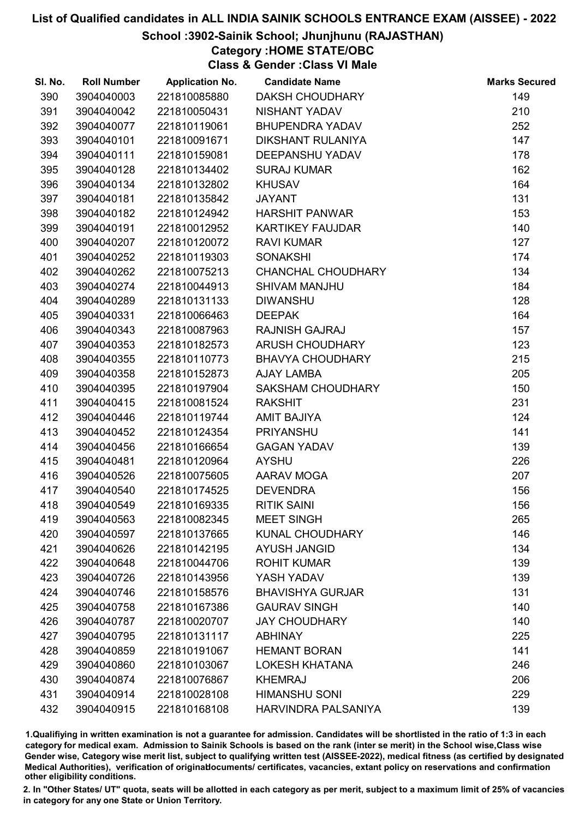### School :3902-Sainik School; Jhunjhunu (RAJASTHAN)

Category :HOME STATE/OBC

Class & Gender :Class VI Male

| SI. No. | <b>Roll Number</b> | <b>Application No.</b> | <b>Candidate Name</b>    | <b>Marks Secured</b> |
|---------|--------------------|------------------------|--------------------------|----------------------|
| 390     | 3904040003         | 221810085880           | <b>DAKSH CHOUDHARY</b>   | 149                  |
| 391     | 3904040042         | 221810050431           | NISHANT YADAV            | 210                  |
| 392     | 3904040077         | 221810119061           | <b>BHUPENDRA YADAV</b>   | 252                  |
| 393     | 3904040101         | 221810091671           | <b>DIKSHANT RULANIYA</b> | 147                  |
| 394     | 3904040111         | 221810159081           | <b>DEEPANSHU YADAV</b>   | 178                  |
| 395     | 3904040128         | 221810134402           | <b>SURAJ KUMAR</b>       | 162                  |
| 396     | 3904040134         | 221810132802           | <b>KHUSAV</b>            | 164                  |
| 397     | 3904040181         | 221810135842           | <b>JAYANT</b>            | 131                  |
| 398     | 3904040182         | 221810124942           | <b>HARSHIT PANWAR</b>    | 153                  |
| 399     | 3904040191         | 221810012952           | <b>KARTIKEY FAUJDAR</b>  | 140                  |
| 400     | 3904040207         | 221810120072           | <b>RAVI KUMAR</b>        | 127                  |
| 401     | 3904040252         | 221810119303           | <b>SONAKSHI</b>          | 174                  |
| 402     | 3904040262         | 221810075213           | CHANCHAL CHOUDHARY       | 134                  |
| 403     | 3904040274         | 221810044913           | <b>SHIVAM MANJHU</b>     | 184                  |
| 404     | 3904040289         | 221810131133           | <b>DIWANSHU</b>          | 128                  |
| 405     | 3904040331         | 221810066463           | <b>DEEPAK</b>            | 164                  |
| 406     | 3904040343         | 221810087963           | <b>RAJNISH GAJRAJ</b>    | 157                  |
| 407     | 3904040353         | 221810182573           | <b>ARUSH CHOUDHARY</b>   | 123                  |
| 408     | 3904040355         | 221810110773           | <b>BHAVYA CHOUDHARY</b>  | 215                  |
| 409     | 3904040358         | 221810152873           | <b>AJAY LAMBA</b>        | 205                  |
| 410     | 3904040395         | 221810197904           | <b>SAKSHAM CHOUDHARY</b> | 150                  |
| 411     | 3904040415         | 221810081524           | <b>RAKSHIT</b>           | 231                  |
| 412     | 3904040446         | 221810119744           | <b>AMIT BAJIYA</b>       | 124                  |
| 413     | 3904040452         | 221810124354           | <b>PRIYANSHU</b>         | 141                  |
| 414     | 3904040456         | 221810166654           | <b>GAGAN YADAV</b>       | 139                  |
| 415     | 3904040481         | 221810120964           | <b>AYSHU</b>             | 226                  |
| 416     | 3904040526         | 221810075605           | AARAV MOGA               | 207                  |
| 417     | 3904040540         | 221810174525           | <b>DEVENDRA</b>          | 156                  |
| 418     | 3904040549         | 221810169335           | <b>RITIK SAINI</b>       | 156                  |
| 419     | 3904040563         | 221810082345           | <b>MEET SINGH</b>        | 265                  |
| 420     | 3904040597         | 221810137665           | KUNAL CHOUDHARY          | 146                  |
| 421     | 3904040626         | 221810142195           | <b>AYUSH JANGID</b>      | 134                  |
| 422     | 3904040648         | 221810044706           | <b>ROHIT KUMAR</b>       | 139                  |
| 423     | 3904040726         | 221810143956           | YASH YADAV               | 139                  |
| 424     | 3904040746         | 221810158576           | <b>BHAVISHYA GURJAR</b>  | 131                  |
| 425     | 3904040758         | 221810167386           | <b>GAURAV SINGH</b>      | 140                  |
| 426     | 3904040787         | 221810020707           | <b>JAY CHOUDHARY</b>     | 140                  |
| 427     | 3904040795         | 221810131117           | <b>ABHINAY</b>           | 225                  |
| 428     | 3904040859         | 221810191067           | <b>HEMANT BORAN</b>      | 141                  |
| 429     | 3904040860         | 221810103067           | <b>LOKESH KHATANA</b>    | 246                  |
| 430     | 3904040874         | 221810076867           | <b>KHEMRAJ</b>           | 206                  |
| 431     | 3904040914         | 221810028108           | <b>HIMANSHU SONI</b>     | 229                  |
| 432     | 3904040915         | 221810168108           | HARVINDRA PALSANIYA      | 139                  |

1.Qualifiying in written examination is not a guarantee for admission. Candidates will be shortlisted in the ratio of 1:3 in each category for medical exam. Admission to Sainik Schools is based on the rank (inter se merit) in the School wise,Class wise Gender wise, Category wise merit list, subject to qualifying written test (AISSEE-2022), medical fitness (as certified by designated Medical Authorities), verification of originablocuments/ certificates, vacancies, extant policy on reservations and confirmation other eligibility conditions.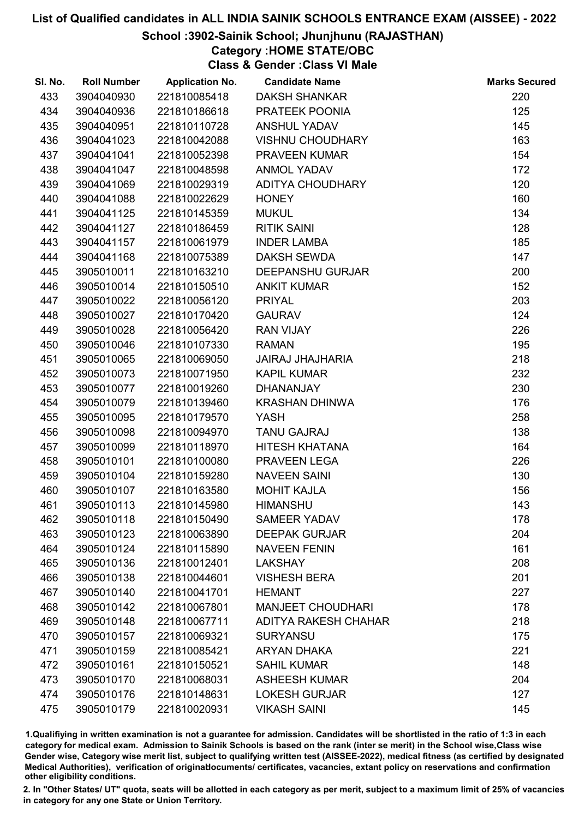### School :3902-Sainik School; Jhunjhunu (RAJASTHAN)

## Category :HOME STATE/OBC

Class & Gender :Class VI Male

| SI. No. | <b>Roll Number</b> | <b>Application No.</b> | <b>Candidate Name</b>       | <b>Marks Secured</b> |
|---------|--------------------|------------------------|-----------------------------|----------------------|
| 433     | 3904040930         | 221810085418           | <b>DAKSH SHANKAR</b>        | 220                  |
| 434     | 3904040936         | 221810186618           | PRATEEK POONIA              | 125                  |
| 435     | 3904040951         | 221810110728           | <b>ANSHUL YADAV</b>         | 145                  |
| 436     | 3904041023         | 221810042088           | <b>VISHNU CHOUDHARY</b>     | 163                  |
| 437     | 3904041041         | 221810052398           | PRAVEEN KUMAR               | 154                  |
| 438     | 3904041047         | 221810048598           | <b>ANMOL YADAV</b>          | 172                  |
| 439     | 3904041069         | 221810029319           | ADITYA CHOUDHARY            | 120                  |
| 440     | 3904041088         | 221810022629           | <b>HONEY</b>                | 160                  |
| 441     | 3904041125         | 221810145359           | <b>MUKUL</b>                | 134                  |
| 442     | 3904041127         | 221810186459           | <b>RITIK SAINI</b>          | 128                  |
| 443     | 3904041157         | 221810061979           | <b>INDER LAMBA</b>          | 185                  |
| 444     | 3904041168         | 221810075389           | <b>DAKSH SEWDA</b>          | 147                  |
| 445     | 3905010011         | 221810163210           | <b>DEEPANSHU GURJAR</b>     | 200                  |
| 446     | 3905010014         | 221810150510           | <b>ANKIT KUMAR</b>          | 152                  |
| 447     | 3905010022         | 221810056120           | <b>PRIYAL</b>               | 203                  |
| 448     | 3905010027         | 221810170420           | <b>GAURAV</b>               | 124                  |
| 449     | 3905010028         | 221810056420           | <b>RAN VIJAY</b>            | 226                  |
| 450     | 3905010046         | 221810107330           | <b>RAMAN</b>                | 195                  |
| 451     | 3905010065         | 221810069050           | <b>JAIRAJ JHAJHARIA</b>     | 218                  |
| 452     | 3905010073         | 221810071950           | <b>KAPIL KUMAR</b>          | 232                  |
| 453     | 3905010077         | 221810019260           | <b>DHANANJAY</b>            | 230                  |
| 454     | 3905010079         | 221810139460           | <b>KRASHAN DHINWA</b>       | 176                  |
| 455     | 3905010095         | 221810179570           | <b>YASH</b>                 | 258                  |
| 456     | 3905010098         | 221810094970           | <b>TANU GAJRAJ</b>          | 138                  |
| 457     | 3905010099         | 221810118970           | <b>HITESH KHATANA</b>       | 164                  |
| 458     | 3905010101         | 221810100080           | PRAVEEN LEGA                | 226                  |
| 459     | 3905010104         | 221810159280           | <b>NAVEEN SAINI</b>         | 130                  |
| 460     | 3905010107         | 221810163580           | <b>MOHIT KAJLA</b>          | 156                  |
| 461     | 3905010113         | 221810145980           | <b>HIMANSHU</b>             | 143                  |
| 462     | 3905010118         | 221810150490           | <b>SAMEER YADAV</b>         | 178                  |
| 463     | 3905010123         | 221810063890           | <b>DEEPAK GURJAR</b>        | 204                  |
| 464     | 3905010124         | 221810115890           | <b>NAVEEN FENIN</b>         | 161                  |
| 465     | 3905010136         | 221810012401           | <b>LAKSHAY</b>              | 208                  |
| 466     | 3905010138         | 221810044601           | <b>VISHESH BERA</b>         | 201                  |
| 467     | 3905010140         | 221810041701           | <b>HEMANT</b>               | 227                  |
| 468     | 3905010142         | 221810067801           | <b>MANJEET CHOUDHARI</b>    | 178                  |
| 469     | 3905010148         | 221810067711           | <b>ADITYA RAKESH CHAHAR</b> | 218                  |
| 470     | 3905010157         | 221810069321           | <b>SURYANSU</b>             | 175                  |
| 471     | 3905010159         | 221810085421           | <b>ARYAN DHAKA</b>          | 221                  |
| 472     | 3905010161         | 221810150521           | <b>SAHIL KUMAR</b>          | 148                  |
| 473     | 3905010170         | 221810068031           | <b>ASHEESH KUMAR</b>        | 204                  |
| 474     | 3905010176         | 221810148631           | <b>LOKESH GURJAR</b>        | 127                  |
| 475     | 3905010179         | 221810020931           | <b>VIKASH SAINI</b>         | 145                  |

1.Qualifiying in written examination is not a guarantee for admission. Candidates will be shortlisted in the ratio of 1:3 in each category for medical exam. Admission to Sainik Schools is based on the rank (inter se merit) in the School wise,Class wise Gender wise, Category wise merit list, subject to qualifying written test (AISSEE-2022), medical fitness (as certified by designated Medical Authorities), verification of originablocuments/ certificates, vacancies, extant policy on reservations and confirmation other eligibility conditions.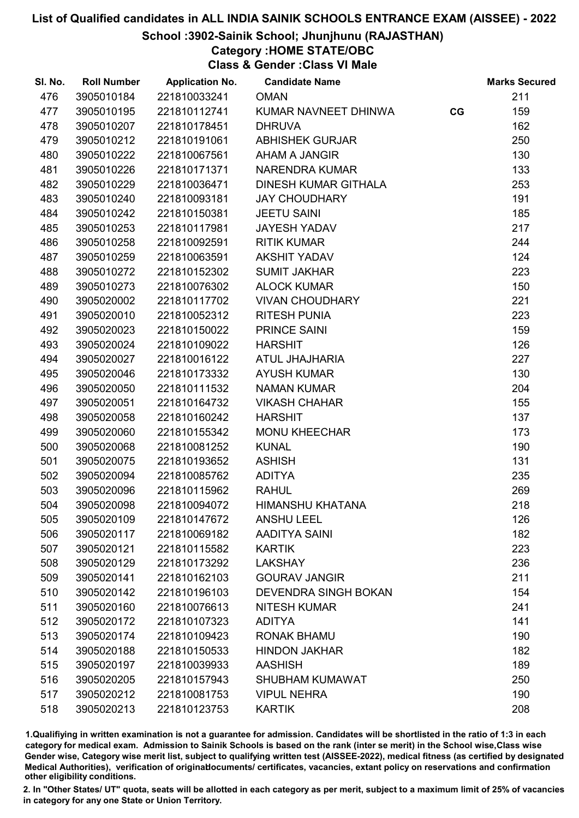### School :3902-Sainik School; Jhunjhunu (RAJASTHAN)

## Category :HOME STATE/OBC

Class & Gender :Class VI Male

| SI. No. | <b>Roll Number</b> | <b>Application No.</b> | <b>Candidate Name</b>       |    | <b>Marks Secured</b> |
|---------|--------------------|------------------------|-----------------------------|----|----------------------|
| 476     | 3905010184         | 221810033241           | <b>OMAN</b>                 |    | 211                  |
| 477     | 3905010195         | 221810112741           | KUMAR NAVNEET DHINWA        | CG | 159                  |
| 478     | 3905010207         | 221810178451           | <b>DHRUVA</b>               |    | 162                  |
| 479     | 3905010212         | 221810191061           | <b>ABHISHEK GURJAR</b>      |    | 250                  |
| 480     | 3905010222         | 221810067561           | AHAM A JANGIR               |    | 130                  |
| 481     | 3905010226         | 221810171371           | <b>NARENDRA KUMAR</b>       |    | 133                  |
| 482     | 3905010229         | 221810036471           | <b>DINESH KUMAR GITHALA</b> |    | 253                  |
| 483     | 3905010240         | 221810093181           | <b>JAY CHOUDHARY</b>        |    | 191                  |
| 484     | 3905010242         | 221810150381           | <b>JEETU SAINI</b>          |    | 185                  |
| 485     | 3905010253         | 221810117981           | <b>JAYESH YADAV</b>         |    | 217                  |
| 486     | 3905010258         | 221810092591           | <b>RITIK KUMAR</b>          |    | 244                  |
| 487     | 3905010259         | 221810063591           | <b>AKSHIT YADAV</b>         |    | 124                  |
| 488     | 3905010272         | 221810152302           | <b>SUMIT JAKHAR</b>         |    | 223                  |
| 489     | 3905010273         | 221810076302           | <b>ALOCK KUMAR</b>          |    | 150                  |
| 490     | 3905020002         | 221810117702           | <b>VIVAN CHOUDHARY</b>      |    | 221                  |
| 491     | 3905020010         | 221810052312           | <b>RITESH PUNIA</b>         |    | 223                  |
| 492     | 3905020023         | 221810150022           | <b>PRINCE SAINI</b>         |    | 159                  |
| 493     | 3905020024         | 221810109022           | <b>HARSHIT</b>              |    | 126                  |
| 494     | 3905020027         | 221810016122           | ATUL JHAJHARIA              |    | 227                  |
| 495     | 3905020046         | 221810173332           | <b>AYUSH KUMAR</b>          |    | 130                  |
| 496     | 3905020050         | 221810111532           | <b>NAMAN KUMAR</b>          |    | 204                  |
| 497     | 3905020051         | 221810164732           | <b>VIKASH CHAHAR</b>        |    | 155                  |
| 498     | 3905020058         | 221810160242           | <b>HARSHIT</b>              |    | 137                  |
| 499     | 3905020060         | 221810155342           | <b>MONU KHEECHAR</b>        |    | 173                  |
| 500     | 3905020068         | 221810081252           | <b>KUNAL</b>                |    | 190                  |
| 501     | 3905020075         | 221810193652           | <b>ASHISH</b>               |    | 131                  |
| 502     | 3905020094         | 221810085762           | <b>ADITYA</b>               |    | 235                  |
| 503     | 3905020096         | 221810115962           | <b>RAHUL</b>                |    | 269                  |
| 504     | 3905020098         | 221810094072           | HIMANSHU KHATANA            |    | 218                  |
| 505     | 3905020109         | 221810147672           | <b>ANSHU LEEL</b>           |    | 126                  |
| 506     | 3905020117         | 221810069182           | <b>AADITYA SAINI</b>        |    | 182                  |
| 507     | 3905020121         | 221810115582           | <b>KARTIK</b>               |    | 223                  |
| 508     | 3905020129         | 221810173292           | <b>LAKSHAY</b>              |    | 236                  |
| 509     | 3905020141         | 221810162103           | <b>GOURAV JANGIR</b>        |    | 211                  |
| 510     | 3905020142         | 221810196103           | <b>DEVENDRA SINGH BOKAN</b> |    | 154                  |
| 511     | 3905020160         | 221810076613           | <b>NITESH KUMAR</b>         |    | 241                  |
| 512     | 3905020172         | 221810107323           | <b>ADITYA</b>               |    | 141                  |
| 513     | 3905020174         | 221810109423           | <b>RONAK BHAMU</b>          |    | 190                  |
| 514     | 3905020188         | 221810150533           | <b>HINDON JAKHAR</b>        |    | 182                  |
| 515     | 3905020197         | 221810039933           | <b>AASHISH</b>              |    | 189                  |
| 516     | 3905020205         | 221810157943           | <b>SHUBHAM KUMAWAT</b>      |    | 250                  |
| 517     | 3905020212         | 221810081753           | <b>VIPUL NEHRA</b>          |    | 190                  |
| 518     | 3905020213         | 221810123753           | <b>KARTIK</b>               |    | 208                  |

1.Qualifiying in written examination is not a guarantee for admission. Candidates will be shortlisted in the ratio of 1:3 in each category for medical exam. Admission to Sainik Schools is based on the rank (inter se merit) in the School wise,Class wise Gender wise, Category wise merit list, subject to qualifying written test (AISSEE-2022), medical fitness (as certified by designated Medical Authorities), verification of originablocuments/ certificates, vacancies, extant policy on reservations and confirmation other eligibility conditions.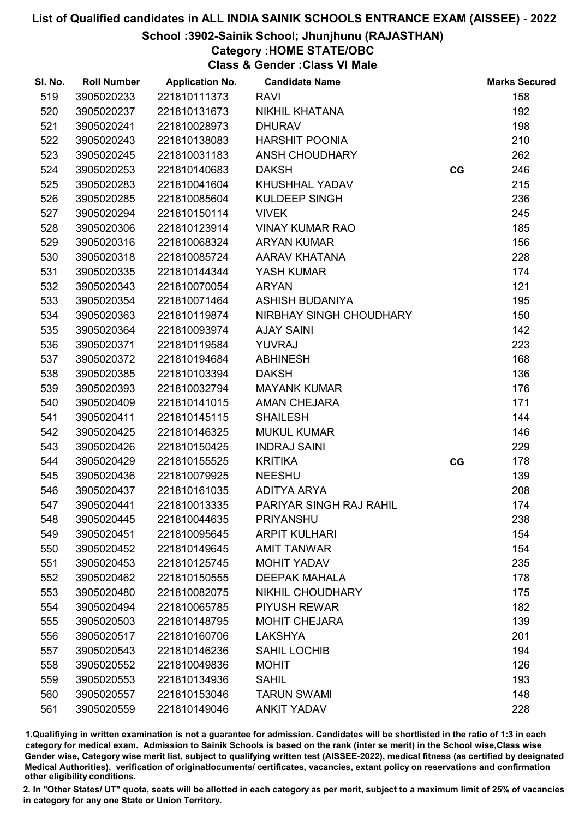### School :3902-Sainik School; Jhunjhunu (RAJASTHAN)

## Category :HOME STATE/OBC

Class & Gender :Class VI Male

| SI. No. | <b>Roll Number</b> | <b>Application No.</b> | <b>Candidate Name</b>   |    | <b>Marks Secured</b> |
|---------|--------------------|------------------------|-------------------------|----|----------------------|
| 519     | 3905020233         | 221810111373           | <b>RAVI</b>             |    | 158                  |
| 520     | 3905020237         | 221810131673           | NIKHIL KHATANA          |    | 192                  |
| 521     | 3905020241         | 221810028973           | <b>DHURAV</b>           |    | 198                  |
| 522     | 3905020243         | 221810138083           | <b>HARSHIT POONIA</b>   |    | 210                  |
| 523     | 3905020245         | 221810031183           | ANSH CHOUDHARY          |    | 262                  |
| 524     | 3905020253         | 221810140683           | <b>DAKSH</b>            | CG | 246                  |
| 525     | 3905020283         | 221810041604           | KHUSHHAL YADAV          |    | 215                  |
| 526     | 3905020285         | 221810085604           | <b>KULDEEP SINGH</b>    |    | 236                  |
| 527     | 3905020294         | 221810150114           | <b>VIVEK</b>            |    | 245                  |
| 528     | 3905020306         | 221810123914           | <b>VINAY KUMAR RAO</b>  |    | 185                  |
| 529     | 3905020316         | 221810068324           | <b>ARYAN KUMAR</b>      |    | 156                  |
| 530     | 3905020318         | 221810085724           | AARAV KHATANA           |    | 228                  |
| 531     | 3905020335         | 221810144344           | YASH KUMAR              |    | 174                  |
| 532     | 3905020343         | 221810070054           | <b>ARYAN</b>            |    | 121                  |
| 533     | 3905020354         | 221810071464           | <b>ASHISH BUDANIYA</b>  |    | 195                  |
| 534     | 3905020363         | 221810119874           | NIRBHAY SINGH CHOUDHARY |    | 150                  |
| 535     | 3905020364         | 221810093974           | <b>AJAY SAINI</b>       |    | 142                  |
| 536     | 3905020371         | 221810119584           | YUVRAJ                  |    | 223                  |
| 537     | 3905020372         | 221810194684           | <b>ABHINESH</b>         |    | 168                  |
| 538     | 3905020385         | 221810103394           | <b>DAKSH</b>            |    | 136                  |
| 539     | 3905020393         | 221810032794           | <b>MAYANK KUMAR</b>     |    | 176                  |
| 540     | 3905020409         | 221810141015           | <b>AMAN CHEJARA</b>     |    | 171                  |
| 541     | 3905020411         | 221810145115           | <b>SHAILESH</b>         |    | 144                  |
| 542     | 3905020425         | 221810146325           | <b>MUKUL KUMAR</b>      |    | 146                  |
| 543     | 3905020426         | 221810150425           | <b>INDRAJ SAINI</b>     |    | 229                  |
| 544     | 3905020429         | 221810155525           | <b>KRITIKA</b>          | CG | 178                  |
| 545     | 3905020436         | 221810079925           | <b>NEESHU</b>           |    | 139                  |
| 546     | 3905020437         | 221810161035           | <b>ADITYA ARYA</b>      |    | 208                  |
| 547     | 3905020441         | 221810013335           | PARIYAR SINGH RAJ RAHIL |    | 174                  |
| 548     | 3905020445         | 221810044635           | <b>PRIYANSHU</b>        |    | 238                  |
| 549     | 3905020451         | 221810095645           | <b>ARPIT KULHARI</b>    |    | 154                  |
| 550     | 3905020452         | 221810149645           | <b>AMIT TANWAR</b>      |    | 154                  |
| 551     | 3905020453         | 221810125745           | MOHIT YADAV             |    | 235                  |
| 552     | 3905020462         | 221810150555           | <b>DEEPAK MAHALA</b>    |    | 178                  |
| 553     | 3905020480         | 221810082075           | <b>NIKHIL CHOUDHARY</b> |    | 175                  |
| 554     | 3905020494         | 221810065785           | <b>PIYUSH REWAR</b>     |    | 182                  |
| 555     | 3905020503         | 221810148795           | <b>MOHIT CHEJARA</b>    |    | 139                  |
| 556     | 3905020517         | 221810160706           | <b>LAKSHYA</b>          |    | 201                  |
| 557     | 3905020543         | 221810146236           | <b>SAHIL LOCHIB</b>     |    | 194                  |
| 558     | 3905020552         | 221810049836           | <b>MOHIT</b>            |    | 126                  |
| 559     | 3905020553         | 221810134936           | <b>SAHIL</b>            |    | 193                  |
| 560     | 3905020557         | 221810153046           | <b>TARUN SWAMI</b>      |    | 148                  |
| 561     | 3905020559         | 221810149046           | <b>ANKIT YADAV</b>      |    | 228                  |

1.Qualifiying in written examination is not a guarantee for admission. Candidates will be shortlisted in the ratio of 1:3 in each category for medical exam. Admission to Sainik Schools is based on the rank (inter se merit) in the School wise,Class wise Gender wise, Category wise merit list, subject to qualifying written test (AISSEE-2022), medical fitness (as certified by designated Medical Authorities), verification of originablocuments/ certificates, vacancies, extant policy on reservations and confirmation other eligibility conditions.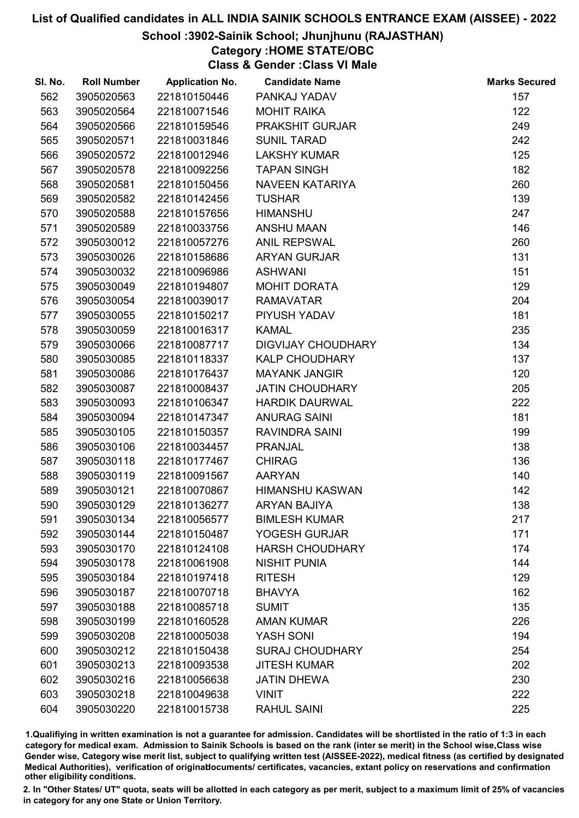### School :3902-Sainik School; Jhunjhunu (RAJASTHAN)

## Category :HOME STATE/OBC

Class & Gender :Class VI Male

| SI. No. | <b>Roll Number</b> | <b>Application No.</b> | <b>Candidate Name</b>     | <b>Marks Secured</b> |
|---------|--------------------|------------------------|---------------------------|----------------------|
| 562     | 3905020563         | 221810150446           | PANKAJ YADAV              | 157                  |
| 563     | 3905020564         | 221810071546           | <b>MOHIT RAIKA</b>        | 122                  |
| 564     | 3905020566         | 221810159546           | PRAKSHIT GURJAR           | 249                  |
| 565     | 3905020571         | 221810031846           | <b>SUNIL TARAD</b>        | 242                  |
| 566     | 3905020572         | 221810012946           | <b>LAKSHY KUMAR</b>       | 125                  |
| 567     | 3905020578         | 221810092256           | <b>TAPAN SINGH</b>        | 182                  |
| 568     | 3905020581         | 221810150456           | <b>NAVEEN KATARIYA</b>    | 260                  |
| 569     | 3905020582         | 221810142456           | <b>TUSHAR</b>             | 139                  |
| 570     | 3905020588         | 221810157656           | <b>HIMANSHU</b>           | 247                  |
| 571     | 3905020589         | 221810033756           | ANSHU MAAN                | 146                  |
| 572     | 3905030012         | 221810057276           | <b>ANIL REPSWAL</b>       | 260                  |
| 573     | 3905030026         | 221810158686           | <b>ARYAN GURJAR</b>       | 131                  |
| 574     | 3905030032         | 221810096986           | <b>ASHWANI</b>            | 151                  |
| 575     | 3905030049         | 221810194807           | <b>MOHIT DORATA</b>       | 129                  |
| 576     | 3905030054         | 221810039017           | <b>RAMAVATAR</b>          | 204                  |
| 577     | 3905030055         | 221810150217           | PIYUSH YADAV              | 181                  |
| 578     | 3905030059         | 221810016317           | <b>KAMAL</b>              | 235                  |
| 579     | 3905030066         | 221810087717           | <b>DIGVIJAY CHOUDHARY</b> | 134                  |
| 580     | 3905030085         | 221810118337           | <b>KALP CHOUDHARY</b>     | 137                  |
| 581     | 3905030086         | 221810176437           | <b>MAYANK JANGIR</b>      | 120                  |
| 582     | 3905030087         | 221810008437           | <b>JATIN CHOUDHARY</b>    | 205                  |
| 583     | 3905030093         | 221810106347           | <b>HARDIK DAURWAL</b>     | 222                  |
| 584     | 3905030094         | 221810147347           | <b>ANURAG SAINI</b>       | 181                  |
| 585     | 3905030105         | 221810150357           | RAVINDRA SAINI            | 199                  |
| 586     | 3905030106         | 221810034457           | <b>PRANJAL</b>            | 138                  |
| 587     | 3905030118         | 221810177467           | <b>CHIRAG</b>             | 136                  |
| 588     | 3905030119         | 221810091567           | <b>AARYAN</b>             | 140                  |
| 589     | 3905030121         | 221810070867           | <b>HIMANSHU KASWAN</b>    | 142                  |
| 590     | 3905030129         | 221810136277           | <b>ARYAN BAJIYA</b>       | 138                  |
| 591     | 3905030134         | 221810056577           | <b>BIMLESH KUMAR</b>      | 217                  |
| 592     | 3905030144         | 221810150487           | YOGESH GURJAR             | 171                  |
| 593     | 3905030170         | 221810124108           | <b>HARSH CHOUDHARY</b>    | 174                  |
| 594     | 3905030178         | 221810061908           | <b>NISHIT PUNIA</b>       | 144                  |
| 595     | 3905030184         | 221810197418           | <b>RITESH</b>             | 129                  |
| 596     | 3905030187         | 221810070718           | <b>BHAVYA</b>             | 162                  |
| 597     | 3905030188         | 221810085718           | <b>SUMIT</b>              | 135                  |
| 598     | 3905030199         | 221810160528           | <b>AMAN KUMAR</b>         | 226                  |
| 599     | 3905030208         | 221810005038           | YASH SONI                 | 194                  |
| 600     | 3905030212         | 221810150438           | <b>SURAJ CHOUDHARY</b>    | 254                  |
| 601     | 3905030213         | 221810093538           | <b>JITESH KUMAR</b>       | 202                  |
| 602     | 3905030216         | 221810056638           | <b>JATIN DHEWA</b>        | 230                  |
| 603     | 3905030218         | 221810049638           | <b>VINIT</b>              | 222                  |
| 604     | 3905030220         | 221810015738           | <b>RAHUL SAINI</b>        | 225                  |

1.Qualifiying in written examination is not a guarantee for admission. Candidates will be shortlisted in the ratio of 1:3 in each category for medical exam. Admission to Sainik Schools is based on the rank (inter se merit) in the School wise,Class wise Gender wise, Category wise merit list, subject to qualifying written test (AISSEE-2022), medical fitness (as certified by designated Medical Authorities), verification of originablocuments/ certificates, vacancies, extant policy on reservations and confirmation other eligibility conditions.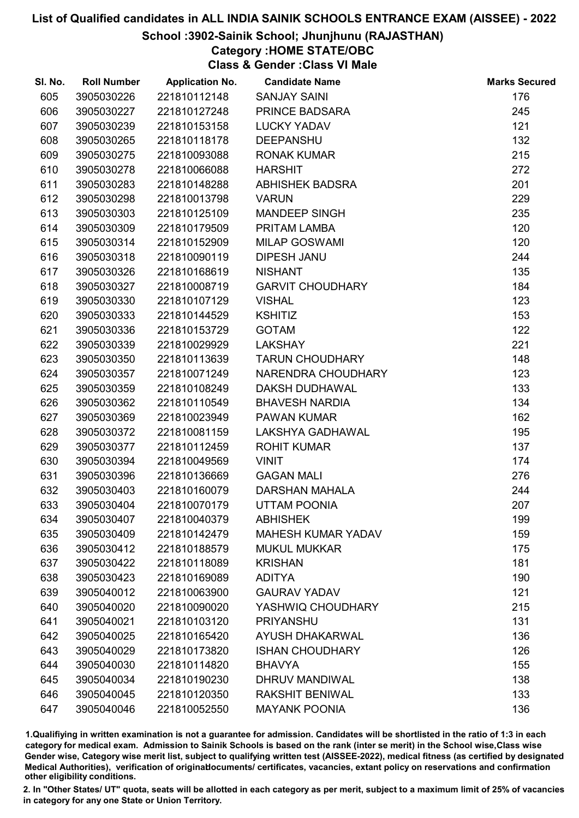### School :3902-Sainik School; Jhunjhunu (RAJASTHAN)

## Category :HOME STATE/OBC

Class & Gender :Class VI Male

| SI. No. | <b>Roll Number</b> | <b>Application No.</b> | <b>Candidate Name</b>     | <b>Marks Secured</b> |
|---------|--------------------|------------------------|---------------------------|----------------------|
| 605     | 3905030226         | 221810112148           | <b>SANJAY SAINI</b>       | 176                  |
| 606     | 3905030227         | 221810127248           | PRINCE BADSARA            | 245                  |
| 607     | 3905030239         | 221810153158           | <b>LUCKY YADAV</b>        | 121                  |
| 608     | 3905030265         | 221810118178           | <b>DEEPANSHU</b>          | 132                  |
| 609     | 3905030275         | 221810093088           | <b>RONAK KUMAR</b>        | 215                  |
| 610     | 3905030278         | 221810066088           | <b>HARSHIT</b>            | 272                  |
| 611     | 3905030283         | 221810148288           | <b>ABHISHEK BADSRA</b>    | 201                  |
| 612     | 3905030298         | 221810013798           | <b>VARUN</b>              | 229                  |
| 613     | 3905030303         | 221810125109           | <b>MANDEEP SINGH</b>      | 235                  |
| 614     | 3905030309         | 221810179509           | PRITAM LAMBA              | 120                  |
| 615     | 3905030314         | 221810152909           | <b>MILAP GOSWAMI</b>      | 120                  |
| 616     | 3905030318         | 221810090119           | <b>DIPESH JANU</b>        | 244                  |
| 617     | 3905030326         | 221810168619           | <b>NISHANT</b>            | 135                  |
| 618     | 3905030327         | 221810008719           | <b>GARVIT CHOUDHARY</b>   | 184                  |
| 619     | 3905030330         | 221810107129           | <b>VISHAL</b>             | 123                  |
| 620     | 3905030333         | 221810144529           | <b>KSHITIZ</b>            | 153                  |
| 621     | 3905030336         | 221810153729           | <b>GOTAM</b>              | 122                  |
| 622     | 3905030339         | 221810029929           | <b>LAKSHAY</b>            | 221                  |
| 623     | 3905030350         | 221810113639           | <b>TARUN CHOUDHARY</b>    | 148                  |
| 624     | 3905030357         | 221810071249           | NARENDRA CHOUDHARY        | 123                  |
| 625     | 3905030359         | 221810108249           | <b>DAKSH DUDHAWAL</b>     | 133                  |
| 626     | 3905030362         | 221810110549           | <b>BHAVESH NARDIA</b>     | 134                  |
| 627     | 3905030369         | 221810023949           | <b>PAWAN KUMAR</b>        | 162                  |
| 628     | 3905030372         | 221810081159           | LAKSHYA GADHAWAL          | 195                  |
| 629     | 3905030377         | 221810112459           | <b>ROHIT KUMAR</b>        | 137                  |
| 630     | 3905030394         | 221810049569           | <b>VINIT</b>              | 174                  |
| 631     | 3905030396         | 221810136669           | <b>GAGAN MALI</b>         | 276                  |
| 632     | 3905030403         | 221810160079           | <b>DARSHAN MAHALA</b>     | 244                  |
| 633     | 3905030404         | 221810070179           | <b>UTTAM POONIA</b>       | 207                  |
| 634     | 3905030407         | 221810040379           | <b>ABHISHEK</b>           | 199                  |
| 635     | 3905030409         | 221810142479           | <b>MAHESH KUMAR YADAV</b> | 159                  |
| 636     | 3905030412         | 221810188579           | <b>MUKUL MUKKAR</b>       | 175                  |
| 637     | 3905030422         | 221810118089           | <b>KRISHAN</b>            | 181                  |
| 638     | 3905030423         | 221810169089           | <b>ADITYA</b>             | 190                  |
| 639     | 3905040012         | 221810063900           | <b>GAURAV YADAV</b>       | 121                  |
| 640     | 3905040020         | 221810090020           | YASHWIQ CHOUDHARY         | 215                  |
| 641     | 3905040021         | 221810103120           | <b>PRIYANSHU</b>          | 131                  |
| 642     | 3905040025         | 221810165420           | <b>AYUSH DHAKARWAL</b>    | 136                  |
| 643     | 3905040029         | 221810173820           | <b>ISHAN CHOUDHARY</b>    | 126                  |
| 644     | 3905040030         | 221810114820           | <b>BHAVYA</b>             | 155                  |
| 645     | 3905040034         | 221810190230           | DHRUV MANDIWAL            | 138                  |
| 646     | 3905040045         | 221810120350           | <b>RAKSHIT BENIWAL</b>    | 133                  |
| 647     | 3905040046         | 221810052550           | <b>MAYANK POONIA</b>      | 136                  |

1.Qualifiying in written examination is not a guarantee for admission. Candidates will be shortlisted in the ratio of 1:3 in each category for medical exam. Admission to Sainik Schools is based on the rank (inter se merit) in the School wise,Class wise Gender wise, Category wise merit list, subject to qualifying written test (AISSEE-2022), medical fitness (as certified by designated Medical Authorities), verification of originablocuments/ certificates, vacancies, extant policy on reservations and confirmation other eligibility conditions.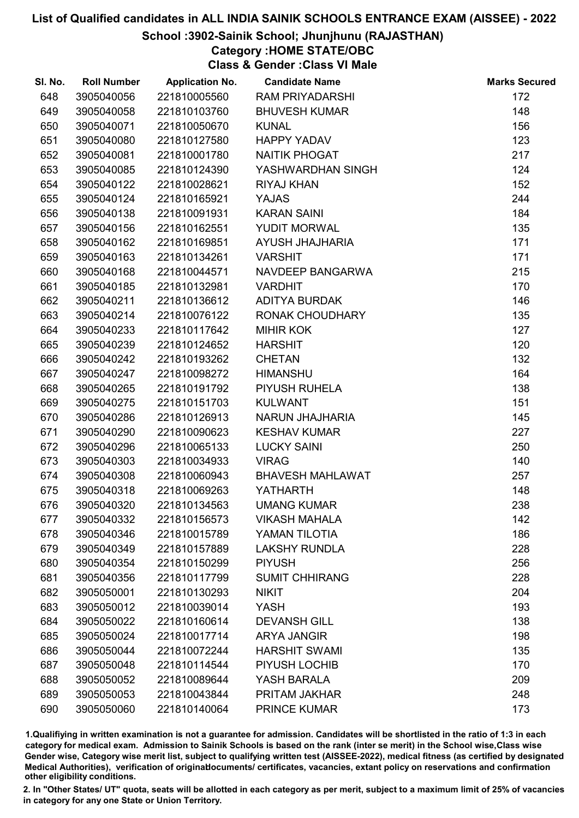### School :3902-Sainik School; Jhunjhunu (RAJASTHAN)

## Category :HOME STATE/OBC

Class & Gender :Class VI Male

| SI. No. | <b>Roll Number</b> | <b>Application No.</b> | <b>Candidate Name</b>   | <b>Marks Secured</b> |
|---------|--------------------|------------------------|-------------------------|----------------------|
| 648     | 3905040056         | 221810005560           | <b>RAM PRIYADARSHI</b>  | 172                  |
| 649     | 3905040058         | 221810103760           | <b>BHUVESH KUMAR</b>    | 148                  |
| 650     | 3905040071         | 221810050670           | <b>KUNAL</b>            | 156                  |
| 651     | 3905040080         | 221810127580           | <b>HAPPY YADAV</b>      | 123                  |
| 652     | 3905040081         | 221810001780           | <b>NAITIK PHOGAT</b>    | 217                  |
| 653     | 3905040085         | 221810124390           | YASHWARDHAN SINGH       | 124                  |
| 654     | 3905040122         | 221810028621           | <b>RIYAJ KHAN</b>       | 152                  |
| 655     | 3905040124         | 221810165921           | <b>YAJAS</b>            | 244                  |
| 656     | 3905040138         | 221810091931           | <b>KARAN SAINI</b>      | 184                  |
| 657     | 3905040156         | 221810162551           | YUDIT MORWAL            | 135                  |
| 658     | 3905040162         | 221810169851           | AYUSH JHAJHARIA         | 171                  |
| 659     | 3905040163         | 221810134261           | <b>VARSHIT</b>          | 171                  |
| 660     | 3905040168         | 221810044571           | NAVDEEP BANGARWA        | 215                  |
| 661     | 3905040185         | 221810132981           | <b>VARDHIT</b>          | 170                  |
| 662     | 3905040211         | 221810136612           | <b>ADITYA BURDAK</b>    | 146                  |
| 663     | 3905040214         | 221810076122           | RONAK CHOUDHARY         | 135                  |
| 664     | 3905040233         | 221810117642           | <b>MIHIR KOK</b>        | 127                  |
| 665     | 3905040239         | 221810124652           | <b>HARSHIT</b>          | 120                  |
| 666     | 3905040242         | 221810193262           | <b>CHETAN</b>           | 132                  |
| 667     | 3905040247         | 221810098272           | <b>HIMANSHU</b>         | 164                  |
| 668     | 3905040265         | 221810191792           | PIYUSH RUHELA           | 138                  |
| 669     | 3905040275         | 221810151703           | <b>KULWANT</b>          | 151                  |
| 670     | 3905040286         | 221810126913           | NARUN JHAJHARIA         | 145                  |
| 671     | 3905040290         | 221810090623           | <b>KESHAV KUMAR</b>     | 227                  |
| 672     | 3905040296         | 221810065133           | <b>LUCKY SAINI</b>      | 250                  |
| 673     | 3905040303         | 221810034933           | <b>VIRAG</b>            | 140                  |
| 674     | 3905040308         | 221810060943           | <b>BHAVESH MAHLAWAT</b> | 257                  |
| 675     | 3905040318         | 221810069263           | <b>YATHARTH</b>         | 148                  |
| 676     | 3905040320         | 221810134563           | <b>UMANG KUMAR</b>      | 238                  |
| 677     | 3905040332         | 221810156573           | <b>VIKASH MAHALA</b>    | 142                  |
| 678     | 3905040346         | 221810015789           | YAMAN TILOTIA           | 186                  |
| 679     | 3905040349         | 221810157889           | <b>LAKSHY RUNDLA</b>    | 228                  |
| 680     | 3905040354         | 221810150299           | <b>PIYUSH</b>           | 256                  |
| 681     | 3905040356         | 221810117799           | <b>SUMIT CHHIRANG</b>   | 228                  |
| 682     | 3905050001         | 221810130293           | <b>NIKIT</b>            | 204                  |
| 683     | 3905050012         | 221810039014           | <b>YASH</b>             | 193                  |
| 684     | 3905050022         | 221810160614           | <b>DEVANSH GILL</b>     | 138                  |
| 685     | 3905050024         | 221810017714           | <b>ARYA JANGIR</b>      | 198                  |
| 686     | 3905050044         | 221810072244           | <b>HARSHIT SWAMI</b>    | 135                  |
| 687     | 3905050048         | 221810114544           | PIYUSH LOCHIB           | 170                  |
| 688     | 3905050052         | 221810089644           | YASH BARALA             | 209                  |
| 689     | 3905050053         | 221810043844           | PRITAM JAKHAR           | 248                  |
| 690     | 3905050060         | 221810140064           | <b>PRINCE KUMAR</b>     | 173                  |

1.Qualifiying in written examination is not a guarantee for admission. Candidates will be shortlisted in the ratio of 1:3 in each category for medical exam. Admission to Sainik Schools is based on the rank (inter se merit) in the School wise,Class wise Gender wise, Category wise merit list, subject to qualifying written test (AISSEE-2022), medical fitness (as certified by designated Medical Authorities), verification of originablocuments/ certificates, vacancies, extant policy on reservations and confirmation other eligibility conditions.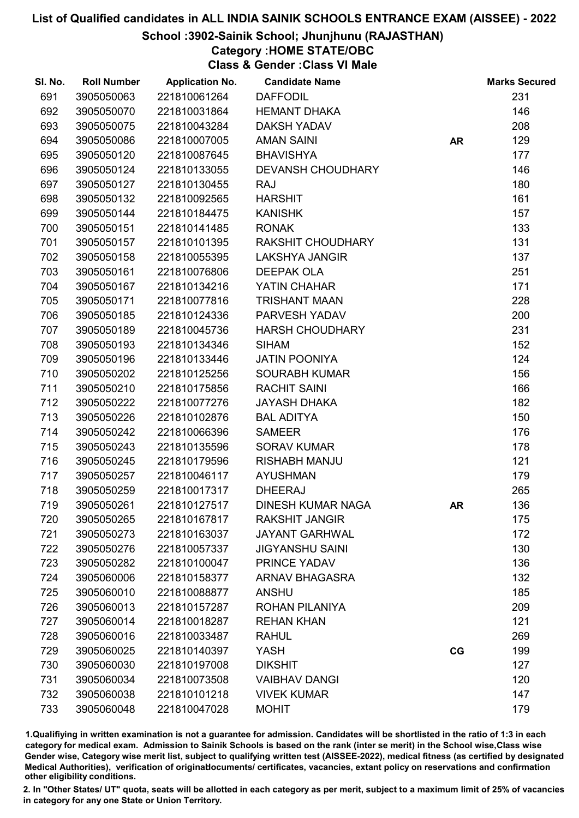### School :3902-Sainik School; Jhunjhunu (RAJASTHAN)

Category :HOME STATE/OBC

Class & Gender :Class VI Male

| SI. No. | <b>Roll Number</b> | <b>Application No.</b> | <b>Candidate Name</b>    |           | <b>Marks Secured</b> |
|---------|--------------------|------------------------|--------------------------|-----------|----------------------|
| 691     | 3905050063         | 221810061264           | <b>DAFFODIL</b>          |           | 231                  |
| 692     | 3905050070         | 221810031864           | <b>HEMANT DHAKA</b>      |           | 146                  |
| 693     | 3905050075         | 221810043284           | <b>DAKSH YADAV</b>       |           | 208                  |
| 694     | 3905050086         | 221810007005           | <b>AMAN SAINI</b>        | <b>AR</b> | 129                  |
| 695     | 3905050120         | 221810087645           | <b>BHAVISHYA</b>         |           | 177                  |
| 696     | 3905050124         | 221810133055           | <b>DEVANSH CHOUDHARY</b> |           | 146                  |
| 697     | 3905050127         | 221810130455           | <b>RAJ</b>               |           | 180                  |
| 698     | 3905050132         | 221810092565           | <b>HARSHIT</b>           |           | 161                  |
| 699     | 3905050144         | 221810184475           | <b>KANISHK</b>           |           | 157                  |
| 700     | 3905050151         | 221810141485           | <b>RONAK</b>             |           | 133                  |
| 701     | 3905050157         | 221810101395           | RAKSHIT CHOUDHARY        |           | 131                  |
| 702     | 3905050158         | 221810055395           | <b>LAKSHYA JANGIR</b>    |           | 137                  |
| 703     | 3905050161         | 221810076806           | <b>DEEPAK OLA</b>        |           | 251                  |
| 704     | 3905050167         | 221810134216           | YATIN CHAHAR             |           | 171                  |
| 705     | 3905050171         | 221810077816           | <b>TRISHANT MAAN</b>     |           | 228                  |
| 706     | 3905050185         | 221810124336           | PARVESH YADAV            |           | 200                  |
| 707     | 3905050189         | 221810045736           | <b>HARSH CHOUDHARY</b>   |           | 231                  |
| 708     | 3905050193         | 221810134346           | <b>SIHAM</b>             |           | 152                  |
| 709     | 3905050196         | 221810133446           | <b>JATIN POONIYA</b>     |           | 124                  |
| 710     | 3905050202         | 221810125256           | <b>SOURABH KUMAR</b>     |           | 156                  |
| 711     | 3905050210         | 221810175856           | <b>RACHIT SAINI</b>      |           | 166                  |
| 712     | 3905050222         | 221810077276           | <b>JAYASH DHAKA</b>      |           | 182                  |
| 713     | 3905050226         | 221810102876           | <b>BAL ADITYA</b>        |           | 150                  |
| 714     | 3905050242         | 221810066396           | <b>SAMEER</b>            |           | 176                  |
| 715     | 3905050243         | 221810135596           | <b>SORAV KUMAR</b>       |           | 178                  |
| 716     | 3905050245         | 221810179596           | <b>RISHABH MANJU</b>     |           | 121                  |
| 717     | 3905050257         | 221810046117           | <b>AYUSHMAN</b>          |           | 179                  |
| 718     | 3905050259         | 221810017317           | <b>DHEERAJ</b>           |           | 265                  |
| 719     | 3905050261         | 221810127517           | <b>DINESH KUMAR NAGA</b> | <b>AR</b> | 136                  |
| 720     | 3905050265         | 221810167817           | <b>RAKSHIT JANGIR</b>    |           | 175                  |
| 721     | 3905050273         | 221810163037           | <b>JAYANT GARHWAL</b>    |           | 172                  |
| 722     | 3905050276         | 221810057337           | <b>JIGYANSHU SAINI</b>   |           | 130                  |
| 723     | 3905050282         | 221810100047           | PRINCE YADAV             |           | 136                  |
| 724     | 3905060006         | 221810158377           | <b>ARNAV BHAGASRA</b>    |           | 132                  |
| 725     | 3905060010         | 221810088877           | <b>ANSHU</b>             |           | 185                  |
| 726     | 3905060013         | 221810157287           | ROHAN PILANIYA           |           | 209                  |
| 727     | 3905060014         | 221810018287           | <b>REHAN KHAN</b>        |           | 121                  |
| 728     | 3905060016         | 221810033487           | <b>RAHUL</b>             |           | 269                  |
| 729     | 3905060025         | 221810140397           | <b>YASH</b>              | CG        | 199                  |
| 730     | 3905060030         | 221810197008           | <b>DIKSHIT</b>           |           | 127                  |
| 731     | 3905060034         | 221810073508           | <b>VAIBHAV DANGI</b>     |           | 120                  |
| 732     | 3905060038         | 221810101218           | <b>VIVEK KUMAR</b>       |           | 147                  |
| 733     | 3905060048         | 221810047028           | <b>MOHIT</b>             |           | 179                  |

1.Qualifiying in written examination is not a guarantee for admission. Candidates will be shortlisted in the ratio of 1:3 in each category for medical exam. Admission to Sainik Schools is based on the rank (inter se merit) in the School wise,Class wise Gender wise, Category wise merit list, subject to qualifying written test (AISSEE-2022), medical fitness (as certified by designated Medical Authorities), verification of originablocuments/ certificates, vacancies, extant policy on reservations and confirmation other eligibility conditions.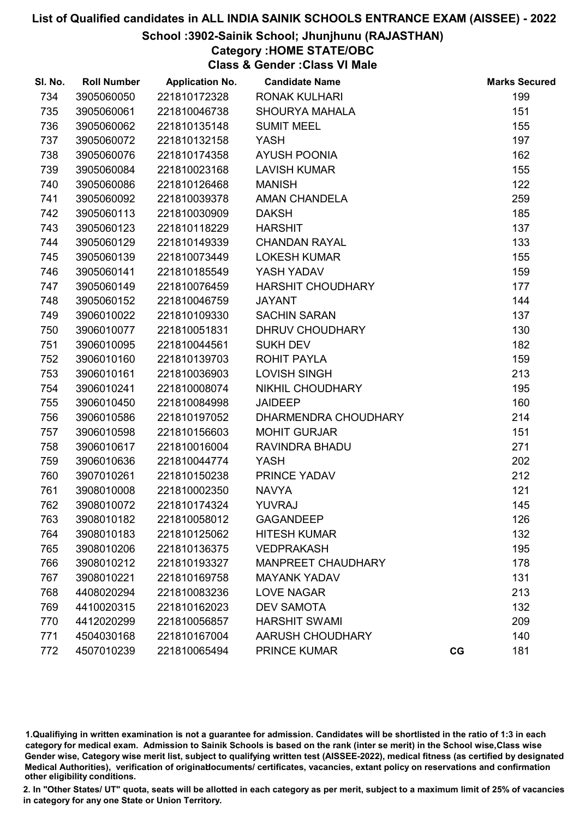### School :3902-Sainik School; Jhunjhunu (RAJASTHAN)

## Category :HOME STATE/OBC

Class & Gender :Class VI Male

| SI. No. | <b>Roll Number</b> | <b>Application No.</b> | <b>Candidate Name</b>     |    | <b>Marks Secured</b> |
|---------|--------------------|------------------------|---------------------------|----|----------------------|
| 734     | 3905060050         | 221810172328           | <b>RONAK KULHARI</b>      |    | 199                  |
| 735     | 3905060061         | 221810046738           | <b>SHOURYA MAHALA</b>     |    | 151                  |
| 736     | 3905060062         | 221810135148           | <b>SUMIT MEEL</b>         |    | 155                  |
| 737     | 3905060072         | 221810132158           | <b>YASH</b>               |    | 197                  |
| 738     | 3905060076         | 221810174358           | <b>AYUSH POONIA</b>       |    | 162                  |
| 739     | 3905060084         | 221810023168           | <b>LAVISH KUMAR</b>       |    | 155                  |
| 740     | 3905060086         | 221810126468           | <b>MANISH</b>             |    | 122                  |
| 741     | 3905060092         | 221810039378           | AMAN CHANDELA             |    | 259                  |
| 742     | 3905060113         | 221810030909           | <b>DAKSH</b>              |    | 185                  |
| 743     | 3905060123         | 221810118229           | <b>HARSHIT</b>            |    | 137                  |
| 744     | 3905060129         | 221810149339           | <b>CHANDAN RAYAL</b>      |    | 133                  |
| 745     | 3905060139         | 221810073449           | <b>LOKESH KUMAR</b>       |    | 155                  |
| 746     | 3905060141         | 221810185549           | YASH YADAV                |    | 159                  |
| 747     | 3905060149         | 221810076459           | <b>HARSHIT CHOUDHARY</b>  |    | 177                  |
| 748     | 3905060152         | 221810046759           | <b>JAYANT</b>             |    | 144                  |
| 749     | 3906010022         | 221810109330           | <b>SACHIN SARAN</b>       |    | 137                  |
| 750     | 3906010077         | 221810051831           | DHRUV CHOUDHARY           |    | 130                  |
| 751     | 3906010095         | 221810044561           | <b>SUKH DEV</b>           |    | 182                  |
| 752     | 3906010160         | 221810139703           | <b>ROHIT PAYLA</b>        |    | 159                  |
| 753     | 3906010161         | 221810036903           | <b>LOVISH SINGH</b>       |    | 213                  |
| 754     | 3906010241         | 221810008074           | NIKHIL CHOUDHARY          |    | 195                  |
| 755     | 3906010450         | 221810084998           | <b>JAIDEEP</b>            |    | 160                  |
| 756     | 3906010586         | 221810197052           | DHARMENDRA CHOUDHARY      |    | 214                  |
| 757     | 3906010598         | 221810156603           | <b>MOHIT GURJAR</b>       |    | 151                  |
| 758     | 3906010617         | 221810016004           | RAVINDRA BHADU            |    | 271                  |
| 759     | 3906010636         | 221810044774           | YASH                      |    | 202                  |
| 760     | 3907010261         | 221810150238           | PRINCE YADAV              |    | 212                  |
| 761     | 3908010008         | 221810002350           | <b>NAVYA</b>              |    | 121                  |
| 762     | 3908010072         | 221810174324           | <b>YUVRAJ</b>             |    | 145                  |
| 763     | 3908010182         | 221810058012           | <b>GAGANDEEP</b>          |    | 126                  |
| 764     | 3908010183         | 221810125062           | <b>HITESH KUMAR</b>       |    | 132                  |
| 765     | 3908010206         | 221810136375           | <b>VEDPRAKASH</b>         |    | 195                  |
| 766     | 3908010212         | 221810193327           | <b>MANPREET CHAUDHARY</b> |    | 178                  |
| 767     | 3908010221         | 221810169758           | <b>MAYANK YADAV</b>       |    | 131                  |
| 768     | 4408020294         | 221810083236           | <b>LOVE NAGAR</b>         |    | 213                  |
| 769     | 4410020315         | 221810162023           | <b>DEV SAMOTA</b>         |    | 132                  |
| 770     | 4412020299         | 221810056857           | <b>HARSHIT SWAMI</b>      |    | 209                  |
| 771     | 4504030168         | 221810167004           | <b>AARUSH CHOUDHARY</b>   |    | 140                  |
| 772     | 4507010239         | 221810065494           | <b>PRINCE KUMAR</b>       | CG | 181                  |

1.Qualifiying in written examination is not a guarantee for admission. Candidates will be shortlisted in the ratio of 1:3 in each category for medical exam. Admission to Sainik Schools is based on the rank (inter se merit) in the School wise,Class wise Gender wise, Category wise merit list, subject to qualifying written test (AISSEE-2022), medical fitness (as certified by designated Medical Authorities), verification of originablocuments/ certificates, vacancies, extant policy on reservations and confirmation other eligibility conditions.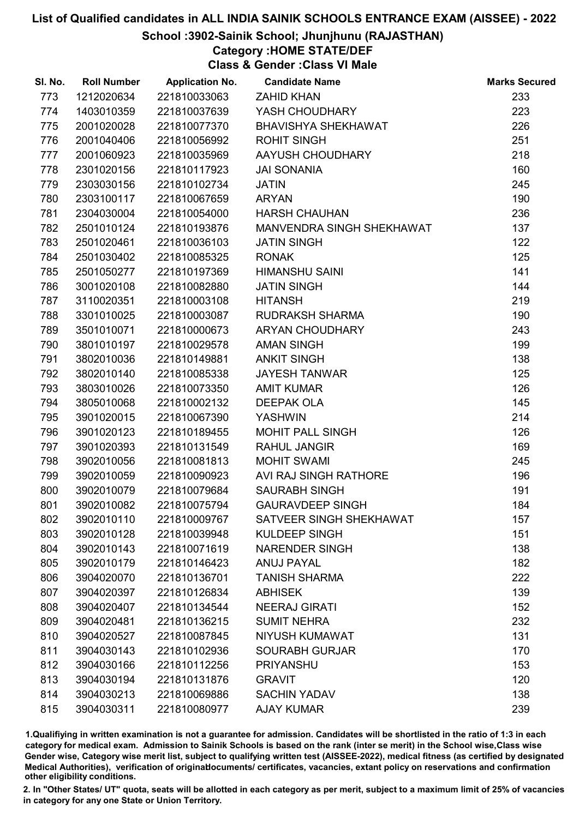### School :3902-Sainik School; Jhunjhunu (RAJASTHAN)

## Category :HOME STATE/DEF

Class & Gender :Class VI Male

| SI. No. | <b>Roll Number</b> | <b>Application No.</b> | <b>Candidate Name</b>      | <b>Marks Secured</b> |
|---------|--------------------|------------------------|----------------------------|----------------------|
| 773     | 1212020634         | 221810033063           | <b>ZAHID KHAN</b>          | 233                  |
| 774     | 1403010359         | 221810037639           | YASH CHOUDHARY             | 223                  |
| 775     | 2001020028         | 221810077370           | <b>BHAVISHYA SHEKHAWAT</b> | 226                  |
| 776     | 2001040406         | 221810056992           | <b>ROHIT SINGH</b>         | 251                  |
| 777     | 2001060923         | 221810035969           | AAYUSH CHOUDHARY           | 218                  |
| 778     | 2301020156         | 221810117923           | <b>JAI SONANIA</b>         | 160                  |
| 779     | 2303030156         | 221810102734           | <b>JATIN</b>               | 245                  |
| 780     | 2303100117         | 221810067659           | <b>ARYAN</b>               | 190                  |
| 781     | 2304030004         | 221810054000           | <b>HARSH CHAUHAN</b>       | 236                  |
| 782     | 2501010124         | 221810193876           | MANVENDRA SINGH SHEKHAWAT  | 137                  |
| 783     | 2501020461         | 221810036103           | <b>JATIN SINGH</b>         | 122                  |
| 784     | 2501030402         | 221810085325           | <b>RONAK</b>               | 125                  |
| 785     | 2501050277         | 221810197369           | <b>HIMANSHU SAINI</b>      | 141                  |
| 786     | 3001020108         | 221810082880           | <b>JATIN SINGH</b>         | 144                  |
| 787     | 3110020351         | 221810003108           | <b>HITANSH</b>             | 219                  |
| 788     | 3301010025         | 221810003087           | <b>RUDRAKSH SHARMA</b>     | 190                  |
| 789     | 3501010071         | 221810000673           | ARYAN CHOUDHARY            | 243                  |
| 790     | 3801010197         | 221810029578           | <b>AMAN SINGH</b>          | 199                  |
| 791     | 3802010036         | 221810149881           | <b>ANKIT SINGH</b>         | 138                  |
| 792     | 3802010140         | 221810085338           | <b>JAYESH TANWAR</b>       | 125                  |
| 793     | 3803010026         | 221810073350           | <b>AMIT KUMAR</b>          | 126                  |
| 794     | 3805010068         | 221810002132           | <b>DEEPAK OLA</b>          | 145                  |
| 795     | 3901020015         | 221810067390           | <b>YASHWIN</b>             | 214                  |
| 796     | 3901020123         | 221810189455           | <b>MOHIT PALL SINGH</b>    | 126                  |
| 797     | 3901020393         | 221810131549           | <b>RAHUL JANGIR</b>        | 169                  |
| 798     | 3902010056         | 221810081813           | <b>MOHIT SWAMI</b>         | 245                  |
| 799     | 3902010059         | 221810090923           | AVI RAJ SINGH RATHORE      | 196                  |
| 800     | 3902010079         | 221810079684           | <b>SAURABH SINGH</b>       | 191                  |
| 801     | 3902010082         | 221810075794           | <b>GAURAVDEEP SINGH</b>    | 184                  |
| 802     | 3902010110         | 221810009767           | SATVEER SINGH SHEKHAWAT    | 157                  |
| 803     | 3902010128         | 221810039948           | KULDEEP SINGH              | 151                  |
| 804     | 3902010143         | 221810071619           | <b>NARENDER SINGH</b>      | 138                  |
| 805     | 3902010179         | 221810146423           | <b>ANUJ PAYAL</b>          | 182                  |
| 806     | 3904020070         | 221810136701           | <b>TANISH SHARMA</b>       | 222                  |
| 807     | 3904020397         | 221810126834           | <b>ABHISEK</b>             | 139                  |
| 808     | 3904020407         | 221810134544           | <b>NEERAJ GIRATI</b>       | 152                  |
| 809     | 3904020481         | 221810136215           | <b>SUMIT NEHRA</b>         | 232                  |
| 810     | 3904020527         | 221810087845           | NIYUSH KUMAWAT             | 131                  |
| 811     | 3904030143         | 221810102936           | <b>SOURABH GURJAR</b>      | 170                  |
| 812     | 3904030166         | 221810112256           | <b>PRIYANSHU</b>           | 153                  |
| 813     | 3904030194         | 221810131876           | <b>GRAVIT</b>              | 120                  |
| 814     | 3904030213         | 221810069886           | <b>SACHIN YADAV</b>        | 138                  |
| 815     | 3904030311         | 221810080977           | <b>AJAY KUMAR</b>          | 239                  |

1.Qualifiying in written examination is not a guarantee for admission. Candidates will be shortlisted in the ratio of 1:3 in each category for medical exam. Admission to Sainik Schools is based on the rank (inter se merit) in the School wise,Class wise Gender wise, Category wise merit list, subject to qualifying written test (AISSEE-2022), medical fitness (as certified by designated Medical Authorities), verification of originablocuments/ certificates, vacancies, extant policy on reservations and confirmation other eligibility conditions.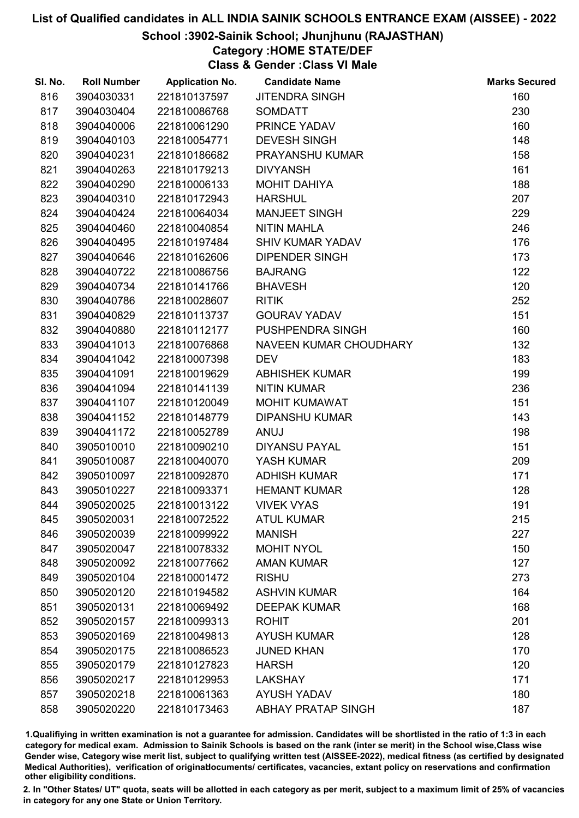### School :3902-Sainik School; Jhunjhunu (RAJASTHAN)

### Category :HOME STATE/DEF

Class & Gender :Class VI Male

| SI. No. | <b>Roll Number</b> | <b>Application No.</b> | <b>Candidate Name</b>     | <b>Marks Secured</b> |
|---------|--------------------|------------------------|---------------------------|----------------------|
| 816     | 3904030331         | 221810137597           | <b>JITENDRA SINGH</b>     | 160                  |
| 817     | 3904030404         | 221810086768           | <b>SOMDATT</b>            | 230                  |
| 818     | 3904040006         | 221810061290           | PRINCE YADAV              | 160                  |
| 819     | 3904040103         | 221810054771           | <b>DEVESH SINGH</b>       | 148                  |
| 820     | 3904040231         | 221810186682           | PRAYANSHU KUMAR           | 158                  |
| 821     | 3904040263         | 221810179213           | <b>DIVYANSH</b>           | 161                  |
| 822     | 3904040290         | 221810006133           | <b>MOHIT DAHIYA</b>       | 188                  |
| 823     | 3904040310         | 221810172943           | <b>HARSHUL</b>            | 207                  |
| 824     | 3904040424         | 221810064034           | <b>MANJEET SINGH</b>      | 229                  |
| 825     | 3904040460         | 221810040854           | <b>NITIN MAHLA</b>        | 246                  |
| 826     | 3904040495         | 221810197484           | <b>SHIV KUMAR YADAV</b>   | 176                  |
| 827     | 3904040646         | 221810162606           | <b>DIPENDER SINGH</b>     | 173                  |
| 828     | 3904040722         | 221810086756           | <b>BAJRANG</b>            | 122                  |
| 829     | 3904040734         | 221810141766           | <b>BHAVESH</b>            | 120                  |
| 830     | 3904040786         | 221810028607           | <b>RITIK</b>              | 252                  |
| 831     | 3904040829         | 221810113737           | <b>GOURAV YADAV</b>       | 151                  |
| 832     | 3904040880         | 221810112177           | PUSHPENDRA SINGH          | 160                  |
| 833     | 3904041013         | 221810076868           | NAVEEN KUMAR CHOUDHARY    | 132                  |
| 834     | 3904041042         | 221810007398           | <b>DEV</b>                | 183                  |
| 835     | 3904041091         | 221810019629           | <b>ABHISHEK KUMAR</b>     | 199                  |
| 836     | 3904041094         | 221810141139           | <b>NITIN KUMAR</b>        | 236                  |
| 837     | 3904041107         | 221810120049           | <b>MOHIT KUMAWAT</b>      | 151                  |
| 838     | 3904041152         | 221810148779           | <b>DIPANSHU KUMAR</b>     | 143                  |
| 839     | 3904041172         | 221810052789           | <b>ANUJ</b>               | 198                  |
| 840     | 3905010010         | 221810090210           | <b>DIYANSU PAYAL</b>      | 151                  |
| 841     | 3905010087         | 221810040070           | YASH KUMAR                | 209                  |
| 842     | 3905010097         | 221810092870           | <b>ADHISH KUMAR</b>       | 171                  |
| 843     | 3905010227         | 221810093371           | <b>HEMANT KUMAR</b>       | 128                  |
| 844     | 3905020025         | 221810013122           | <b>VIVEK VYAS</b>         | 191                  |
| 845     | 3905020031         | 221810072522           | <b>ATUL KUMAR</b>         | 215                  |
| 846     | 3905020039         | 221810099922           | <b>MANISH</b>             | 227                  |
| 847     | 3905020047         | 221810078332           | <b>MOHIT NYOL</b>         | 150                  |
| 848     | 3905020092         | 221810077662           | <b>AMAN KUMAR</b>         | 127                  |
| 849     | 3905020104         | 221810001472           | <b>RISHU</b>              | 273                  |
| 850     | 3905020120         | 221810194582           | <b>ASHVIN KUMAR</b>       | 164                  |
| 851     | 3905020131         | 221810069492           | <b>DEEPAK KUMAR</b>       | 168                  |
| 852     | 3905020157         | 221810099313           | <b>ROHIT</b>              | 201                  |
| 853     | 3905020169         | 221810049813           | <b>AYUSH KUMAR</b>        | 128                  |
| 854     | 3905020175         | 221810086523           | <b>JUNED KHAN</b>         | 170                  |
| 855     | 3905020179         | 221810127823           | <b>HARSH</b>              | 120                  |
| 856     | 3905020217         | 221810129953           | <b>LAKSHAY</b>            | 171                  |
| 857     | 3905020218         | 221810061363           | <b>AYUSH YADAV</b>        | 180                  |
| 858     | 3905020220         | 221810173463           | <b>ABHAY PRATAP SINGH</b> | 187                  |

1.Qualifiying in written examination is not a guarantee for admission. Candidates will be shortlisted in the ratio of 1:3 in each category for medical exam. Admission to Sainik Schools is based on the rank (inter se merit) in the School wise,Class wise Gender wise, Category wise merit list, subject to qualifying written test (AISSEE-2022), medical fitness (as certified by designated Medical Authorities), verification of originablocuments/ certificates, vacancies, extant policy on reservations and confirmation other eligibility conditions.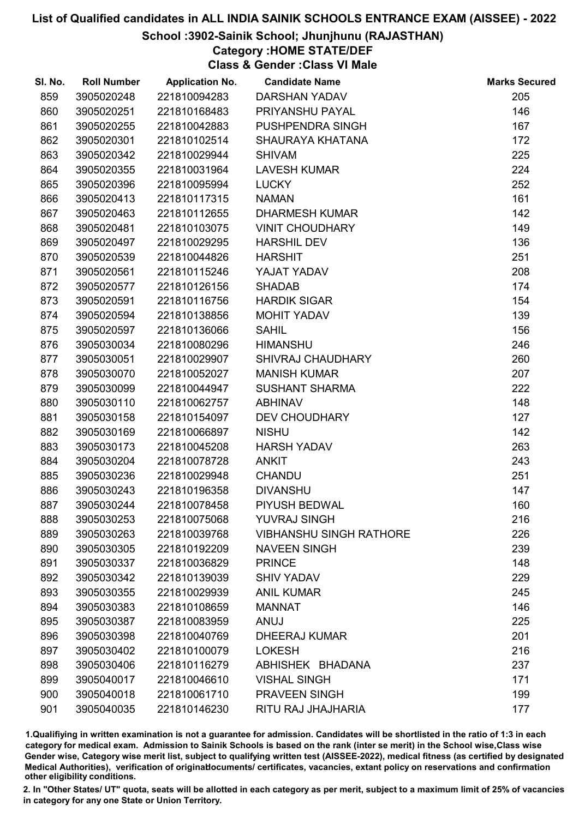### School :3902-Sainik School; Jhunjhunu (RAJASTHAN)

## Category :HOME STATE/DEF

Class & Gender :Class VI Male

| SI. No. | <b>Roll Number</b> | <b>Application No.</b> | <b>Candidate Name</b>          | <b>Marks Secured</b> |
|---------|--------------------|------------------------|--------------------------------|----------------------|
| 859     | 3905020248         | 221810094283           | DARSHAN YADAV                  | 205                  |
| 860     | 3905020251         | 221810168483           | PRIYANSHU PAYAL                | 146                  |
| 861     | 3905020255         | 221810042883           | PUSHPENDRA SINGH               | 167                  |
| 862     | 3905020301         | 221810102514           | SHAURAYA KHATANA               | 172                  |
| 863     | 3905020342         | 221810029944           | <b>SHIVAM</b>                  | 225                  |
| 864     | 3905020355         | 221810031964           | <b>LAVESH KUMAR</b>            | 224                  |
| 865     | 3905020396         | 221810095994           | <b>LUCKY</b>                   | 252                  |
| 866     | 3905020413         | 221810117315           | <b>NAMAN</b>                   | 161                  |
| 867     | 3905020463         | 221810112655           | <b>DHARMESH KUMAR</b>          | 142                  |
| 868     | 3905020481         | 221810103075           | <b>VINIT CHOUDHARY</b>         | 149                  |
| 869     | 3905020497         | 221810029295           | <b>HARSHIL DEV</b>             | 136                  |
| 870     | 3905020539         | 221810044826           | <b>HARSHIT</b>                 | 251                  |
| 871     | 3905020561         | 221810115246           | YAJAT YADAV                    | 208                  |
| 872     | 3905020577         | 221810126156           | <b>SHADAB</b>                  | 174                  |
| 873     | 3905020591         | 221810116756           | <b>HARDIK SIGAR</b>            | 154                  |
| 874     | 3905020594         | 221810138856           | MOHIT YADAV                    | 139                  |
| 875     | 3905020597         | 221810136066           | <b>SAHIL</b>                   | 156                  |
| 876     | 3905030034         | 221810080296           | <b>HIMANSHU</b>                | 246                  |
| 877     | 3905030051         | 221810029907           | <b>SHIVRAJ CHAUDHARY</b>       | 260                  |
| 878     | 3905030070         | 221810052027           | <b>MANISH KUMAR</b>            | 207                  |
| 879     | 3905030099         | 221810044947           | <b>SUSHANT SHARMA</b>          | 222                  |
| 880     | 3905030110         | 221810062757           | <b>ABHINAV</b>                 | 148                  |
| 881     | 3905030158         | 221810154097           | <b>DEV CHOUDHARY</b>           | 127                  |
| 882     | 3905030169         | 221810066897           | <b>NISHU</b>                   | 142                  |
| 883     | 3905030173         | 221810045208           | <b>HARSH YADAV</b>             | 263                  |
| 884     | 3905030204         | 221810078728           | <b>ANKIT</b>                   | 243                  |
| 885     | 3905030236         | 221810029948           | <b>CHANDU</b>                  | 251                  |
| 886     | 3905030243         | 221810196358           | <b>DIVANSHU</b>                | 147                  |
| 887     | 3905030244         | 221810078458           | PIYUSH BEDWAL                  | 160                  |
| 888     | 3905030253         | 221810075068           | <b>YUVRAJ SINGH</b>            | 216                  |
| 889     | 3905030263         | 221810039768           | <b>VIBHANSHU SINGH RATHORE</b> | 226                  |
| 890     | 3905030305         | 221810192209           | <b>NAVEEN SINGH</b>            | 239                  |
| 891     | 3905030337         | 221810036829           | <b>PRINCE</b>                  | 148                  |
| 892     | 3905030342         | 221810139039           | <b>SHIV YADAV</b>              | 229                  |
| 893     | 3905030355         | 221810029939           | <b>ANIL KUMAR</b>              | 245                  |
| 894     | 3905030383         | 221810108659           | <b>MANNAT</b>                  | 146                  |
| 895     | 3905030387         | 221810083959           | <b>ANUJ</b>                    | 225                  |
| 896     | 3905030398         | 221810040769           | <b>DHEERAJ KUMAR</b>           | 201                  |
| 897     | 3905030402         | 221810100079           | <b>LOKESH</b>                  | 216                  |
| 898     | 3905030406         | 221810116279           | ABHISHEK BHADANA               | 237                  |
| 899     | 3905040017         | 221810046610           | <b>VISHAL SINGH</b>            | 171                  |
| 900     | 3905040018         | 221810061710           | PRAVEEN SINGH                  | 199                  |
| 901     | 3905040035         | 221810146230           | RITU RAJ JHAJHARIA             | 177                  |

1.Qualifiying in written examination is not a guarantee for admission. Candidates will be shortlisted in the ratio of 1:3 in each category for medical exam. Admission to Sainik Schools is based on the rank (inter se merit) in the School wise,Class wise Gender wise, Category wise merit list, subject to qualifying written test (AISSEE-2022), medical fitness (as certified by designated Medical Authorities), verification of originablocuments/ certificates, vacancies, extant policy on reservations and confirmation other eligibility conditions.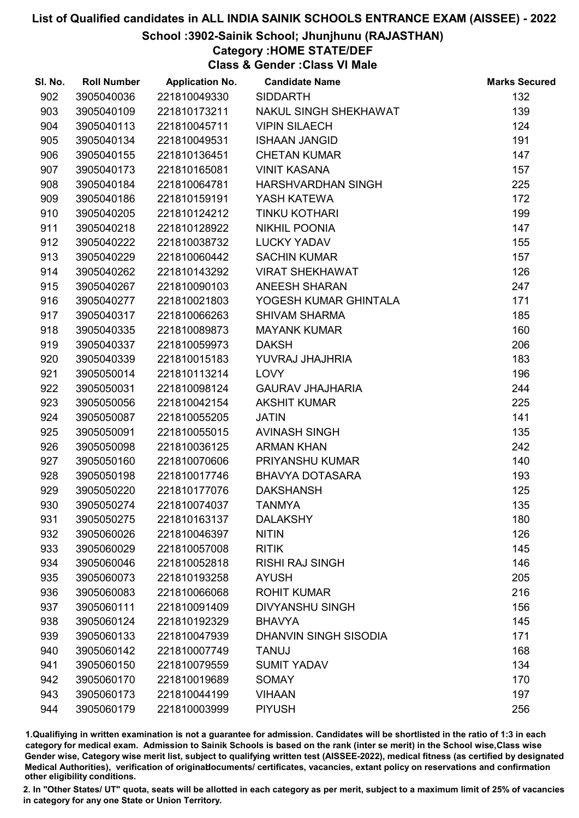### School :3902-Sainik School; Jhunjhunu (RAJASTHAN)

### Category :HOME STATE/DEF

Class & Gender :Class VI Male

| SI. No. | <b>Roll Number</b> | <b>Application No.</b> | <b>Candidate Name</b>        | <b>Marks Secured</b> |
|---------|--------------------|------------------------|------------------------------|----------------------|
| 902     | 3905040036         | 221810049330           | <b>SIDDARTH</b>              | 132                  |
| 903     | 3905040109         | 221810173211           | NAKUL SINGH SHEKHAWAT        | 139                  |
| 904     | 3905040113         | 221810045711           | <b>VIPIN SILAECH</b>         | 124                  |
| 905     | 3905040134         | 221810049531           | <b>ISHAAN JANGID</b>         | 191                  |
| 906     | 3905040155         | 221810136451           | <b>CHETAN KUMAR</b>          | 147                  |
| 907     | 3905040173         | 221810165081           | <b>VINIT KASANA</b>          | 157                  |
| 908     | 3905040184         | 221810064781           | HARSHVARDHAN SINGH           | 225                  |
| 909     | 3905040186         | 221810159191           | YASH KATEWA                  | 172                  |
| 910     | 3905040205         | 221810124212           | TINKU KOTHARI                | 199                  |
| 911     | 3905040218         | 221810128922           | <b>NIKHIL POONIA</b>         | 147                  |
| 912     | 3905040222         | 221810038732           | <b>LUCKY YADAV</b>           | 155                  |
| 913     | 3905040229         | 221810060442           | <b>SACHIN KUMAR</b>          | 157                  |
| 914     | 3905040262         | 221810143292           | <b>VIRAT SHEKHAWAT</b>       | 126                  |
| 915     | 3905040267         | 221810090103           | <b>ANEESH SHARAN</b>         | 247                  |
| 916     | 3905040277         | 221810021803           | YOGESH KUMAR GHINTALA        | 171                  |
| 917     | 3905040317         | 221810066263           | <b>SHIVAM SHARMA</b>         | 185                  |
| 918     | 3905040335         | 221810089873           | <b>MAYANK KUMAR</b>          | 160                  |
| 919     | 3905040337         | 221810059973           | <b>DAKSH</b>                 | 206                  |
| 920     | 3905040339         | 221810015183           | YUVRAJ JHAJHRIA              | 183                  |
| 921     | 3905050014         | 221810113214           | LOVY                         | 196                  |
| 922     | 3905050031         | 221810098124           | <b>GAURAV JHAJHARIA</b>      | 244                  |
| 923     | 3905050056         | 221810042154           | <b>AKSHIT KUMAR</b>          | 225                  |
| 924     | 3905050087         | 221810055205           | <b>JATIN</b>                 | 141                  |
| 925     | 3905050091         | 221810055015           | <b>AVINASH SINGH</b>         | 135                  |
| 926     | 3905050098         | 221810036125           | <b>ARMAN KHAN</b>            | 242                  |
| 927     | 3905050160         | 221810070606           | <b>PRIYANSHU KUMAR</b>       | 140                  |
| 928     | 3905050198         | 221810017746           | <b>BHAVYA DOTASARA</b>       | 193                  |
| 929     | 3905050220         | 221810177076           | <b>DAKSHANSH</b>             | 125                  |
| 930     | 3905050274         | 221810074037           | <b>TANMYA</b>                | 135                  |
| 931     | 3905050275         | 221810163137           | <b>DALAKSHY</b>              | 180                  |
| 932     | 3905060026         | 221810046397           | <b>NITIN</b>                 | 126                  |
| 933     | 3905060029         | 221810057008           | <b>RITIK</b>                 | 145                  |
| 934     | 3905060046         | 221810052818           | <b>RISHI RAJ SINGH</b>       | 146                  |
| 935     | 3905060073         | 221810193258           | <b>AYUSH</b>                 | 205                  |
| 936     | 3905060083         | 221810066068           | <b>ROHIT KUMAR</b>           | 216                  |
| 937     | 3905060111         | 221810091409           | <b>DIVYANSHU SINGH</b>       | 156                  |
| 938     | 3905060124         | 221810192329           | <b>BHAVYA</b>                | 145                  |
| 939     | 3905060133         | 221810047939           | <b>DHANVIN SINGH SISODIA</b> | 171                  |
| 940     | 3905060142         | 221810007749           | <b>TANUJ</b>                 | 168                  |
| 941     | 3905060150         | 221810079559           | <b>SUMIT YADAV</b>           | 134                  |
| 942     | 3905060170         | 221810019689           | <b>SOMAY</b>                 | 170                  |
| 943     | 3905060173         | 221810044199           | <b>VIHAAN</b>                | 197                  |
| 944     | 3905060179         | 221810003999           | <b>PIYUSH</b>                | 256                  |

1.Qualifiying in written examination is not a guarantee for admission. Candidates will be shortlisted in the ratio of 1:3 in each category for medical exam. Admission to Sainik Schools is based on the rank (inter se merit) in the School wise,Class wise Gender wise, Category wise merit list, subject to qualifying written test (AISSEE-2022), medical fitness (as certified by designated Medical Authorities), verification of originablocuments/ certificates, vacancies, extant policy on reservations and confirmation other eligibility conditions.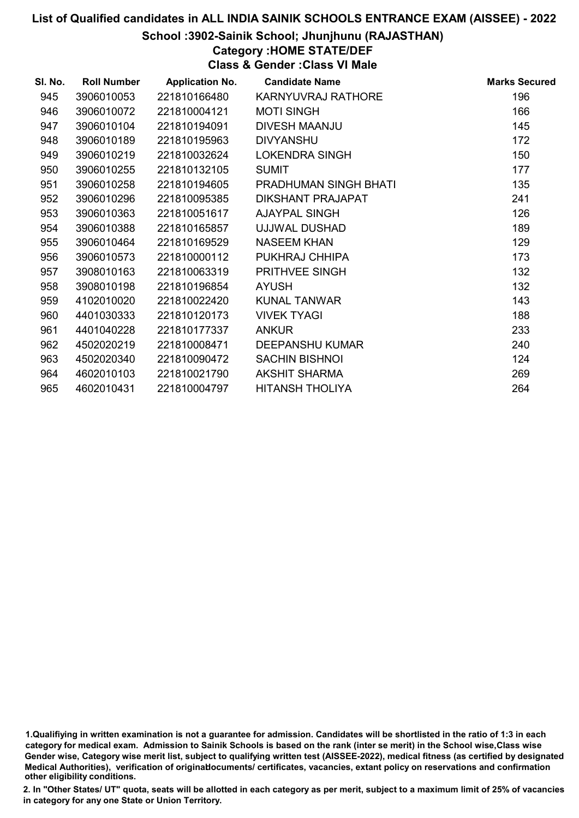### School :3902-Sainik School; Jhunjhunu (RAJASTHAN)

## Category :HOME STATE/DEF

Class & Gender :Class VI Male

| SI. No. | <b>Roll Number</b> | <b>Application No.</b> | <b>Candidate Name</b>    | <b>Marks Secured</b> |
|---------|--------------------|------------------------|--------------------------|----------------------|
| 945     | 3906010053         | 221810166480           | KARNYUVRAJ RATHORE       | 196                  |
| 946     | 3906010072         | 221810004121           | <b>MOTI SINGH</b>        | 166                  |
| 947     | 3906010104         | 221810194091           | <b>DIVESH MAANJU</b>     | 145                  |
| 948     | 3906010189         | 221810195963           | <b>DIVYANSHU</b>         | 172                  |
| 949     | 3906010219         | 221810032624           | <b>LOKENDRA SINGH</b>    | 150                  |
| 950     | 3906010255         | 221810132105           | <b>SUMIT</b>             | 177                  |
| 951     | 3906010258         | 221810194605           | PRADHUMAN SINGH BHATI    | 135                  |
| 952     | 3906010296         | 221810095385           | <b>DIKSHANT PRAJAPAT</b> | 241                  |
| 953     | 3906010363         | 221810051617           | AJAYPAL SINGH            | 126                  |
| 954     | 3906010388         | 221810165857           | UJJWAL DUSHAD            | 189                  |
| 955     | 3906010464         | 221810169529           | <b>NASEEM KHAN</b>       | 129                  |
| 956     | 3906010573         | 221810000112           | PUKHRAJ CHHIPA           | 173                  |
| 957     | 3908010163         | 221810063319           | PRITHVEE SINGH           | 132                  |
| 958     | 3908010198         | 221810196854           | <b>AYUSH</b>             | 132                  |
| 959     | 4102010020         | 221810022420           | <b>KUNAL TANWAR</b>      | 143                  |
| 960     | 4401030333         | 221810120173           | <b>VIVEK TYAGI</b>       | 188                  |
| 961     | 4401040228         | 221810177337           | <b>ANKUR</b>             | 233                  |
| 962     | 4502020219         | 221810008471           | <b>DEEPANSHU KUMAR</b>   | 240                  |
| 963     | 4502020340         | 221810090472           | <b>SACHIN BISHNOI</b>    | 124                  |
| 964     | 4602010103         | 221810021790           | <b>AKSHIT SHARMA</b>     | 269                  |
| 965     | 4602010431         | 221810004797           | <b>HITANSH THOLIYA</b>   | 264                  |

<sup>1.</sup>Qualifiying in written examination is not a guarantee for admission. Candidates will be shortlisted in the ratio of 1:3 in each category for medical exam. Admission to Sainik Schools is based on the rank (inter se merit) in the School wise,Class wise Gender wise, Category wise merit list, subject to qualifying written test (AISSEE-2022), medical fitness (as certified by designated Medical Authorities), verification of originablocuments/ certificates, vacancies, extant policy on reservations and confirmation other eligibility conditions.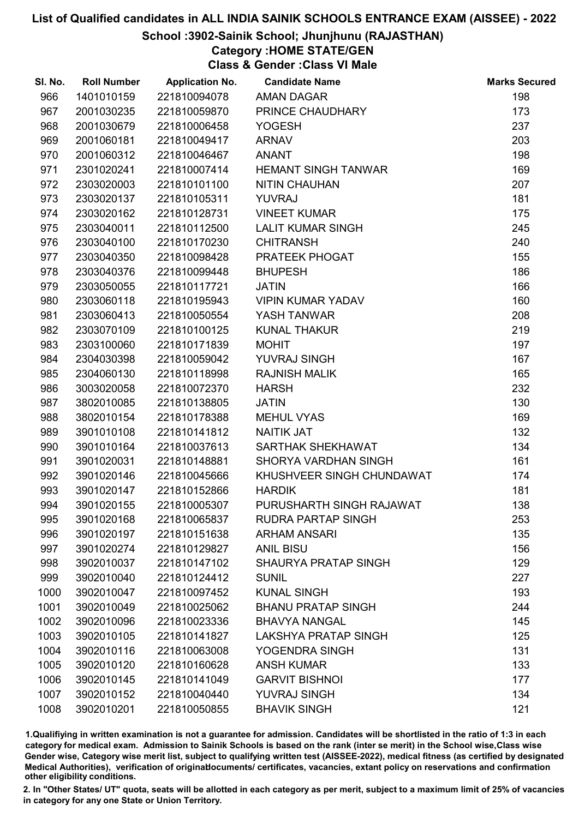### School :3902-Sainik School; Jhunjhunu (RAJASTHAN)

## Category :HOME STATE/GEN

Class & Gender :Class VI Male

| SI. No. | <b>Roll Number</b> | <b>Application No.</b> | <b>Candidate Name</b>       | <b>Marks Secured</b> |
|---------|--------------------|------------------------|-----------------------------|----------------------|
| 966     | 1401010159         | 221810094078           | <b>AMAN DAGAR</b>           | 198                  |
| 967     | 2001030235         | 221810059870           | PRINCE CHAUDHARY            | 173                  |
| 968     | 2001030679         | 221810006458           | <b>YOGESH</b>               | 237                  |
| 969     | 2001060181         | 221810049417           | <b>ARNAV</b>                | 203                  |
| 970     | 2001060312         | 221810046467           | <b>ANANT</b>                | 198                  |
| 971     | 2301020241         | 221810007414           | <b>HEMANT SINGH TANWAR</b>  | 169                  |
| 972     | 2303020003         | 221810101100           | <b>NITIN CHAUHAN</b>        | 207                  |
| 973     | 2303020137         | 221810105311           | <b>YUVRAJ</b>               | 181                  |
| 974     | 2303020162         | 221810128731           | <b>VINEET KUMAR</b>         | 175                  |
| 975     | 2303040011         | 221810112500           | <b>LALIT KUMAR SINGH</b>    | 245                  |
| 976     | 2303040100         | 221810170230           | <b>CHITRANSH</b>            | 240                  |
| 977     | 2303040350         | 221810098428           | PRATEEK PHOGAT              | 155                  |
| 978     | 2303040376         | 221810099448           | <b>BHUPESH</b>              | 186                  |
| 979     | 2303050055         | 221810117721           | <b>JATIN</b>                | 166                  |
| 980     | 2303060118         | 221810195943           | <b>VIPIN KUMAR YADAV</b>    | 160                  |
| 981     | 2303060413         | 221810050554           | YASH TANWAR                 | 208                  |
| 982     | 2303070109         | 221810100125           | <b>KUNAL THAKUR</b>         | 219                  |
| 983     | 2303100060         | 221810171839           | <b>MOHIT</b>                | 197                  |
| 984     | 2304030398         | 221810059042           | YUVRAJ SINGH                | 167                  |
| 985     | 2304060130         | 221810118998           | <b>RAJNISH MALIK</b>        | 165                  |
| 986     | 3003020058         | 221810072370           | <b>HARSH</b>                | 232                  |
| 987     | 3802010085         | 221810138805           | <b>JATIN</b>                | 130                  |
| 988     | 3802010154         | 221810178388           | <b>MEHUL VYAS</b>           | 169                  |
| 989     | 3901010108         | 221810141812           | <b>NAITIK JAT</b>           | 132                  |
| 990     | 3901010164         | 221810037613           | SARTHAK SHEKHAWAT           | 134                  |
| 991     | 3901020031         | 221810148881           | SHORYA VARDHAN SINGH        | 161                  |
| 992     | 3901020146         | 221810045666           | KHUSHVEER SINGH CHUNDAWAT   | 174                  |
| 993     | 3901020147         | 221810152866           | <b>HARDIK</b>               | 181                  |
| 994     | 3901020155         | 221810005307           | PURUSHARTH SINGH RAJAWAT    | 138                  |
| 995     | 3901020168         | 221810065837           | <b>RUDRA PARTAP SINGH</b>   | 253                  |
| 996     | 3901020197         | 221810151638           | <b>ARHAM ANSARI</b>         | 135                  |
| 997     | 3901020274         | 221810129827           | <b>ANIL BISU</b>            | 156                  |
| 998     | 3902010037         | 221810147102           | <b>SHAURYA PRATAP SINGH</b> | 129                  |
| 999     | 3902010040         | 221810124412           | <b>SUNIL</b>                | 227                  |
| 1000    | 3902010047         | 221810097452           | <b>KUNAL SINGH</b>          | 193                  |
| 1001    | 3902010049         | 221810025062           | <b>BHANU PRATAP SINGH</b>   | 244                  |
| 1002    | 3902010096         | 221810023336           | <b>BHAVYA NANGAL</b>        | 145                  |
| 1003    | 3902010105         | 221810141827           | <b>LAKSHYA PRATAP SINGH</b> | 125                  |
| 1004    | 3902010116         | 221810063008           | YOGENDRA SINGH              | 131                  |
| 1005    | 3902010120         | 221810160628           | <b>ANSH KUMAR</b>           | 133                  |
| 1006    | 3902010145         | 221810141049           | <b>GARVIT BISHNOI</b>       | 177                  |
| 1007    | 3902010152         | 221810040440           | <b>YUVRAJ SINGH</b>         | 134                  |
| 1008    | 3902010201         | 221810050855           | <b>BHAVIK SINGH</b>         | 121                  |

1.Qualifiying in written examination is not a guarantee for admission. Candidates will be shortlisted in the ratio of 1:3 in each category for medical exam. Admission to Sainik Schools is based on the rank (inter se merit) in the School wise,Class wise Gender wise, Category wise merit list, subject to qualifying written test (AISSEE-2022), medical fitness (as certified by designated Medical Authorities), verification of originablocuments/ certificates, vacancies, extant policy on reservations and confirmation other eligibility conditions.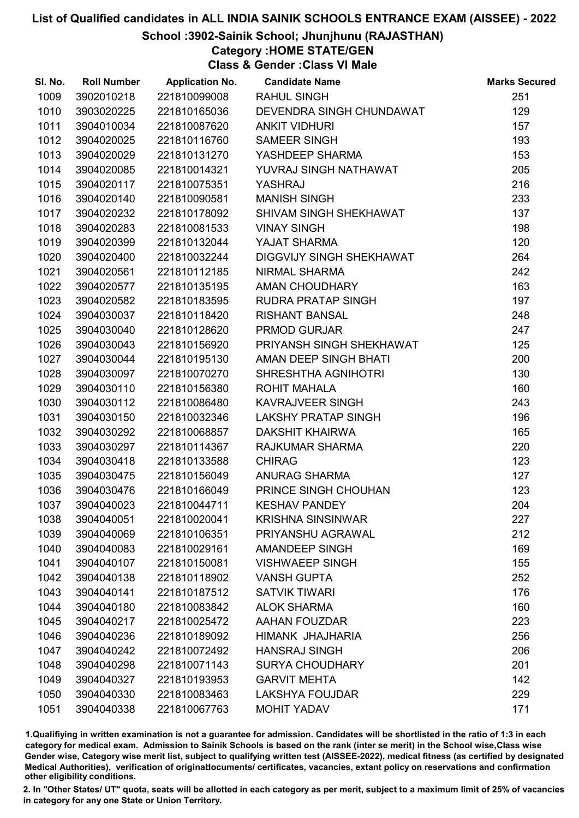### School :3902-Sainik School; Jhunjhunu (RAJASTHAN)

### Category :HOME STATE/GEN

Class & Gender :Class VI Male

| SI. No. | <b>Roll Number</b> | <b>Application No.</b> | <b>Candidate Name</b>      | <b>Marks Secured</b> |
|---------|--------------------|------------------------|----------------------------|----------------------|
| 1009    | 3902010218         | 221810099008           | <b>RAHUL SINGH</b>         | 251                  |
| 1010    | 3903020225         | 221810165036           | DEVENDRA SINGH CHUNDAWAT   | 129                  |
| 1011    | 3904010034         | 221810087620           | <b>ANKIT VIDHURI</b>       | 157                  |
| 1012    | 3904020025         | 221810116760           | <b>SAMEER SINGH</b>        | 193                  |
| 1013    | 3904020029         | 221810131270           | YASHDEEP SHARMA            | 153                  |
| 1014    | 3904020085         | 221810014321           | YUVRAJ SINGH NATHAWAT      | 205                  |
| 1015    | 3904020117         | 221810075351           | YASHRAJ                    | 216                  |
| 1016    | 3904020140         | 221810090581           | <b>MANISH SINGH</b>        | 233                  |
| 1017    | 3904020232         | 221810178092           | SHIVAM SINGH SHEKHAWAT     | 137                  |
| 1018    | 3904020283         | 221810081533           | <b>VINAY SINGH</b>         | 198                  |
| 1019    | 3904020399         | 221810132044           | YAJAT SHARMA               | 120                  |
| 1020    | 3904020400         | 221810032244           | DIGGVIJY SINGH SHEKHAWAT   | 264                  |
| 1021    | 3904020561         | 221810112185           | NIRMAL SHARMA              | 242                  |
| 1022    | 3904020577         | 221810135195           | <b>AMAN CHOUDHARY</b>      | 163                  |
| 1023    | 3904020582         | 221810183595           | <b>RUDRA PRATAP SINGH</b>  | 197                  |
| 1024    | 3904030037         | 221810118420           | <b>RISHANT BANSAL</b>      | 248                  |
| 1025    | 3904030040         | 221810128620           | <b>PRMOD GURJAR</b>        | 247                  |
| 1026    | 3904030043         | 221810156920           | PRIYANSH SINGH SHEKHAWAT   | 125                  |
| 1027    | 3904030044         | 221810195130           | AMAN DEEP SINGH BHATI      | 200                  |
| 1028    | 3904030097         | 221810070270           | SHRESHTHA AGNIHOTRI        | 130                  |
| 1029    | 3904030110         | 221810156380           | <b>ROHIT MAHALA</b>        | 160                  |
| 1030    | 3904030112         | 221810086480           | <b>KAVRAJVEER SINGH</b>    | 243                  |
| 1031    | 3904030150         | 221810032346           | <b>LAKSHY PRATAP SINGH</b> | 196                  |
| 1032    | 3904030292         | 221810068857           | <b>DAKSHIT KHAIRWA</b>     | 165                  |
| 1033    | 3904030297         | 221810114367           | <b>RAJKUMAR SHARMA</b>     | 220                  |
| 1034    | 3904030418         | 221810133588           | <b>CHIRAG</b>              | 123                  |
| 1035    | 3904030475         | 221810156049           | <b>ANURAG SHARMA</b>       | 127                  |
| 1036    | 3904030476         | 221810166049           | PRINCE SINGH CHOUHAN       | 123                  |
| 1037    | 3904040023         | 221810044711           | <b>KESHAV PANDEY</b>       | 204                  |
| 1038    | 3904040051         | 221810020041           | <b>KRISHNA SINSINWAR</b>   | 227                  |
| 1039    | 3904040069         | 221810106351           | PRIYANSHU AGRAWAL          | 212                  |
| 1040    | 3904040083         | 221810029161           | <b>AMANDEEP SINGH</b>      | 169                  |
| 1041    | 3904040107         | 221810150081           | <b>VISHWAEEP SINGH</b>     | 155                  |
| 1042    | 3904040138         | 221810118902           | <b>VANSH GUPTA</b>         | 252                  |
| 1043    | 3904040141         | 221810187512           | <b>SATVIK TIWARI</b>       | 176                  |
| 1044    | 3904040180         | 221810083842           | <b>ALOK SHARMA</b>         | 160                  |
| 1045    | 3904040217         | 221810025472           | <b>AAHAN FOUZDAR</b>       | 223                  |
| 1046    | 3904040236         | 221810189092           | HIMANK JHAJHARIA           | 256                  |
| 1047    | 3904040242         | 221810072492           | <b>HANSRAJ SINGH</b>       | 206                  |
| 1048    | 3904040298         | 221810071143           | <b>SURYA CHOUDHARY</b>     | 201                  |
| 1049    | 3904040327         | 221810193953           | <b>GARVIT MEHTA</b>        | 142                  |
| 1050    | 3904040330         | 221810083463           | <b>LAKSHYA FOUJDAR</b>     | 229                  |
| 1051    | 3904040338         | 221810067763           | <b>MOHIT YADAV</b>         | 171                  |

1.Qualifiying in written examination is not a guarantee for admission. Candidates will be shortlisted in the ratio of 1:3 in each category for medical exam. Admission to Sainik Schools is based on the rank (inter se merit) in the School wise,Class wise Gender wise, Category wise merit list, subject to qualifying written test (AISSEE-2022), medical fitness (as certified by designated Medical Authorities), verification of originablocuments/ certificates, vacancies, extant policy on reservations and confirmation other eligibility conditions.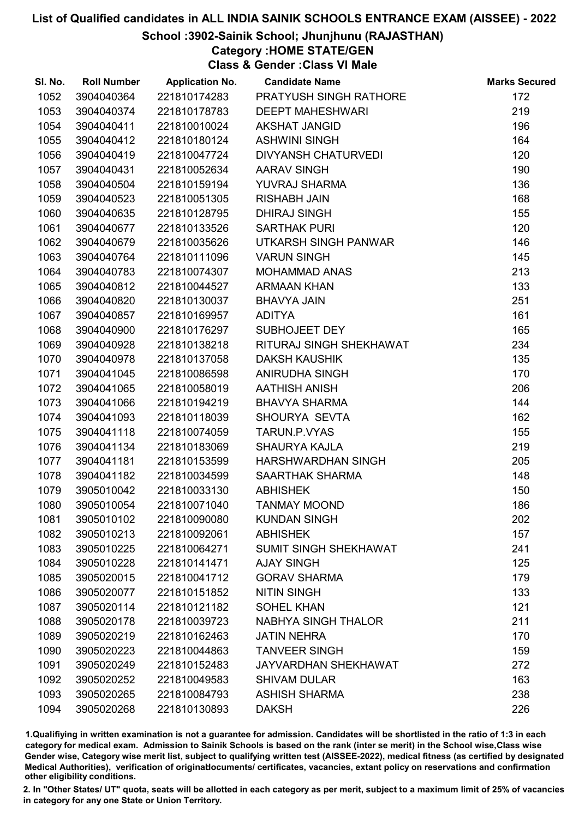### School :3902-Sainik School; Jhunjhunu (RAJASTHAN)

## Category :HOME STATE/GEN

Class & Gender :Class VI Male

| SI. No. | <b>Roll Number</b> | <b>Application No.</b> | <b>Candidate Name</b>         | <b>Marks Secured</b> |
|---------|--------------------|------------------------|-------------------------------|----------------------|
| 1052    | 3904040364         | 221810174283           | <b>PRATYUSH SINGH RATHORE</b> | 172                  |
| 1053    | 3904040374         | 221810178783           | <b>DEEPT MAHESHWARI</b>       | 219                  |
| 1054    | 3904040411         | 221810010024           | <b>AKSHAT JANGID</b>          | 196                  |
| 1055    | 3904040412         | 221810180124           | <b>ASHWINI SINGH</b>          | 164                  |
| 1056    | 3904040419         | 221810047724           | <b>DIVYANSH CHATURVEDI</b>    | 120                  |
| 1057    | 3904040431         | 221810052634           | <b>AARAV SINGH</b>            | 190                  |
| 1058    | 3904040504         | 221810159194           | <b>YUVRAJ SHARMA</b>          | 136                  |
| 1059    | 3904040523         | 221810051305           | <b>RISHABH JAIN</b>           | 168                  |
| 1060    | 3904040635         | 221810128795           | <b>DHIRAJ SINGH</b>           | 155                  |
| 1061    | 3904040677         | 221810133526           | <b>SARTHAK PURI</b>           | 120                  |
| 1062    | 3904040679         | 221810035626           | UTKARSH SINGH PANWAR          | 146                  |
| 1063    | 3904040764         | 221810111096           | <b>VARUN SINGH</b>            | 145                  |
| 1064    | 3904040783         | 221810074307           | <b>MOHAMMAD ANAS</b>          | 213                  |
| 1065    | 3904040812         | 221810044527           | <b>ARMAAN KHAN</b>            | 133                  |
| 1066    | 3904040820         | 221810130037           | <b>BHAVYA JAIN</b>            | 251                  |
| 1067    | 3904040857         | 221810169957           | <b>ADITYA</b>                 | 161                  |
| 1068    | 3904040900         | 221810176297           | SUBHOJEET DEY                 | 165                  |
| 1069    | 3904040928         | 221810138218           | RITURAJ SINGH SHEKHAWAT       | 234                  |
| 1070    | 3904040978         | 221810137058           | <b>DAKSH KAUSHIK</b>          | 135                  |
| 1071    | 3904041045         | 221810086598           | ANIRUDHA SINGH                | 170                  |
| 1072    | 3904041065         | 221810058019           | <b>AATHISH ANISH</b>          | 206                  |
| 1073    | 3904041066         | 221810194219           | <b>BHAVYA SHARMA</b>          | 144                  |
| 1074    | 3904041093         | 221810118039           | SHOURYA SEVTA                 | 162                  |
| 1075    | 3904041118         | 221810074059           | TARUN.P.VYAS                  | 155                  |
| 1076    | 3904041134         | 221810183069           | <b>SHAURYA KAJLA</b>          | 219                  |
| 1077    | 3904041181         | 221810153599           | HARSHWARDHAN SINGH            | 205                  |
| 1078    | 3904041182         | 221810034599           | SAARTHAK SHARMA               | 148                  |
| 1079    | 3905010042         | 221810033130           | <b>ABHISHEK</b>               | 150                  |
| 1080    | 3905010054         | 221810071040           | <b>TANMAY MOOND</b>           | 186                  |
| 1081    | 3905010102         | 221810090080           | <b>KUNDAN SINGH</b>           | 202                  |
| 1082    | 3905010213         | 221810092061           | <b>ABHISHEK</b>               | 157                  |
| 1083    | 3905010225         | 221810064271           | SUMIT SINGH SHEKHAWAT         | 241                  |
| 1084    | 3905010228         | 221810141471           | <b>AJAY SINGH</b>             | 125                  |
| 1085    | 3905020015         | 221810041712           | <b>GORAV SHARMA</b>           | 179                  |
| 1086    | 3905020077         | 221810151852           | <b>NITIN SINGH</b>            | 133                  |
| 1087    | 3905020114         | 221810121182           | <b>SOHEL KHAN</b>             | 121                  |
| 1088    | 3905020178         | 221810039723           | <b>NABHYA SINGH THALOR</b>    | 211                  |
| 1089    | 3905020219         | 221810162463           | <b>JATIN NEHRA</b>            | 170                  |
| 1090    | 3905020223         | 221810044863           | <b>TANVEER SINGH</b>          | 159                  |
| 1091    | 3905020249         | 221810152483           | <b>JAYVARDHAN SHEKHAWAT</b>   | 272                  |
| 1092    | 3905020252         | 221810049583           | <b>SHIVAM DULAR</b>           | 163                  |
| 1093    | 3905020265         | 221810084793           | <b>ASHISH SHARMA</b>          | 238                  |
| 1094    | 3905020268         | 221810130893           | <b>DAKSH</b>                  | 226                  |

1.Qualifiying in written examination is not a guarantee for admission. Candidates will be shortlisted in the ratio of 1:3 in each category for medical exam. Admission to Sainik Schools is based on the rank (inter se merit) in the School wise,Class wise Gender wise, Category wise merit list, subject to qualifying written test (AISSEE-2022), medical fitness (as certified by designated Medical Authorities), verification of originablocuments/ certificates, vacancies, extant policy on reservations and confirmation other eligibility conditions.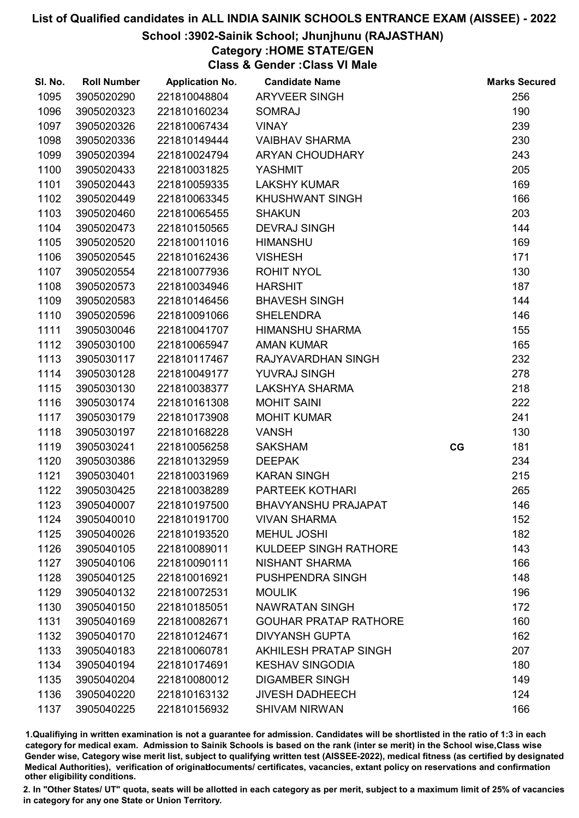### School :3902-Sainik School; Jhunjhunu (RAJASTHAN)

## Category :HOME STATE/GEN

Class & Gender :Class VI Male

| SI. No. | <b>Roll Number</b> | <b>Application No.</b> | <b>Candidate Name</b>        |    | <b>Marks Secured</b> |
|---------|--------------------|------------------------|------------------------------|----|----------------------|
| 1095    | 3905020290         | 221810048804           | <b>ARYVEER SINGH</b>         |    | 256                  |
| 1096    | 3905020323         | 221810160234           | <b>SOMRAJ</b>                |    | 190                  |
| 1097    | 3905020326         | 221810067434           | <b>VINAY</b>                 |    | 239                  |
| 1098    | 3905020336         | 221810149444           | <b>VAIBHAV SHARMA</b>        |    | 230                  |
| 1099    | 3905020394         | 221810024794           | ARYAN CHOUDHARY              |    | 243                  |
| 1100    | 3905020433         | 221810031825           | YASHMIT                      |    | 205                  |
| 1101    | 3905020443         | 221810059335           | <b>LAKSHY KUMAR</b>          |    | 169                  |
| 1102    | 3905020449         | 221810063345           | <b>KHUSHWANT SINGH</b>       |    | 166                  |
| 1103    | 3905020460         | 221810065455           | <b>SHAKUN</b>                |    | 203                  |
| 1104    | 3905020473         | 221810150565           | <b>DEVRAJ SINGH</b>          |    | 144                  |
| 1105    | 3905020520         | 221810011016           | <b>HIMANSHU</b>              |    | 169                  |
| 1106    | 3905020545         | 221810162436           | <b>VISHESH</b>               |    | 171                  |
| 1107    | 3905020554         | 221810077936           | <b>ROHIT NYOL</b>            |    | 130                  |
| 1108    | 3905020573         | 221810034946           | <b>HARSHIT</b>               |    | 187                  |
| 1109    | 3905020583         | 221810146456           | <b>BHAVESH SINGH</b>         |    | 144                  |
| 1110    | 3905020596         | 221810091066           | <b>SHELENDRA</b>             |    | 146                  |
| 1111    | 3905030046         | 221810041707           | <b>HIMANSHU SHARMA</b>       |    | 155                  |
| 1112    | 3905030100         | 221810065947           | <b>AMAN KUMAR</b>            |    | 165                  |
| 1113    | 3905030117         | 221810117467           | RAJYAVARDHAN SINGH           |    | 232                  |
| 1114    | 3905030128         | 221810049177           | YUVRAJ SINGH                 |    | 278                  |
| 1115    | 3905030130         | 221810038377           | LAKSHYA SHARMA               |    | 218                  |
| 1116    | 3905030174         | 221810161308           | <b>MOHIT SAINI</b>           |    | 222                  |
| 1117    | 3905030179         | 221810173908           | <b>MOHIT KUMAR</b>           |    | 241                  |
| 1118    | 3905030197         | 221810168228           | <b>VANSH</b>                 |    | 130                  |
| 1119    | 3905030241         | 221810056258           | <b>SAKSHAM</b>               | CG | 181                  |
| 1120    | 3905030386         | 221810132959           | <b>DEEPAK</b>                |    | 234                  |
| 1121    | 3905030401         | 221810031969           | <b>KARAN SINGH</b>           |    | 215                  |
| 1122    | 3905030425         | 221810038289           | PARTEEK KOTHARI              |    | 265                  |
| 1123    | 3905040007         | 221810197500           | <b>BHAVYANSHU PRAJAPAT</b>   |    | 146                  |
| 1124    | 3905040010         | 221810191700           | <b>VIVAN SHARMA</b>          |    | 152                  |
| 1125    | 3905040026         | 221810193520           | <b>MEHUL JOSHI</b>           |    | 182                  |
| 1126    | 3905040105         | 221810089011           | <b>KULDEEP SINGH RATHORE</b> |    | 143                  |
| 1127    | 3905040106         | 221810090111           | NISHANT SHARMA               |    | 166                  |
| 1128    | 3905040125         | 221810016921           | PUSHPENDRA SINGH             |    | 148                  |
| 1129    | 3905040132         | 221810072531           | <b>MOULIK</b>                |    | 196                  |
| 1130    | 3905040150         | 221810185051           | <b>NAWRATAN SINGH</b>        |    | 172                  |
| 1131    | 3905040169         | 221810082671           | <b>GOUHAR PRATAP RATHORE</b> |    | 160                  |
| 1132    | 3905040170         | 221810124671           | <b>DIVYANSH GUPTA</b>        |    | 162                  |
| 1133    | 3905040183         | 221810060781           | <b>AKHILESH PRATAP SINGH</b> |    | 207                  |
| 1134    | 3905040194         | 221810174691           | <b>KESHAV SINGODIA</b>       |    | 180                  |
| 1135    | 3905040204         | 221810080012           | <b>DIGAMBER SINGH</b>        |    | 149                  |
| 1136    | 3905040220         | 221810163132           | <b>JIVESH DADHEECH</b>       |    | 124                  |
| 1137    | 3905040225         | 221810156932           | <b>SHIVAM NIRWAN</b>         |    | 166                  |

1.Qualifiying in written examination is not a guarantee for admission. Candidates will be shortlisted in the ratio of 1:3 in each category for medical exam. Admission to Sainik Schools is based on the rank (inter se merit) in the School wise,Class wise Gender wise, Category wise merit list, subject to qualifying written test (AISSEE-2022), medical fitness (as certified by designated Medical Authorities), verification of originablocuments/ certificates, vacancies, extant policy on reservations and confirmation other eligibility conditions.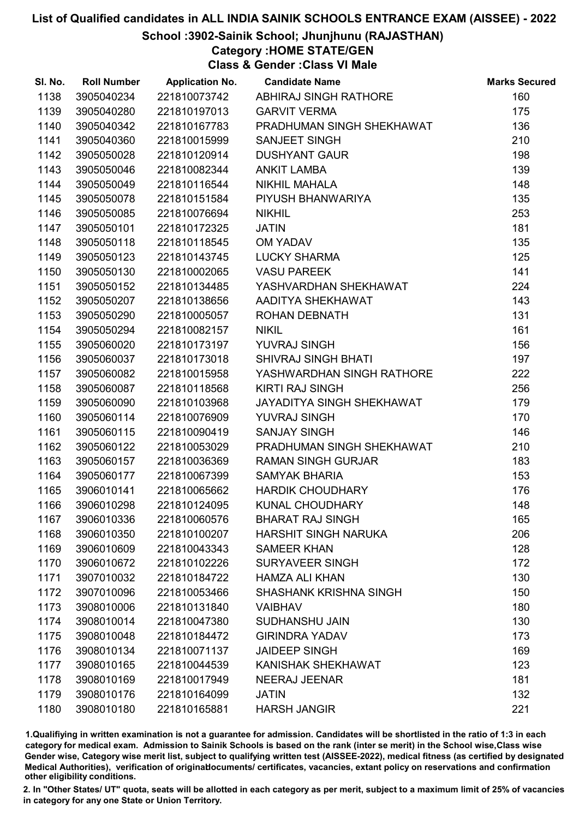### School :3902-Sainik School; Jhunjhunu (RAJASTHAN)

### Category :HOME STATE/GEN

Class & Gender :Class VI Male

| SI. No. | <b>Roll Number</b> | <b>Application No.</b> | <b>Candidate Name</b>         | <b>Marks Secured</b> |
|---------|--------------------|------------------------|-------------------------------|----------------------|
| 1138    | 3905040234         | 221810073742           | ABHIRAJ SINGH RATHORE         | 160                  |
| 1139    | 3905040280         | 221810197013           | <b>GARVIT VERMA</b>           | 175                  |
| 1140    | 3905040342         | 221810167783           | PRADHUMAN SINGH SHEKHAWAT     | 136                  |
| 1141    | 3905040360         | 221810015999           | <b>SANJEET SINGH</b>          | 210                  |
| 1142    | 3905050028         | 221810120914           | <b>DUSHYANT GAUR</b>          | 198                  |
| 1143    | 3905050046         | 221810082344           | <b>ANKIT LAMBA</b>            | 139                  |
| 1144    | 3905050049         | 221810116544           | <b>NIKHIL MAHALA</b>          | 148                  |
| 1145    | 3905050078         | 221810151584           | PIYUSH BHANWARIYA             | 135                  |
| 1146    | 3905050085         | 221810076694           | <b>NIKHIL</b>                 | 253                  |
| 1147    | 3905050101         | 221810172325           | <b>JATIN</b>                  | 181                  |
| 1148    | 3905050118         | 221810118545           | <b>OM YADAV</b>               | 135                  |
| 1149    | 3905050123         | 221810143745           | <b>LUCKY SHARMA</b>           | 125                  |
| 1150    | 3905050130         | 221810002065           | <b>VASU PAREEK</b>            | 141                  |
| 1151    | 3905050152         | 221810134485           | YASHVARDHAN SHEKHAWAT         | 224                  |
| 1152    | 3905050207         | 221810138656           | AADITYA SHEKHAWAT             | 143                  |
| 1153    | 3905050290         | 221810005057           | ROHAN DEBNATH                 | 131                  |
| 1154    | 3905050294         | 221810082157           | <b>NIKIL</b>                  | 161                  |
| 1155    | 3905060020         | 221810173197           | <b>YUVRAJ SINGH</b>           | 156                  |
| 1156    | 3905060037         | 221810173018           | <b>SHIVRAJ SINGH BHATI</b>    | 197                  |
| 1157    | 3905060082         | 221810015958           | YASHWARDHAN SINGH RATHORE     | 222                  |
| 1158    | 3905060087         | 221810118568           | <b>KIRTI RAJ SINGH</b>        | 256                  |
| 1159    | 3905060090         | 221810103968           | JAYADITYA SINGH SHEKHAWAT     | 179                  |
| 1160    | 3905060114         | 221810076909           | YUVRAJ SINGH                  | 170                  |
| 1161    | 3905060115         | 221810090419           | <b>SANJAY SINGH</b>           | 146                  |
| 1162    | 3905060122         | 221810053029           | PRADHUMAN SINGH SHEKHAWAT     | 210                  |
| 1163    | 3905060157         | 221810036369           | <b>RAMAN SINGH GURJAR</b>     | 183                  |
| 1164    | 3905060177         | 221810067399           | <b>SAMYAK BHARIA</b>          | 153                  |
| 1165    | 3906010141         | 221810065662           | <b>HARDIK CHOUDHARY</b>       | 176                  |
| 1166    | 3906010298         | 221810124095           | <b>KUNAL CHOUDHARY</b>        | 148                  |
| 1167    | 3906010336         | 221810060576           | <b>BHARAT RAJ SINGH</b>       | 165                  |
| 1168    | 3906010350         | 221810100207           | <b>HARSHIT SINGH NARUKA</b>   | 206                  |
| 1169    | 3906010609         | 221810043343           | <b>SAMEER KHAN</b>            | 128                  |
| 1170    | 3906010672         | 221810102226           | <b>SURYAVEER SINGH</b>        | 172                  |
| 1171    | 3907010032         | 221810184722           | <b>HAMZA ALI KHAN</b>         | 130                  |
| 1172    | 3907010096         | 221810053466           | <b>SHASHANK KRISHNA SINGH</b> | 150                  |
| 1173    | 3908010006         | 221810131840           | <b>VAIBHAV</b>                | 180                  |
| 1174    | 3908010014         | 221810047380           | <b>SUDHANSHU JAIN</b>         | 130                  |
| 1175    | 3908010048         | 221810184472           | <b>GIRINDRA YADAV</b>         | 173                  |
| 1176    | 3908010134         | 221810071137           | <b>JAIDEEP SINGH</b>          | 169                  |
| 1177    | 3908010165         | 221810044539           | KANISHAK SHEKHAWAT            | 123                  |
| 1178    | 3908010169         | 221810017949           | NEERAJ JEENAR                 | 181                  |
| 1179    | 3908010176         | 221810164099           | <b>JATIN</b>                  | 132                  |
| 1180    | 3908010180         | 221810165881           | <b>HARSH JANGIR</b>           | 221                  |

1.Qualifiying in written examination is not a guarantee for admission. Candidates will be shortlisted in the ratio of 1:3 in each category for medical exam. Admission to Sainik Schools is based on the rank (inter se merit) in the School wise,Class wise Gender wise, Category wise merit list, subject to qualifying written test (AISSEE-2022), medical fitness (as certified by designated Medical Authorities), verification of originablocuments/ certificates, vacancies, extant policy on reservations and confirmation other eligibility conditions.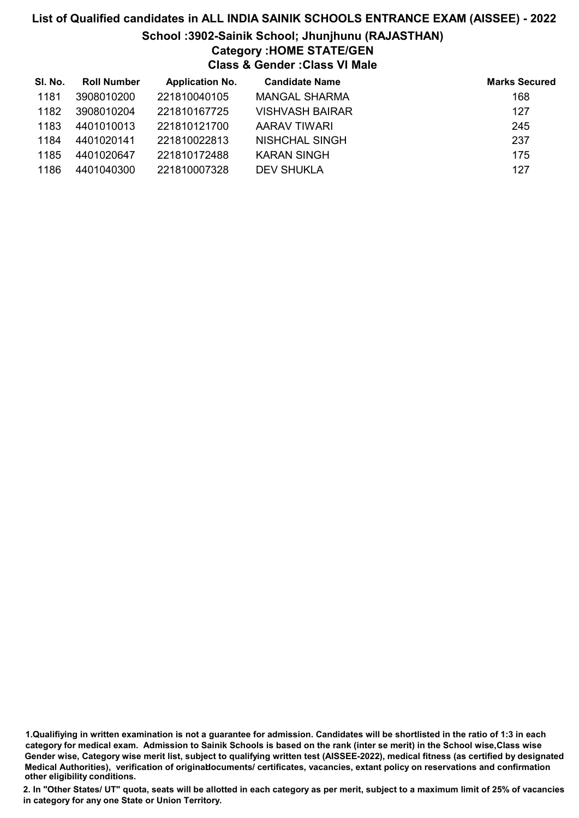### List of Qualified candidates in ALL INDIA SAINIK SCHOOLS ENTRANCE EXAM (AISSEE) - 2022 School :3902-Sainik School; Jhunjhunu (RAJASTHAN) Category :HOME STATE/GEN Class & Gender :Class VI Male

| SI. No. | <b>Roll Number</b> | <b>Application No.</b> | <b>Candidate Name</b>  | <b>Marks Secured</b> |
|---------|--------------------|------------------------|------------------------|----------------------|
| 1181    | 3908010200         | 221810040105           | MANGAL SHARMA          | 168                  |
| 1182    | 3908010204         | 221810167725           | <b>VISHVASH BAIRAR</b> | 127                  |
| 1183    | 4401010013         | 221810121700           | AARAV TIWARI           | 245                  |
| 1184    | 4401020141         | 221810022813           | NISHCHAL SINGH         | 237                  |
| 1185    | 4401020647         | 221810172488           | <b>KARAN SINGH</b>     | 175                  |
| 1186    | 4401040300         | 221810007328           | <b>DEV SHUKLA</b>      | 127                  |

<sup>1.</sup>Qualifiying in written examination is not a guarantee for admission. Candidates will be shortlisted in the ratio of 1:3 in each category for medical exam. Admission to Sainik Schools is based on the rank (inter se merit) in the School wise,Class wise Gender wise, Category wise merit list, subject to qualifying written test (AISSEE-2022), medical fitness (as certified by designated Medical Authorities), verification of originablocuments/ certificates, vacancies, extant policy on reservations and confirmation other eligibility conditions.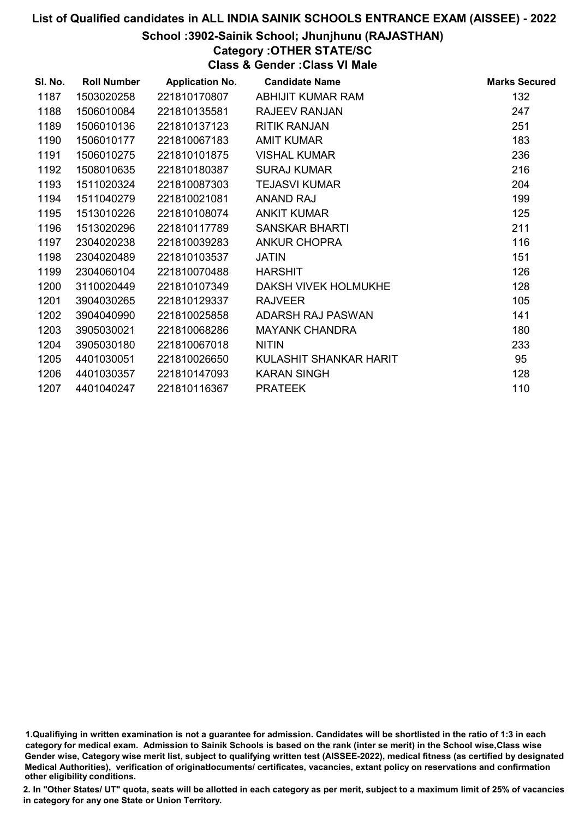### School :3902-Sainik School; Jhunjhunu (RAJASTHAN)

### Category :OTHER STATE/SC

Class & Gender :Class VI Male

| SI. No. | <b>Roll Number</b> | <b>Application No.</b> | <b>Candidate Name</b>  | <b>Marks Secured</b> |
|---------|--------------------|------------------------|------------------------|----------------------|
| 1187    | 1503020258         | 221810170807           | ABHIJIT KUMAR RAM      | 132                  |
| 1188    | 1506010084         | 221810135581           | <b>RAJEEV RANJAN</b>   | 247                  |
| 1189    | 1506010136         | 221810137123           | <b>RITIK RANJAN</b>    | 251                  |
| 1190    | 1506010177         | 221810067183           | <b>AMIT KUMAR</b>      | 183                  |
| 1191    | 1506010275         | 221810101875           | <b>VISHAL KUMAR</b>    | 236                  |
| 1192    | 1508010635         | 221810180387           | <b>SURAJ KUMAR</b>     | 216                  |
| 1193    | 1511020324         | 221810087303           | <b>TEJASVI KUMAR</b>   | 204                  |
| 1194    | 1511040279         | 221810021081           | <b>ANAND RAJ</b>       | 199                  |
| 1195    | 1513010226         | 221810108074           | <b>ANKIT KUMAR</b>     | 125                  |
| 1196    | 1513020296         | 221810117789           | <b>SANSKAR BHARTI</b>  | 211                  |
| 1197    | 2304020238         | 221810039283           | <b>ANKUR CHOPRA</b>    | 116                  |
| 1198    | 2304020489         | 221810103537           | <b>JATIN</b>           | 151                  |
| 1199    | 2304060104         | 221810070488           | <b>HARSHIT</b>         | 126                  |
| 1200    | 3110020449         | 221810107349           | DAKSH VIVEK HOLMUKHE   | 128                  |
| 1201    | 3904030265         | 221810129337           | <b>RAJVEER</b>         | 105                  |
| 1202    | 3904040990         | 221810025858           | ADARSH RAJ PASWAN      | 141                  |
| 1203    | 3905030021         | 221810068286           | <b>MAYANK CHANDRA</b>  | 180                  |
| 1204    | 3905030180         | 221810067018           | <b>NITIN</b>           | 233                  |
| 1205    | 4401030051         | 221810026650           | KULASHIT SHANKAR HARIT | 95                   |
| 1206    | 4401030357         | 221810147093           | <b>KARAN SINGH</b>     | 128                  |
| 1207    | 4401040247         | 221810116367           | <b>PRATEEK</b>         | 110                  |

<sup>1.</sup>Qualifiying in written examination is not a guarantee for admission. Candidates will be shortlisted in the ratio of 1:3 in each category for medical exam. Admission to Sainik Schools is based on the rank (inter se merit) in the School wise,Class wise Gender wise, Category wise merit list, subject to qualifying written test (AISSEE-2022), medical fitness (as certified by designated Medical Authorities), verification of originablocuments/ certificates, vacancies, extant policy on reservations and confirmation other eligibility conditions.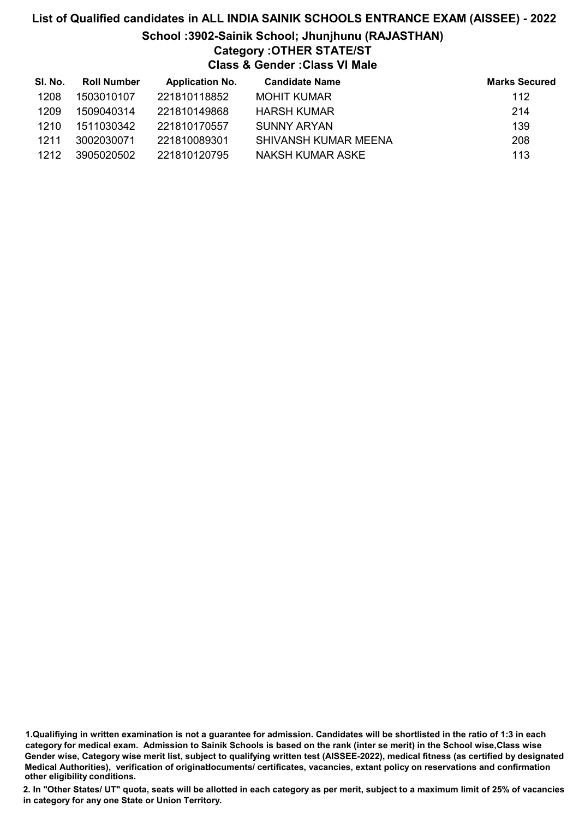## List of Qualified candidates in ALL INDIA SAINIK SCHOOLS ENTRANCE EXAM (AISSEE) - 2022 School :3902-Sainik School; Jhunjhunu (RAJASTHAN) Category :OTHER STATE/ST Class & Gender :Class VI Male

| SI. No. | Roll Number | <b>Application No.</b> | <b>Candidate Name</b> | <b>Marks Secured</b> |
|---------|-------------|------------------------|-----------------------|----------------------|
| 1208    | 1503010107  | 221810118852           | <b>MOHIT KUMAR</b>    | 112                  |
| 1209    | 1509040314  | 221810149868           | HARSH KUMAR           | 214                  |
| 1210    | 1511030342  | 221810170557           | SUNNY ARYAN           | 139                  |
| 1211    | 3002030071  | 221810089301           | SHIVANSH KUMAR MEENA  | 208                  |
| 1212    | 3905020502  | 221810120795           | NAKSH KUMAR ASKE      | 113                  |

1.Qualifiying in written examination is not a guarantee for admission. Candidates will be shortlisted in the ratio of 1:3 in each category for medical exam. Admission to Sainik Schools is based on the rank (inter se merit) in the School wise,Class wise Gender wise, Category wise merit list, subject to qualifying written test (AISSEE-2022), medical fitness (as certified by designated Medical Authorities), verification of originablocuments/ certificates, vacancies, extant policy on reservations and confirmation other eligibility conditions.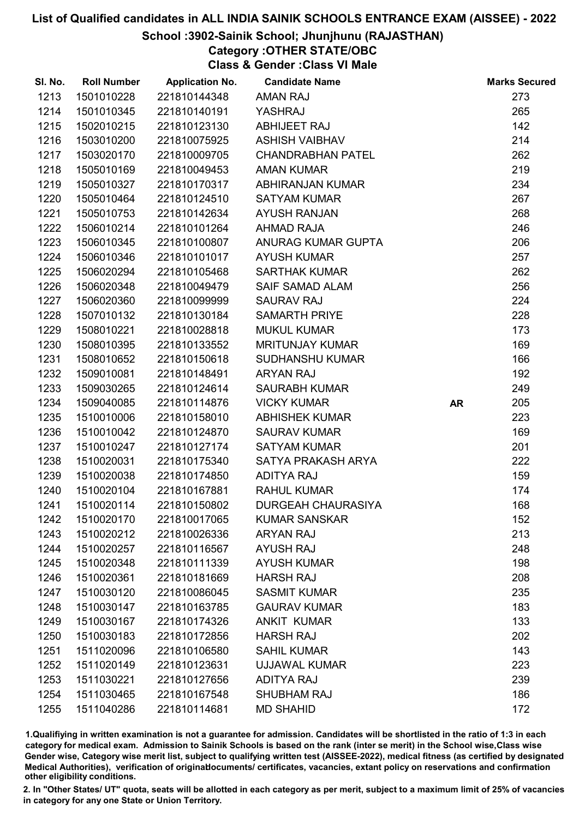### School :3902-Sainik School; Jhunjhunu (RAJASTHAN)

## Category :OTHER STATE/OBC

Class & Gender :Class VI Male

| SI. No. | <b>Roll Number</b> | <b>Application No.</b> | <b>Candidate Name</b>     |           | <b>Marks Secured</b> |
|---------|--------------------|------------------------|---------------------------|-----------|----------------------|
| 1213    | 1501010228         | 221810144348           | <b>AMAN RAJ</b>           |           | 273                  |
| 1214    | 1501010345         | 221810140191           | YASHRAJ                   |           | 265                  |
| 1215    | 1502010215         | 221810123130           | ABHIJEET RAJ              |           | 142                  |
| 1216    | 1503010200         | 221810075925           | <b>ASHISH VAIBHAV</b>     |           | 214                  |
| 1217    | 1503020170         | 221810009705           | <b>CHANDRABHAN PATEL</b>  |           | 262                  |
| 1218    | 1505010169         | 221810049453           | <b>AMAN KUMAR</b>         |           | 219                  |
| 1219    | 1505010327         | 221810170317           | ABHIRANJAN KUMAR          |           | 234                  |
| 1220    | 1505010464         | 221810124510           | <b>SATYAM KUMAR</b>       |           | 267                  |
| 1221    | 1505010753         | 221810142634           | <b>AYUSH RANJAN</b>       |           | 268                  |
| 1222    | 1506010214         | 221810101264           | <b>AHMAD RAJA</b>         |           | 246                  |
| 1223    | 1506010345         | 221810100807           | ANURAG KUMAR GUPTA        |           | 206                  |
| 1224    | 1506010346         | 221810101017           | <b>AYUSH KUMAR</b>        |           | 257                  |
| 1225    | 1506020294         | 221810105468           | <b>SARTHAK KUMAR</b>      |           | 262                  |
| 1226    | 1506020348         | 221810049479           | <b>SAIF SAMAD ALAM</b>    |           | 256                  |
| 1227    | 1506020360         | 221810099999           | <b>SAURAV RAJ</b>         |           | 224                  |
| 1228    | 1507010132         | 221810130184           | <b>SAMARTH PRIYE</b>      |           | 228                  |
| 1229    | 1508010221         | 221810028818           | <b>MUKUL KUMAR</b>        |           | 173                  |
| 1230    | 1508010395         | 221810133552           | <b>MRITUNJAY KUMAR</b>    |           | 169                  |
| 1231    | 1508010652         | 221810150618           | <b>SUDHANSHU KUMAR</b>    |           | 166                  |
| 1232    | 1509010081         | 221810148491           | <b>ARYAN RAJ</b>          |           | 192                  |
| 1233    | 1509030265         | 221810124614           | <b>SAURABH KUMAR</b>      |           | 249                  |
| 1234    | 1509040085         | 221810114876           | <b>VICKY KUMAR</b>        | <b>AR</b> | 205                  |
| 1235    | 1510010006         | 221810158010           | <b>ABHISHEK KUMAR</b>     |           | 223                  |
| 1236    | 1510010042         | 221810124870           | <b>SAURAV KUMAR</b>       |           | 169                  |
| 1237    | 1510010247         | 221810127174           | <b>SATYAM KUMAR</b>       |           | 201                  |
| 1238    | 1510020031         | 221810175340           | SATYA PRAKASH ARYA        |           | 222                  |
| 1239    | 1510020038         | 221810174850           | <b>ADITYA RAJ</b>         |           | 159                  |
| 1240    | 1510020104         | 221810167881           | <b>RAHUL KUMAR</b>        |           | 174                  |
| 1241    | 1510020114         | 221810150802           | <b>DURGEAH CHAURASIYA</b> |           | 168                  |
| 1242    | 1510020170         | 221810017065           | <b>KUMAR SANSKAR</b>      |           | 152                  |
| 1243    | 1510020212         | 221810026336           | <b>ARYAN RAJ</b>          |           | 213                  |
| 1244    | 1510020257         | 221810116567           | <b>AYUSH RAJ</b>          |           | 248                  |
| 1245    | 1510020348         | 221810111339           | <b>AYUSH KUMAR</b>        |           | 198                  |
| 1246    | 1510020361         | 221810181669           | <b>HARSH RAJ</b>          |           | 208                  |
| 1247    | 1510030120         | 221810086045           | <b>SASMIT KUMAR</b>       |           | 235                  |
| 1248    | 1510030147         | 221810163785           | <b>GAURAV KUMAR</b>       |           | 183                  |
| 1249    | 1510030167         | 221810174326           | <b>ANKIT KUMAR</b>        |           | 133                  |
| 1250    | 1510030183         | 221810172856           | <b>HARSH RAJ</b>          |           | 202                  |
| 1251    | 1511020096         | 221810106580           | <b>SAHIL KUMAR</b>        |           | 143                  |
| 1252    | 1511020149         | 221810123631           | <b>UJJAWAL KUMAR</b>      |           | 223                  |
| 1253    | 1511030221         | 221810127656           | <b>ADITYA RAJ</b>         |           | 239                  |
| 1254    | 1511030465         | 221810167548           | <b>SHUBHAM RAJ</b>        |           | 186                  |
| 1255    | 1511040286         | 221810114681           | <b>MD SHAHID</b>          |           | 172                  |

1.Qualifiying in written examination is not a guarantee for admission. Candidates will be shortlisted in the ratio of 1:3 in each category for medical exam. Admission to Sainik Schools is based on the rank (inter se merit) in the School wise,Class wise Gender wise, Category wise merit list, subject to qualifying written test (AISSEE-2022), medical fitness (as certified by designated Medical Authorities), verification of originablocuments/ certificates, vacancies, extant policy on reservations and confirmation other eligibility conditions.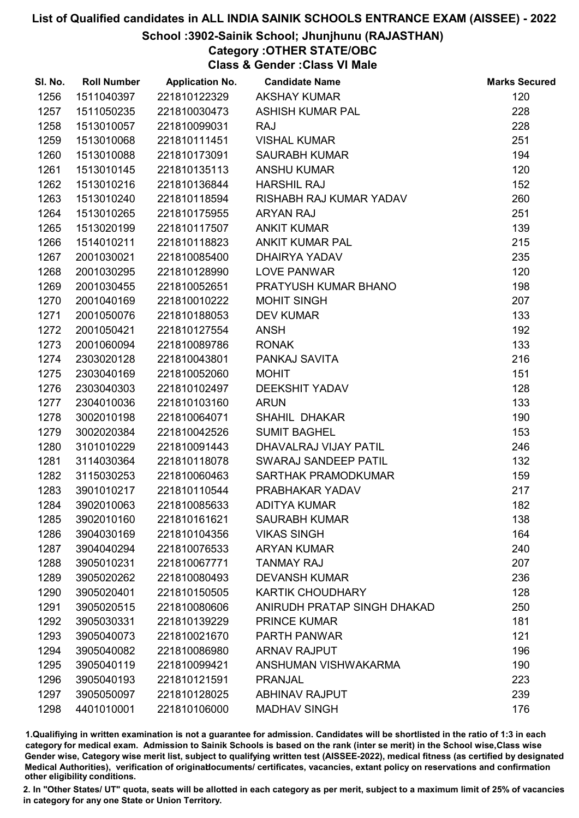### School :3902-Sainik School; Jhunjhunu (RAJASTHAN)

## Category :OTHER STATE/OBC

Class & Gender :Class VI Male

| SI. No. | <b>Roll Number</b> | <b>Application No.</b> | <b>Candidate Name</b>       | <b>Marks Secured</b> |
|---------|--------------------|------------------------|-----------------------------|----------------------|
| 1256    | 1511040397         | 221810122329           | <b>AKSHAY KUMAR</b>         | 120                  |
| 1257    | 1511050235         | 221810030473           | <b>ASHISH KUMAR PAL</b>     | 228                  |
| 1258    | 1513010057         | 221810099031           | <b>RAJ</b>                  | 228                  |
| 1259    | 1513010068         | 221810111451           | <b>VISHAL KUMAR</b>         | 251                  |
| 1260    | 1513010088         | 221810173091           | <b>SAURABH KUMAR</b>        | 194                  |
| 1261    | 1513010145         | 221810135113           | <b>ANSHU KUMAR</b>          | 120                  |
| 1262    | 1513010216         | 221810136844           | <b>HARSHIL RAJ</b>          | 152                  |
| 1263    | 1513010240         | 221810118594           | RISHABH RAJ KUMAR YADAV     | 260                  |
| 1264    | 1513010265         | 221810175955           | <b>ARYAN RAJ</b>            | 251                  |
| 1265    | 1513020199         | 221810117507           | <b>ANKIT KUMAR</b>          | 139                  |
| 1266    | 1514010211         | 221810118823           | <b>ANKIT KUMAR PAL</b>      | 215                  |
| 1267    | 2001030021         | 221810085400           | DHAIRYA YADAV               | 235                  |
| 1268    | 2001030295         | 221810128990           | LOVE PANWAR                 | 120                  |
| 1269    | 2001030455         | 221810052651           | PRATYUSH KUMAR BHANO        | 198                  |
| 1270    | 2001040169         | 221810010222           | <b>MOHIT SINGH</b>          | 207                  |
| 1271    | 2001050076         | 221810188053           | <b>DEV KUMAR</b>            | 133                  |
| 1272    | 2001050421         | 221810127554           | <b>ANSH</b>                 | 192                  |
| 1273    | 2001060094         | 221810089786           | <b>RONAK</b>                | 133                  |
| 1274    | 2303020128         | 221810043801           | PANKAJ SAVITA               | 216                  |
| 1275    | 2303040169         | 221810052060           | <b>MOHIT</b>                | 151                  |
| 1276    | 2303040303         | 221810102497           | <b>DEEKSHIT YADAV</b>       | 128                  |
| 1277    | 2304010036         | 221810103160           | <b>ARUN</b>                 | 133                  |
| 1278    | 3002010198         | 221810064071           | SHAHIL DHAKAR               | 190                  |
| 1279    | 3002020384         | 221810042526           | <b>SUMIT BAGHEL</b>         | 153                  |
| 1280    | 3101010229         | 221810091443           | DHAVALRAJ VIJAY PATIL       | 246                  |
| 1281    | 3114030364         | 221810118078           | SWARAJ SANDEEP PATIL        | 132                  |
| 1282    | 3115030253         | 221810060463           | SARTHAK PRAMODKUMAR         | 159                  |
| 1283    | 3901010217         | 221810110544           | PRABHAKAR YADAV             | 217                  |
| 1284    | 3902010063         | 221810085633           | <b>ADITYA KUMAR</b>         | 182                  |
| 1285    | 3902010160         | 221810161621           | <b>SAURABH KUMAR</b>        | 138                  |
| 1286    | 3904030169         | 221810104356           | <b>VIKAS SINGH</b>          | 164                  |
| 1287    | 3904040294         | 221810076533           | <b>ARYAN KUMAR</b>          | 240                  |
| 1288    | 3905010231         | 221810067771           | <b>TANMAY RAJ</b>           | 207                  |
| 1289    | 3905020262         | 221810080493           | <b>DEVANSH KUMAR</b>        | 236                  |
| 1290    | 3905020401         | 221810150505           | <b>KARTIK CHOUDHARY</b>     | 128                  |
| 1291    | 3905020515         | 221810080606           | ANIRUDH PRATAP SINGH DHAKAD | 250                  |
| 1292    | 3905030331         | 221810139229           | <b>PRINCE KUMAR</b>         | 181                  |
| 1293    | 3905040073         | 221810021670           | <b>PARTH PANWAR</b>         | 121                  |
| 1294    | 3905040082         | 221810086980           | <b>ARNAV RAJPUT</b>         | 196                  |
| 1295    | 3905040119         | 221810099421           | ANSHUMAN VISHWAKARMA        | 190                  |
| 1296    | 3905040193         | 221810121591           | <b>PRANJAL</b>              | 223                  |
| 1297    | 3905050097         | 221810128025           | <b>ABHINAV RAJPUT</b>       | 239                  |
| 1298    | 4401010001         | 221810106000           | <b>MADHAV SINGH</b>         | 176                  |

1.Qualifiying in written examination is not a guarantee for admission. Candidates will be shortlisted in the ratio of 1:3 in each category for medical exam. Admission to Sainik Schools is based on the rank (inter se merit) in the School wise,Class wise Gender wise, Category wise merit list, subject to qualifying written test (AISSEE-2022), medical fitness (as certified by designated Medical Authorities), verification of originablocuments/ certificates, vacancies, extant policy on reservations and confirmation other eligibility conditions.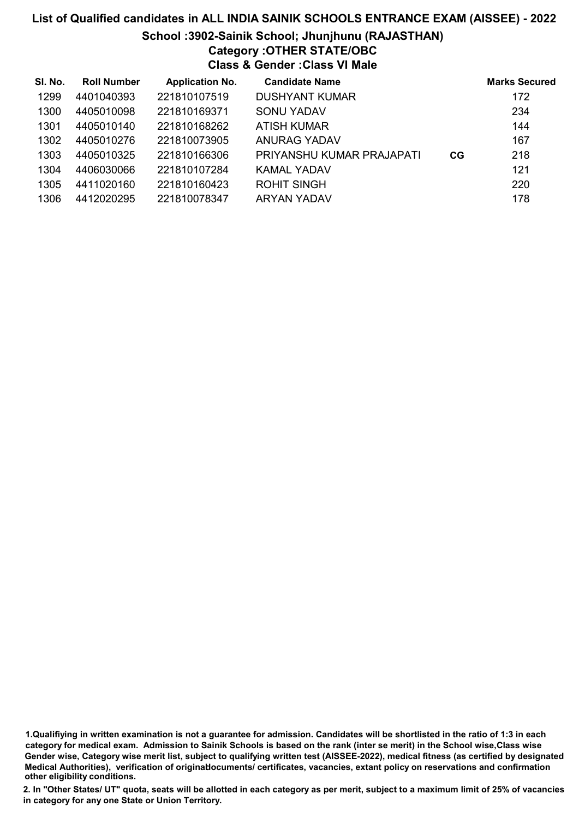### List of Qualified candidates in ALL INDIA SAINIK SCHOOLS ENTRANCE EXAM (AISSEE) - 2022 School :3902-Sainik School; Jhunjhunu (RAJASTHAN) Category :OTHER STATE/OBC Class & Gender :Class VI Male

| SI. No. | <b>Roll Number</b> | <b>Application No.</b> | <b>Candidate Name</b>     |    | <b>Marks Secured</b> |
|---------|--------------------|------------------------|---------------------------|----|----------------------|
| 1299    | 4401040393         | 221810107519           | <b>DUSHYANT KUMAR</b>     |    | 172                  |
| 1300    | 4405010098         | 221810169371           | SONU YADAV                |    | 234                  |
| 1301    | 4405010140         | 221810168262           | ATISH KUMAR               |    | 144                  |
| 1302    | 4405010276         | 221810073905           | ANURAG YADAV              |    | 167                  |
| 1303    | 4405010325         | 221810166306           | PRIYANSHU KUMAR PRAJAPATI | CG | 218                  |
| 1304    | 4406030066         | 221810107284           | KAMAL YADAV               |    | 121                  |
| 1305    | 4411020160         | 221810160423           | <b>ROHIT SINGH</b>        |    | 220                  |
| 1306    | 4412020295         | 221810078347           | ARYAN YADAV               |    | 178                  |

1.Qualifiying in written examination is not a guarantee for admission. Candidates will be shortlisted in the ratio of 1:3 in each category for medical exam. Admission to Sainik Schools is based on the rank (inter se merit) in the School wise,Class wise Gender wise, Category wise merit list, subject to qualifying written test (AISSEE-2022), medical fitness (as certified by designated Medical Authorities), verification of originablocuments/ certificates, vacancies, extant policy on reservations and confirmation other eligibility conditions.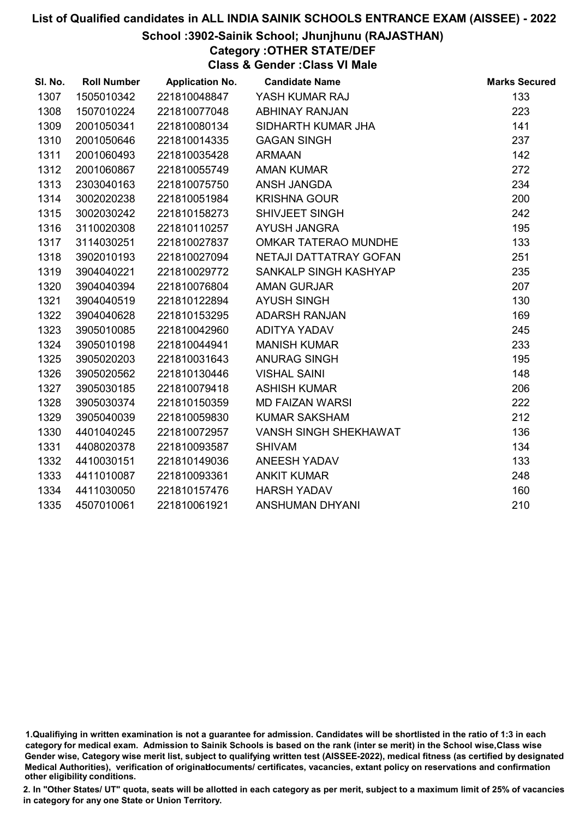### School :3902-Sainik School; Jhunjhunu (RAJASTHAN)

## Category :OTHER STATE/DEF

Class & Gender :Class VI Male

| SI. No. | <b>Roll Number</b> | <b>Application No.</b> | <b>Candidate Name</b>        | <b>Marks Secured</b> |
|---------|--------------------|------------------------|------------------------------|----------------------|
| 1307    | 1505010342         | 221810048847           | YASH KUMAR RAJ               | 133                  |
| 1308    | 1507010224         | 221810077048           | <b>ABHINAY RANJAN</b>        | 223                  |
| 1309    | 2001050341         | 221810080134           | SIDHARTH KUMAR JHA           | 141                  |
| 1310    | 2001050646         | 221810014335           | <b>GAGAN SINGH</b>           | 237                  |
| 1311    | 2001060493         | 221810035428           | <b>ARMAAN</b>                | 142                  |
| 1312    | 2001060867         | 221810055749           | <b>AMAN KUMAR</b>            | 272                  |
| 1313    | 2303040163         | 221810075750           | ANSH JANGDA                  | 234                  |
| 1314    | 3002020238         | 221810051984           | <b>KRISHNA GOUR</b>          | 200                  |
| 1315    | 3002030242         | 221810158273           | SHIVJEET SINGH               | 242                  |
| 1316    | 3110020308         | 221810110257           | <b>AYUSH JANGRA</b>          | 195                  |
| 1317    | 3114030251         | 221810027837           | OMKAR TATERAO MUNDHE         | 133                  |
| 1318    | 3902010193         | 221810027094           | NETAJI DATTATRAY GOFAN       | 251                  |
| 1319    | 3904040221         | 221810029772           | SANKALP SINGH KASHYAP        | 235                  |
| 1320    | 3904040394         | 221810076804           | <b>AMAN GURJAR</b>           | 207                  |
| 1321    | 3904040519         | 221810122894           | <b>AYUSH SINGH</b>           | 130                  |
| 1322    | 3904040628         | 221810153295           | <b>ADARSH RANJAN</b>         | 169                  |
| 1323    | 3905010085         | 221810042960           | ADITYA YADAV                 | 245                  |
| 1324    | 3905010198         | 221810044941           | <b>MANISH KUMAR</b>          | 233                  |
| 1325    | 3905020203         | 221810031643           | <b>ANURAG SINGH</b>          | 195                  |
| 1326    | 3905020562         | 221810130446           | <b>VISHAL SAINI</b>          | 148                  |
| 1327    | 3905030185         | 221810079418           | <b>ASHISH KUMAR</b>          | 206                  |
| 1328    | 3905030374         | 221810150359           | <b>MD FAIZAN WARSI</b>       | 222                  |
| 1329    | 3905040039         | 221810059830           | <b>KUMAR SAKSHAM</b>         | 212                  |
| 1330    | 4401040245         | 221810072957           | <b>VANSH SINGH SHEKHAWAT</b> | 136                  |
| 1331    | 4408020378         | 221810093587           | <b>SHIVAM</b>                | 134                  |
| 1332    | 4410030151         | 221810149036           | <b>ANEESH YADAV</b>          | 133                  |
| 1333    | 4411010087         | 221810093361           | <b>ANKIT KUMAR</b>           | 248                  |
| 1334    | 4411030050         | 221810157476           | <b>HARSH YADAV</b>           | 160                  |
| 1335    | 4507010061         | 221810061921           | ANSHUMAN DHYANI              | 210                  |

<sup>1.</sup>Qualifiying in written examination is not a guarantee for admission. Candidates will be shortlisted in the ratio of 1:3 in each category for medical exam. Admission to Sainik Schools is based on the rank (inter se merit) in the School wise,Class wise Gender wise, Category wise merit list, subject to qualifying written test (AISSEE-2022), medical fitness (as certified by designated Medical Authorities), verification of originablocuments/ certificates, vacancies, extant policy on reservations and confirmation other eligibility conditions.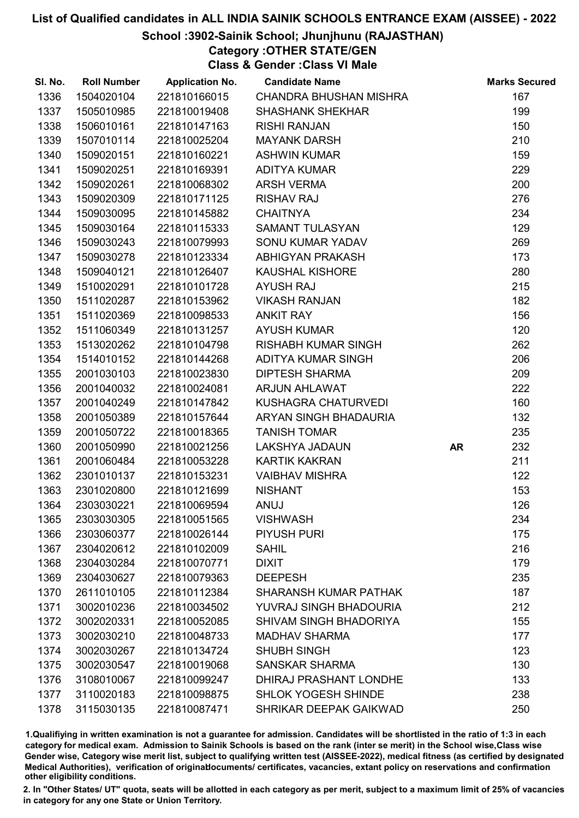### School :3902-Sainik School; Jhunjhunu (RAJASTHAN)

Category :OTHER STATE/GEN

Class & Gender :Class VI Male

| SI. No. | <b>Roll Number</b> | <b>Application No.</b> | <b>Candidate Name</b>         |           | <b>Marks Secured</b> |
|---------|--------------------|------------------------|-------------------------------|-----------|----------------------|
| 1336    | 1504020104         | 221810166015           | <b>CHANDRA BHUSHAN MISHRA</b> |           | 167                  |
| 1337    | 1505010985         | 221810019408           | <b>SHASHANK SHEKHAR</b>       |           | 199                  |
| 1338    | 1506010161         | 221810147163           | <b>RISHI RANJAN</b>           |           | 150                  |
| 1339    | 1507010114         | 221810025204           | <b>MAYANK DARSH</b>           |           | 210                  |
| 1340    | 1509020151         | 221810160221           | <b>ASHWIN KUMAR</b>           |           | 159                  |
| 1341    | 1509020251         | 221810169391           | <b>ADITYA KUMAR</b>           |           | 229                  |
| 1342    | 1509020261         | 221810068302           | <b>ARSH VERMA</b>             |           | 200                  |
| 1343    | 1509020309         | 221810171125           | <b>RISHAV RAJ</b>             |           | 276                  |
| 1344    | 1509030095         | 221810145882           | <b>CHAITNYA</b>               |           | 234                  |
| 1345    | 1509030164         | 221810115333           | <b>SAMANT TULASYAN</b>        |           | 129                  |
| 1346    | 1509030243         | 221810079993           | SONU KUMAR YADAV              |           | 269                  |
| 1347    | 1509030278         | 221810123334           | ABHIGYAN PRAKASH              |           | 173                  |
| 1348    | 1509040121         | 221810126407           | <b>KAUSHAL KISHORE</b>        |           | 280                  |
| 1349    | 1510020291         | 221810101728           | <b>AYUSH RAJ</b>              |           | 215                  |
| 1350    | 1511020287         | 221810153962           | <b>VIKASH RANJAN</b>          |           | 182                  |
| 1351    | 1511020369         | 221810098533           | <b>ANKIT RAY</b>              |           | 156                  |
| 1352    | 1511060349         | 221810131257           | <b>AYUSH KUMAR</b>            |           | 120                  |
| 1353    | 1513020262         | 221810104798           | <b>RISHABH KUMAR SINGH</b>    |           | 262                  |
| 1354    | 1514010152         | 221810144268           | <b>ADITYA KUMAR SINGH</b>     |           | 206                  |
| 1355    | 2001030103         | 221810023830           | <b>DIPTESH SHARMA</b>         |           | 209                  |
| 1356    | 2001040032         | 221810024081           | <b>ARJUN AHLAWAT</b>          |           | 222                  |
| 1357    | 2001040249         | 221810147842           | KUSHAGRA CHATURVEDI           |           | 160                  |
| 1358    | 2001050389         | 221810157644           | ARYAN SINGH BHADAURIA         |           | 132                  |
| 1359    | 2001050722         | 221810018365           | <b>TANISH TOMAR</b>           |           | 235                  |
| 1360    | 2001050990         | 221810021256           | LAKSHYA JADAUN                | <b>AR</b> | 232                  |
| 1361    | 2001060484         | 221810053228           | <b>KARTIK KAKRAN</b>          |           | 211                  |
| 1362    | 2301010137         | 221810153231           | <b>VAIBHAV MISHRA</b>         |           | 122                  |
| 1363    | 2301020800         | 221810121699           | <b>NISHANT</b>                |           | 153                  |
| 1364    | 2303030221         | 221810069594           | ANUJ                          |           | 126                  |
| 1365    | 2303030305         | 221810051565           | <b>VISHWASH</b>               |           | 234                  |
| 1366    | 2303060377         | 221810026144           | <b>PIYUSH PURI</b>            |           | 175                  |
| 1367    | 2304020612         | 221810102009           | <b>SAHIL</b>                  |           | 216                  |
| 1368    | 2304030284         | 221810070771           | <b>DIXIT</b>                  |           | 179                  |
| 1369    | 2304030627         | 221810079363           | <b>DEEPESH</b>                |           | 235                  |
| 1370    | 2611010105         | 221810112384           | <b>SHARANSH KUMAR PATHAK</b>  |           | 187                  |
| 1371    | 3002010236         | 221810034502           | YUVRAJ SINGH BHADOURIA        |           | 212                  |
| 1372    | 3002020331         | 221810052085           | SHIVAM SINGH BHADORIYA        |           | 155                  |
| 1373    | 3002030210         | 221810048733           | <b>MADHAV SHARMA</b>          |           | 177                  |
| 1374    | 3002030267         | 221810134724           | <b>SHUBH SINGH</b>            |           | 123                  |
| 1375    | 3002030547         | 221810019068           | <b>SANSKAR SHARMA</b>         |           | 130                  |
| 1376    | 3108010067         | 221810099247           | DHIRAJ PRASHANT LONDHE        |           | 133                  |
| 1377    | 3110020183         | 221810098875           | <b>SHLOK YOGESH SHINDE</b>    |           | 238                  |
| 1378    | 3115030135         | 221810087471           | SHRIKAR DEEPAK GAIKWAD        |           | 250                  |

1.Qualifiying in written examination is not a guarantee for admission. Candidates will be shortlisted in the ratio of 1:3 in each category for medical exam. Admission to Sainik Schools is based on the rank (inter se merit) in the School wise,Class wise Gender wise, Category wise merit list, subject to qualifying written test (AISSEE-2022), medical fitness (as certified by designated Medical Authorities), verification of originablocuments/ certificates, vacancies, extant policy on reservations and confirmation other eligibility conditions.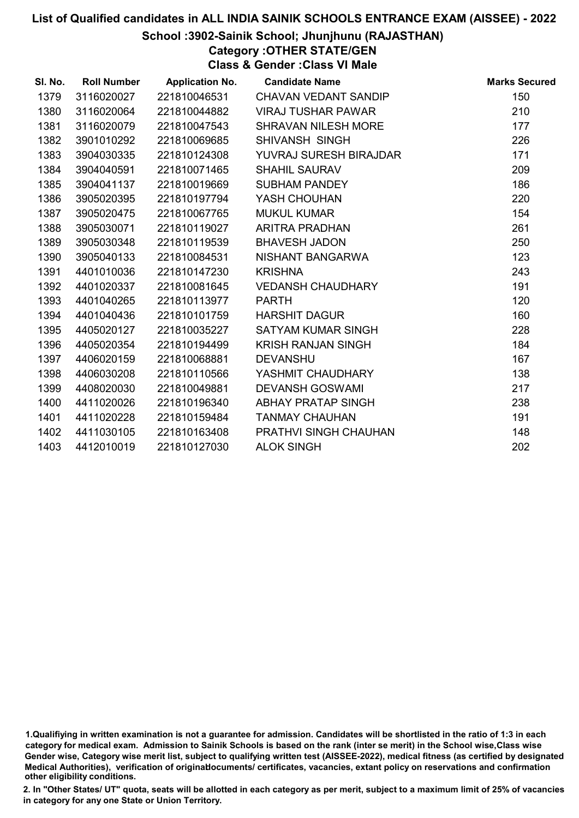### School :3902-Sainik School; Jhunjhunu (RAJASTHAN)

Category :OTHER STATE/GEN

Class & Gender :Class VI Male

| SI. No. | <b>Roll Number</b> | <b>Application No.</b> | <b>Candidate Name</b>         | <b>Marks Secured</b> |
|---------|--------------------|------------------------|-------------------------------|----------------------|
| 1379    | 3116020027         | 221810046531           | CHAVAN VEDANT SANDIP          | 150                  |
| 1380    | 3116020064         | 221810044882           | <b>VIRAJ TUSHAR PAWAR</b>     | 210                  |
| 1381    | 3116020079         | 221810047543           | <b>SHRAVAN NILESH MORE</b>    | 177                  |
| 1382    | 3901010292         | 221810069685           | SHIVANSH SINGH                | 226                  |
| 1383    | 3904030335         | 221810124308           | <b>YUVRAJ SURESH BIRAJDAR</b> | 171                  |
| 1384    | 3904040591         | 221810071465           | <b>SHAHIL SAURAV</b>          | 209                  |
| 1385    | 3904041137         | 221810019669           | <b>SUBHAM PANDEY</b>          | 186                  |
| 1386    | 3905020395         | 221810197794           | YASH CHOUHAN                  | 220                  |
| 1387    | 3905020475         | 221810067765           | <b>MUKUL KUMAR</b>            | 154                  |
| 1388    | 3905030071         | 221810119027           | <b>ARITRA PRADHAN</b>         | 261                  |
| 1389    | 3905030348         | 221810119539           | <b>BHAVESH JADON</b>          | 250                  |
| 1390    | 3905040133         | 221810084531           | NISHANT BANGARWA              | 123                  |
| 1391    | 4401010036         | 221810147230           | <b>KRISHNA</b>                | 243                  |
| 1392    | 4401020337         | 221810081645           | <b>VEDANSH CHAUDHARY</b>      | 191                  |
| 1393    | 4401040265         | 221810113977           | <b>PARTH</b>                  | 120                  |
| 1394    | 4401040436         | 221810101759           | <b>HARSHIT DAGUR</b>          | 160                  |
| 1395    | 4405020127         | 221810035227           | <b>SATYAM KUMAR SINGH</b>     | 228                  |
| 1396    | 4405020354         | 221810194499           | <b>KRISH RANJAN SINGH</b>     | 184                  |
| 1397    | 4406020159         | 221810068881           | <b>DEVANSHU</b>               | 167                  |
| 1398    | 4406030208         | 221810110566           | YASHMIT CHAUDHARY             | 138                  |
| 1399    | 4408020030         | 221810049881           | <b>DEVANSH GOSWAMI</b>        | 217                  |
| 1400    | 4411020026         | 221810196340           | ABHAY PRATAP SINGH            | 238                  |
| 1401    | 4411020228         | 221810159484           | <b>TANMAY CHAUHAN</b>         | 191                  |
| 1402    | 4411030105         | 221810163408           | PRATHVI SINGH CHAUHAN         | 148                  |
| 1403    | 4412010019         | 221810127030           | <b>ALOK SINGH</b>             | 202                  |

1.Qualifiying in written examination is not a guarantee for admission. Candidates will be shortlisted in the ratio of 1:3 in each category for medical exam. Admission to Sainik Schools is based on the rank (inter se merit) in the School wise,Class wise Gender wise, Category wise merit list, subject to qualifying written test (AISSEE-2022), medical fitness (as certified by designated Medical Authorities), verification of originablocuments/ certificates, vacancies, extant policy on reservations and confirmation other eligibility conditions.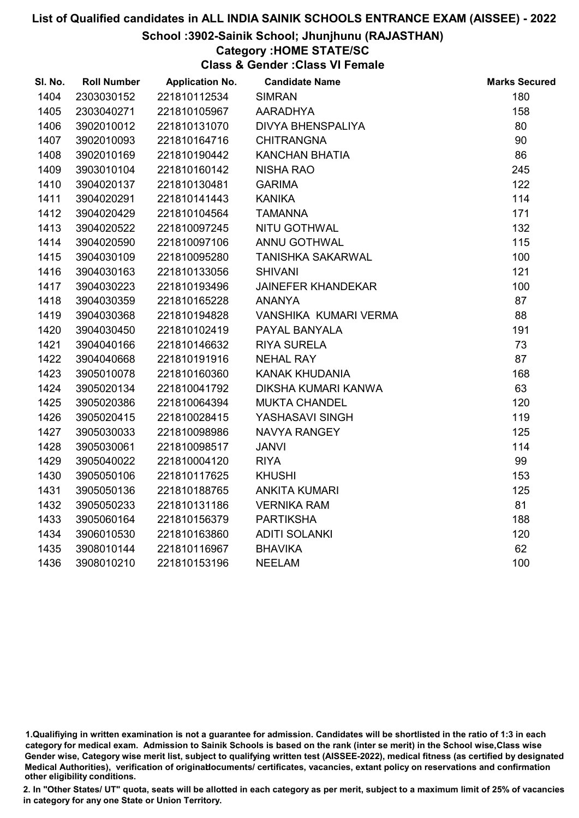### School :3902-Sainik School; Jhunjhunu (RAJASTHAN)

### Category :HOME STATE/SC

Class & Gender :Class VI Female

| SI. No. | <b>Roll Number</b> | <b>Application No.</b> | <b>Candidate Name</b>     | <b>Marks Secured</b> |
|---------|--------------------|------------------------|---------------------------|----------------------|
| 1404    | 2303030152         | 221810112534           | <b>SIMRAN</b>             | 180                  |
| 1405    | 2303040271         | 221810105967           | <b>AARADHYA</b>           | 158                  |
| 1406    | 3902010012         | 221810131070           | <b>DIVYA BHENSPALIYA</b>  | 80                   |
| 1407    | 3902010093         | 221810164716           | <b>CHITRANGNA</b>         | 90                   |
| 1408    | 3902010169         | 221810190442           | <b>KANCHAN BHATIA</b>     | 86                   |
| 1409    | 3903010104         | 221810160142           | <b>NISHA RAO</b>          | 245                  |
| 1410    | 3904020137         | 221810130481           | <b>GARIMA</b>             | 122                  |
| 1411    | 3904020291         | 221810141443           | <b>KANIKA</b>             | 114                  |
| 1412    | 3904020429         | 221810104564           | <b>TAMANNA</b>            | 171                  |
| 1413    | 3904020522         | 221810097245           | NITU GOTHWAL              | 132                  |
| 1414    | 3904020590         | 221810097106           | ANNU GOTHWAL              | 115                  |
| 1415    | 3904030109         | 221810095280           | <b>TANISHKA SAKARWAL</b>  | 100                  |
| 1416    | 3904030163         | 221810133056           | <b>SHIVANI</b>            | 121                  |
| 1417    | 3904030223         | 221810193496           | <b>JAINEFER KHANDEKAR</b> | 100                  |
| 1418    | 3904030359         | 221810165228           | <b>ANANYA</b>             | 87                   |
| 1419    | 3904030368         | 221810194828           | VANSHIKA KUMARI VERMA     | 88                   |
| 1420    | 3904030450         | 221810102419           | PAYAL BANYALA             | 191                  |
| 1421    | 3904040166         | 221810146632           | <b>RIYA SURELA</b>        | 73                   |
| 1422    | 3904040668         | 221810191916           | <b>NEHAL RAY</b>          | 87                   |
| 1423    | 3905010078         | 221810160360           | <b>KANAK KHUDANIA</b>     | 168                  |
| 1424    | 3905020134         | 221810041792           | DIKSHA KUMARI KANWA       | 63                   |
| 1425    | 3905020386         | 221810064394           | <b>MUKTA CHANDEL</b>      | 120                  |
| 1426    | 3905020415         | 221810028415           | YASHASAVI SINGH           | 119                  |
| 1427    | 3905030033         | 221810098986           | NAVYA RANGEY              | 125                  |
| 1428    | 3905030061         | 221810098517           | <b>JANVI</b>              | 114                  |
| 1429    | 3905040022         | 221810004120           | <b>RIYA</b>               | 99                   |
| 1430    | 3905050106         | 221810117625           | <b>KHUSHI</b>             | 153                  |
| 1431    | 3905050136         | 221810188765           | <b>ANKITA KUMARI</b>      | 125                  |
| 1432    | 3905050233         | 221810131186           | <b>VERNIKA RAM</b>        | 81                   |
| 1433    | 3905060164         | 221810156379           | <b>PARTIKSHA</b>          | 188                  |
| 1434    | 3906010530         | 221810163860           | <b>ADITI SOLANKI</b>      | 120                  |
| 1435    | 3908010144         | 221810116967           | <b>BHAVIKA</b>            | 62                   |
| 1436    | 3908010210         | 221810153196           | <b>NEELAM</b>             | 100                  |
|         |                    |                        |                           |                      |

<sup>1.</sup>Qualifiying in written examination is not a guarantee for admission. Candidates will be shortlisted in the ratio of 1:3 in each category for medical exam. Admission to Sainik Schools is based on the rank (inter se merit) in the School wise,Class wise Gender wise, Category wise merit list, subject to qualifying written test (AISSEE-2022), medical fitness (as certified by designated Medical Authorities), verification of originablocuments/ certificates, vacancies, extant policy on reservations and confirmation other eligibility conditions.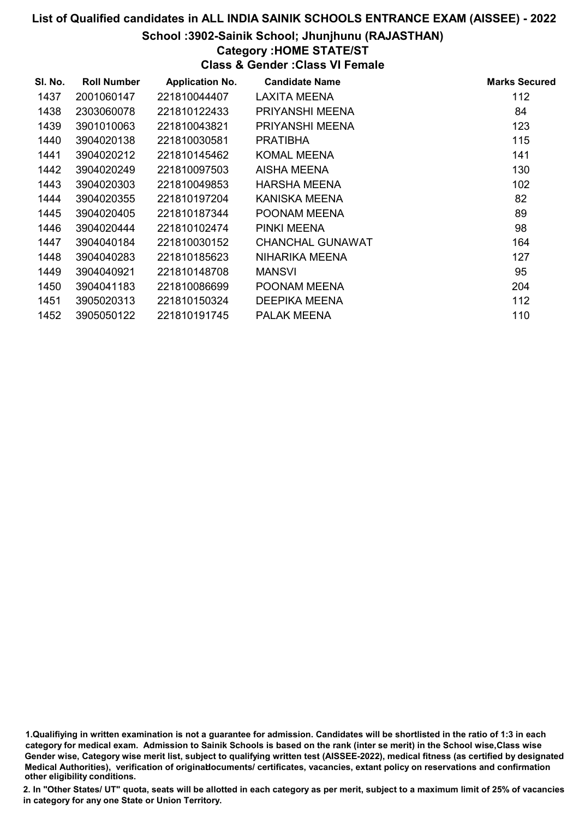### School :3902-Sainik School; Jhunjhunu (RAJASTHAN)

### Category :HOME STATE/ST

Class & Gender :Class VI Female

| SI. No. | <b>Roll Number</b> | <b>Application No.</b> | <b>Candidate Name</b>   | <b>Marks Secured</b> |
|---------|--------------------|------------------------|-------------------------|----------------------|
| 1437    | 2001060147         | 221810044407           | LAXITA MEENA            | 112                  |
| 1438    | 2303060078         | 221810122433           | PRIYANSHI MEENA         | 84                   |
| 1439    | 3901010063         | 221810043821           | PRIYANSHI MEENA         | 123                  |
| 1440    | 3904020138         | 221810030581           | <b>PRATIBHA</b>         | 115                  |
| 1441    | 3904020212         | 221810145462           | KOMAL MEENA             | 141                  |
| 1442    | 3904020249         | 221810097503           | AISHA MEENA             | 130                  |
| 1443    | 3904020303         | 221810049853           | HARSHA MEENA            | 102                  |
| 1444    | 3904020355         | 221810197204           | KANISKA MEENA           | 82                   |
| 1445    | 3904020405         | 221810187344           | POONAM MEENA            | 89                   |
| 1446    | 3904020444         | 221810102474           | PINKI MEENA             | 98                   |
| 1447    | 3904040184         | 221810030152           | <b>CHANCHAL GUNAWAT</b> | 164                  |
| 1448    | 3904040283         | 221810185623           | NIHARIKA MEENA          | 127                  |
| 1449    | 3904040921         | 221810148708           | <b>MANSVI</b>           | 95                   |
| 1450    | 3904041183         | 221810086699           | POONAM MEENA            | 204                  |
| 1451    | 3905020313         | 221810150324           | <b>DEEPIKA MEENA</b>    | 112                  |
| 1452    | 3905050122         | 221810191745           | <b>PALAK MEENA</b>      | 110                  |

<sup>1.</sup>Qualifiying in written examination is not a guarantee for admission. Candidates will be shortlisted in the ratio of 1:3 in each category for medical exam. Admission to Sainik Schools is based on the rank (inter se merit) in the School wise,Class wise Gender wise, Category wise merit list, subject to qualifying written test (AISSEE-2022), medical fitness (as certified by designated Medical Authorities), verification of originablocuments/ certificates, vacancies, extant policy on reservations and confirmation other eligibility conditions.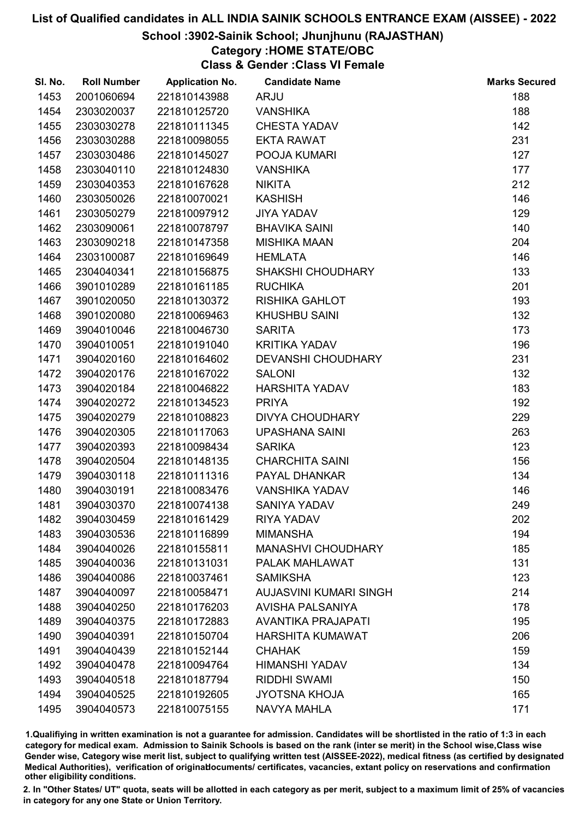### School :3902-Sainik School; Jhunjhunu (RAJASTHAN)

### Category :HOME STATE/OBC

Class & Gender :Class VI Female

| SI. No. | <b>Roll Number</b> | <b>Application No.</b> | <b>Candidate Name</b>         | <b>Marks Secured</b> |
|---------|--------------------|------------------------|-------------------------------|----------------------|
| 1453    | 2001060694         | 221810143988           | <b>ARJU</b>                   | 188                  |
| 1454    | 2303020037         | 221810125720           | <b>VANSHIKA</b>               | 188                  |
| 1455    | 2303030278         | 221810111345           | <b>CHESTA YADAV</b>           | 142                  |
| 1456    | 2303030288         | 221810098055           | <b>EKTA RAWAT</b>             | 231                  |
| 1457    | 2303030486         | 221810145027           | POOJA KUMARI                  | 127                  |
| 1458    | 2303040110         | 221810124830           | <b>VANSHIKA</b>               | 177                  |
| 1459    | 2303040353         | 221810167628           | <b>NIKITA</b>                 | 212                  |
| 1460    | 2303050026         | 221810070021           | <b>KASHISH</b>                | 146                  |
| 1461    | 2303050279         | 221810097912           | <b>JIYA YADAV</b>             | 129                  |
| 1462    | 2303090061         | 221810078797           | <b>BHAVIKA SAINI</b>          | 140                  |
| 1463    | 2303090218         | 221810147358           | <b>MISHIKA MAAN</b>           | 204                  |
| 1464    | 2303100087         | 221810169649           | <b>HEMLATA</b>                | 146                  |
| 1465    | 2304040341         | 221810156875           | <b>SHAKSHI CHOUDHARY</b>      | 133                  |
| 1466    | 3901010289         | 221810161185           | <b>RUCHIKA</b>                | 201                  |
| 1467    | 3901020050         | 221810130372           | <b>RISHIKA GAHLOT</b>         | 193                  |
| 1468    | 3901020080         | 221810069463           | <b>KHUSHBU SAINI</b>          | 132                  |
| 1469    | 3904010046         | 221810046730           | <b>SARITA</b>                 | 173                  |
| 1470    | 3904010051         | 221810191040           | <b>KRITIKA YADAV</b>          | 196                  |
| 1471    | 3904020160         | 221810164602           | <b>DEVANSHI CHOUDHARY</b>     | 231                  |
| 1472    | 3904020176         | 221810167022           | <b>SALONI</b>                 | 132                  |
| 1473    | 3904020184         | 221810046822           | <b>HARSHITA YADAV</b>         | 183                  |
| 1474    | 3904020272         | 221810134523           | <b>PRIYA</b>                  | 192                  |
| 1475    | 3904020279         | 221810108823           | <b>DIVYA CHOUDHARY</b>        | 229                  |
| 1476    | 3904020305         | 221810117063           | <b>UPASHANA SAINI</b>         | 263                  |
| 1477    | 3904020393         | 221810098434           | <b>SARIKA</b>                 | 123                  |
| 1478    | 3904020504         | 221810148135           | <b>CHARCHITA SAINI</b>        | 156                  |
| 1479    | 3904030118         | 221810111316           | PAYAL DHANKAR                 | 134                  |
| 1480    | 3904030191         | 221810083476           | <b>VANSHIKA YADAV</b>         | 146                  |
| 1481    | 3904030370         | 221810074138           | <b>SANIYA YADAV</b>           | 249                  |
| 1482    | 3904030459         | 221810161429           | <b>RIYA YADAV</b>             | 202                  |
| 1483    | 3904030536         | 221810116899           | <b>MIMANSHA</b>               | 194                  |
| 1484    | 3904040026         | 221810155811           | <b>MANASHVI CHOUDHARY</b>     | 185                  |
| 1485    | 3904040036         | 221810131031           | PALAK MAHLAWAT                | 131                  |
| 1486    | 3904040086         | 221810037461           | <b>SAMIKSHA</b>               | 123                  |
| 1487    | 3904040097         | 221810058471           | <b>AUJASVINI KUMARI SINGH</b> | 214                  |
| 1488    | 3904040250         | 221810176203           | <b>AVISHA PALSANIYA</b>       | 178                  |
| 1489    | 3904040375         | 221810172883           | <b>AVANTIKA PRAJAPATI</b>     | 195                  |
| 1490    | 3904040391         | 221810150704           | <b>HARSHITA KUMAWAT</b>       | 206                  |
| 1491    | 3904040439         | 221810152144           | <b>CHAHAK</b>                 | 159                  |
| 1492    | 3904040478         | 221810094764           | <b>HIMANSHI YADAV</b>         | 134                  |
| 1493    | 3904040518         | 221810187794           | <b>RIDDHI SWAMI</b>           | 150                  |
| 1494    | 3904040525         | 221810192605           | JYOTSNA KHOJA                 | 165                  |
| 1495    | 3904040573         | 221810075155           | <b>NAVYA MAHLA</b>            | 171                  |

1.Qualifiying in written examination is not a guarantee for admission. Candidates will be shortlisted in the ratio of 1:3 in each category for medical exam. Admission to Sainik Schools is based on the rank (inter se merit) in the School wise,Class wise Gender wise, Category wise merit list, subject to qualifying written test (AISSEE-2022), medical fitness (as certified by designated Medical Authorities), verification of originablocuments/ certificates, vacancies, extant policy on reservations and confirmation other eligibility conditions.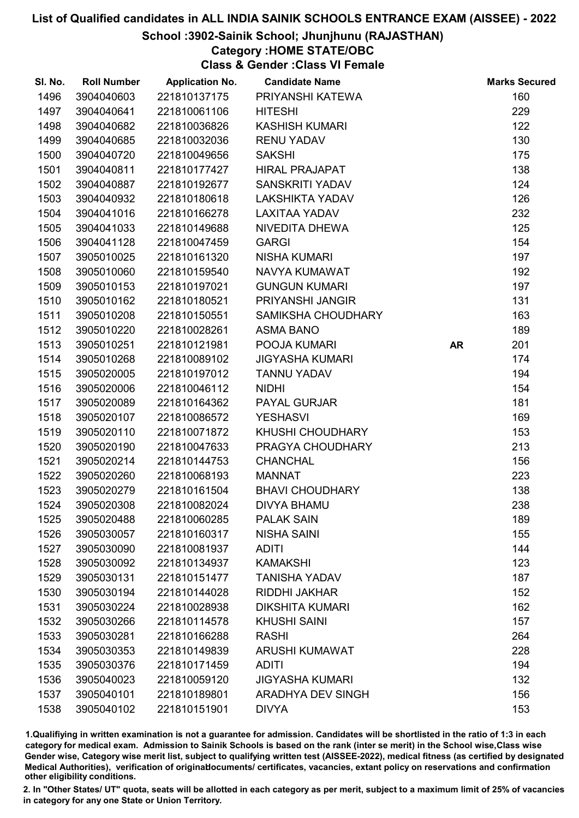### School :3902-Sainik School; Jhunjhunu (RAJASTHAN)

### Category :HOME STATE/OBC

Class & Gender :Class VI Female

| SI. No. | <b>Roll Number</b> | <b>Application No.</b> | <b>Candidate Name</b>    |           | <b>Marks Secured</b> |
|---------|--------------------|------------------------|--------------------------|-----------|----------------------|
| 1496    | 3904040603         | 221810137175           | PRIYANSHI KATEWA         |           | 160                  |
| 1497    | 3904040641         | 221810061106           | <b>HITESHI</b>           |           | 229                  |
| 1498    | 3904040682         | 221810036826           | <b>KASHISH KUMARI</b>    |           | 122                  |
| 1499    | 3904040685         | 221810032036           | <b>RENU YADAV</b>        |           | 130                  |
| 1500    | 3904040720         | 221810049656           | <b>SAKSHI</b>            |           | 175                  |
| 1501    | 3904040811         | 221810177427           | <b>HIRAL PRAJAPAT</b>    |           | 138                  |
| 1502    | 3904040887         | 221810192677           | <b>SANSKRITI YADAV</b>   |           | 124                  |
| 1503    | 3904040932         | 221810180618           | <b>LAKSHIKTA YADAV</b>   |           | 126                  |
| 1504    | 3904041016         | 221810166278           | <b>LAXITAA YADAV</b>     |           | 232                  |
| 1505    | 3904041033         | 221810149688           | NIVEDITA DHEWA           |           | 125                  |
| 1506    | 3904041128         | 221810047459           | <b>GARGI</b>             |           | 154                  |
| 1507    | 3905010025         | 221810161320           | <b>NISHA KUMARI</b>      |           | 197                  |
| 1508    | 3905010060         | 221810159540           | NAVYA KUMAWAT            |           | 192                  |
| 1509    | 3905010153         | 221810197021           | <b>GUNGUN KUMARI</b>     |           | 197                  |
| 1510    | 3905010162         | 221810180521           | PRIYANSHI JANGIR         |           | 131                  |
| 1511    | 3905010208         | 221810150551           | SAMIKSHA CHOUDHARY       |           | 163                  |
| 1512    | 3905010220         | 221810028261           | <b>ASMA BANO</b>         |           | 189                  |
| 1513    | 3905010251         | 221810121981           | POOJA KUMARI             | <b>AR</b> | 201                  |
| 1514    | 3905010268         | 221810089102           | <b>JIGYASHA KUMARI</b>   |           | 174                  |
| 1515    | 3905020005         | 221810197012           | <b>TANNU YADAV</b>       |           | 194                  |
| 1516    | 3905020006         | 221810046112           | <b>NIDHI</b>             |           | 154                  |
| 1517    | 3905020089         | 221810164362           | PAYAL GURJAR             |           | 181                  |
| 1518    | 3905020107         | 221810086572           | <b>YESHASVI</b>          |           | 169                  |
| 1519    | 3905020110         | 221810071872           | KHUSHI CHOUDHARY         |           | 153                  |
| 1520    | 3905020190         | 221810047633           | PRAGYA CHOUDHARY         |           | 213                  |
| 1521    | 3905020214         | 221810144753           | <b>CHANCHAL</b>          |           | 156                  |
| 1522    | 3905020260         | 221810068193           | <b>MANNAT</b>            |           | 223                  |
| 1523    | 3905020279         | 221810161504           | <b>BHAVI CHOUDHARY</b>   |           | 138                  |
| 1524    | 3905020308         | 221810082024           | <b>DIVYA BHAMU</b>       |           | 238                  |
| 1525    | 3905020488         | 221810060285           | <b>PALAK SAIN</b>        |           | 189                  |
| 1526    | 3905030057         | 221810160317           | <b>NISHA SAINI</b>       |           | 155                  |
| 1527    | 3905030090         | 221810081937           | <b>ADITI</b>             |           | 144                  |
| 1528    | 3905030092         | 221810134937           | <b>KAMAKSHI</b>          |           | 123                  |
| 1529    | 3905030131         | 221810151477           | <b>TANISHA YADAV</b>     |           | 187                  |
| 1530    | 3905030194         | 221810144028           | RIDDHI JAKHAR            |           | 152                  |
| 1531    | 3905030224         | 221810028938           | <b>DIKSHITA KUMARI</b>   |           | 162                  |
| 1532    | 3905030266         | 221810114578           | <b>KHUSHI SAINI</b>      |           | 157                  |
| 1533    | 3905030281         | 221810166288           | <b>RASHI</b>             |           | 264                  |
| 1534    | 3905030353         | 221810149839           | <b>ARUSHI KUMAWAT</b>    |           | 228                  |
| 1535    | 3905030376         | 221810171459           | <b>ADITI</b>             |           | 194                  |
| 1536    | 3905040023         | 221810059120           | <b>JIGYASHA KUMARI</b>   |           | 132                  |
| 1537    | 3905040101         | 221810189801           | <b>ARADHYA DEV SINGH</b> |           | 156                  |
| 1538    | 3905040102         | 221810151901           | <b>DIVYA</b>             |           | 153                  |

1.Qualifiying in written examination is not a guarantee for admission. Candidates will be shortlisted in the ratio of 1:3 in each category for medical exam. Admission to Sainik Schools is based on the rank (inter se merit) in the School wise,Class wise Gender wise, Category wise merit list, subject to qualifying written test (AISSEE-2022), medical fitness (as certified by designated Medical Authorities), verification of originablocuments/ certificates, vacancies, extant policy on reservations and confirmation other eligibility conditions.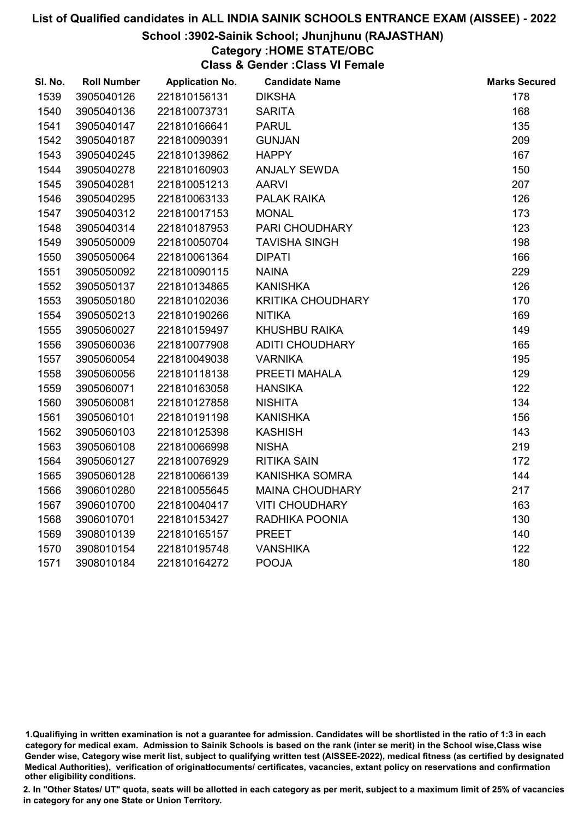### School :3902-Sainik School; Jhunjhunu (RAJASTHAN)

### Category :HOME STATE/OBC

Class & Gender :Class VI Female

| SI. No. | <b>Roll Number</b> | <b>Application No.</b> | <b>Candidate Name</b>    | <b>Marks Secured</b> |
|---------|--------------------|------------------------|--------------------------|----------------------|
| 1539    | 3905040126         | 221810156131           | <b>DIKSHA</b>            | 178                  |
| 1540    | 3905040136         | 221810073731           | <b>SARITA</b>            | 168                  |
| 1541    | 3905040147         | 221810166641           | <b>PARUL</b>             | 135                  |
| 1542    | 3905040187         | 221810090391           | <b>GUNJAN</b>            | 209                  |
| 1543    | 3905040245         | 221810139862           | <b>HAPPY</b>             | 167                  |
| 1544    | 3905040278         | 221810160903           | <b>ANJALY SEWDA</b>      | 150                  |
| 1545    | 3905040281         | 221810051213           | <b>AARVI</b>             | 207                  |
| 1546    | 3905040295         | 221810063133           | PALAK RAIKA              | 126                  |
| 1547    | 3905040312         | 221810017153           | <b>MONAL</b>             | 173                  |
| 1548    | 3905040314         | 221810187953           | PARI CHOUDHARY           | 123                  |
| 1549    | 3905050009         | 221810050704           | <b>TAVISHA SINGH</b>     | 198                  |
| 1550    | 3905050064         | 221810061364           | <b>DIPATI</b>            | 166                  |
| 1551    | 3905050092         | 221810090115           | <b>NAINA</b>             | 229                  |
| 1552    | 3905050137         | 221810134865           | <b>KANISHKA</b>          | 126                  |
| 1553    | 3905050180         | 221810102036           | <b>KRITIKA CHOUDHARY</b> | 170                  |
| 1554    | 3905050213         | 221810190266           | <b>NITIKA</b>            | 169                  |
| 1555    | 3905060027         | 221810159497           | <b>KHUSHBU RAIKA</b>     | 149                  |
| 1556    | 3905060036         | 221810077908           | <b>ADITI CHOUDHARY</b>   | 165                  |
| 1557    | 3905060054         | 221810049038           | <b>VARNIKA</b>           | 195                  |
| 1558    | 3905060056         | 221810118138           | PREETI MAHALA            | 129                  |
| 1559    | 3905060071         | 221810163058           | <b>HANSIKA</b>           | 122                  |
| 1560    | 3905060081         | 221810127858           | <b>NISHITA</b>           | 134                  |
| 1561    | 3905060101         | 221810191198           | <b>KANISHKA</b>          | 156                  |
| 1562    | 3905060103         | 221810125398           | <b>KASHISH</b>           | 143                  |
| 1563    | 3905060108         | 221810066998           | <b>NISHA</b>             | 219                  |
| 1564    | 3905060127         | 221810076929           | <b>RITIKA SAIN</b>       | 172                  |
| 1565    | 3905060128         | 221810066139           | KANISHKA SOMRA           | 144                  |
| 1566    | 3906010280         | 221810055645           | <b>MAINA CHOUDHARY</b>   | 217                  |
| 1567    | 3906010700         | 221810040417           | <b>VITI CHOUDHARY</b>    | 163                  |
| 1568    | 3906010701         | 221810153427           | RADHIKA POONIA           | 130                  |
| 1569    | 3908010139         | 221810165157           | <b>PREET</b>             | 140                  |
| 1570    | 3908010154         | 221810195748           | <b>VANSHIKA</b>          | 122                  |
| 1571    | 3908010184         | 221810164272           | <b>POOJA</b>             | 180                  |
|         |                    |                        |                          |                      |

<sup>1.</sup>Qualifiying in written examination is not a guarantee for admission. Candidates will be shortlisted in the ratio of 1:3 in each category for medical exam. Admission to Sainik Schools is based on the rank (inter se merit) in the School wise,Class wise Gender wise, Category wise merit list, subject to qualifying written test (AISSEE-2022), medical fitness (as certified by designated Medical Authorities), verification of originablocuments/ certificates, vacancies, extant policy on reservations and confirmation other eligibility conditions.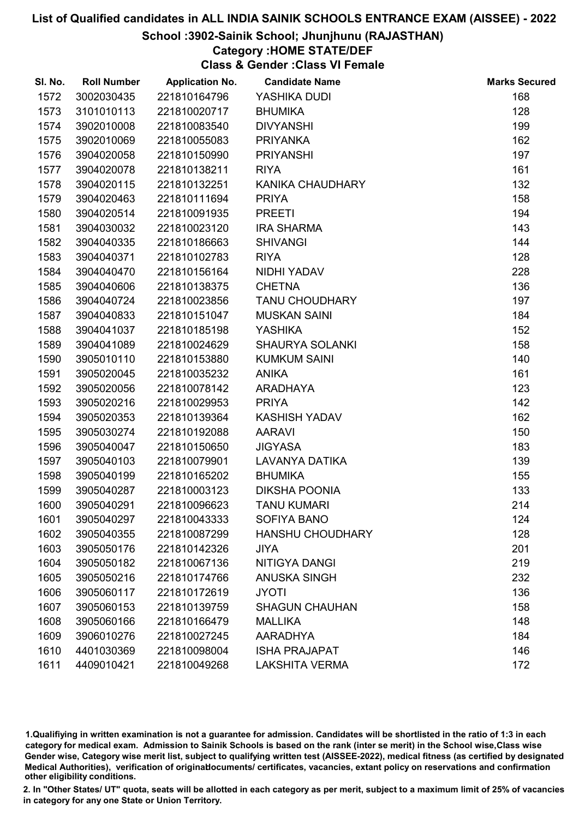### School :3902-Sainik School; Jhunjhunu (RAJASTHAN)

### Category :HOME STATE/DEF

Class & Gender :Class VI Female

| SI. No. | <b>Roll Number</b> | <b>Application No.</b> | <b>Candidate Name</b>   | <b>Marks Secured</b> |
|---------|--------------------|------------------------|-------------------------|----------------------|
| 1572    | 3002030435         | 221810164796           | YASHIKA DUDI            | 168                  |
| 1573    | 3101010113         | 221810020717           | <b>BHUMIKA</b>          | 128                  |
| 1574    | 3902010008         | 221810083540           | <b>DIVYANSHI</b>        | 199                  |
| 1575    | 3902010069         | 221810055083           | <b>PRIYANKA</b>         | 162                  |
| 1576    | 3904020058         | 221810150990           | <b>PRIYANSHI</b>        | 197                  |
| 1577    | 3904020078         | 221810138211           | <b>RIYA</b>             | 161                  |
| 1578    | 3904020115         | 221810132251           | KANIKA CHAUDHARY        | 132                  |
| 1579    | 3904020463         | 221810111694           | <b>PRIYA</b>            | 158                  |
| 1580    | 3904020514         | 221810091935           | <b>PREETI</b>           | 194                  |
| 1581    | 3904030032         | 221810023120           | <b>IRA SHARMA</b>       | 143                  |
| 1582    | 3904040335         | 221810186663           | <b>SHIVANGI</b>         | 144                  |
| 1583    | 3904040371         | 221810102783           | <b>RIYA</b>             | 128                  |
| 1584    | 3904040470         | 221810156164           | NIDHI YADAV             | 228                  |
| 1585    | 3904040606         | 221810138375           | <b>CHETNA</b>           | 136                  |
| 1586    | 3904040724         | 221810023856           | <b>TANU CHOUDHARY</b>   | 197                  |
| 1587    | 3904040833         | 221810151047           | <b>MUSKAN SAINI</b>     | 184                  |
| 1588    | 3904041037         | 221810185198           | <b>YASHIKA</b>          | 152                  |
| 1589    | 3904041089         | 221810024629           | <b>SHAURYA SOLANKI</b>  | 158                  |
| 1590    | 3905010110         | 221810153880           | <b>KUMKUM SAINI</b>     | 140                  |
| 1591    | 3905020045         | 221810035232           | <b>ANIKA</b>            | 161                  |
| 1592    | 3905020056         | 221810078142           | ARADHAYA                | 123                  |
| 1593    | 3905020216         | 221810029953           | <b>PRIYA</b>            | 142                  |
| 1594    | 3905020353         | 221810139364           | <b>KASHISH YADAV</b>    | 162                  |
| 1595    | 3905030274         | 221810192088           | <b>AARAVI</b>           | 150                  |
| 1596    | 3905040047         | 221810150650           | <b>JIGYASA</b>          | 183                  |
| 1597    | 3905040103         | 221810079901           | <b>LAVANYA DATIKA</b>   | 139                  |
| 1598    | 3905040199         | 221810165202           | <b>BHUMIKA</b>          | 155                  |
| 1599    | 3905040287         | 221810003123           | <b>DIKSHA POONIA</b>    | 133                  |
| 1600    | 3905040291         | 221810096623           | <b>TANU KUMARI</b>      | 214                  |
| 1601    | 3905040297         | 221810043333           | <b>SOFIYA BANO</b>      | 124                  |
| 1602    | 3905040355         | 221810087299           | <b>HANSHU CHOUDHARY</b> | 128                  |
| 1603    | 3905050176         | 221810142326           | <b>JIYA</b>             | 201                  |
| 1604    | 3905050182         | 221810067136           | NITIGYA DANGI           | 219                  |
| 1605    | 3905050216         | 221810174766           | <b>ANUSKA SINGH</b>     | 232                  |
| 1606    | 3905060117         | 221810172619           | <b>JYOTI</b>            | 136                  |
| 1607    | 3905060153         | 221810139759           | <b>SHAGUN CHAUHAN</b>   | 158                  |
| 1608    | 3905060166         | 221810166479           | <b>MALLIKA</b>          | 148                  |
| 1609    | 3906010276         | 221810027245           | <b>AARADHYA</b>         | 184                  |
| 1610    | 4401030369         | 221810098004           | <b>ISHA PRAJAPAT</b>    | 146                  |
| 1611    | 4409010421         | 221810049268           | <b>LAKSHITA VERMA</b>   | 172                  |

1.Qualifiying in written examination is not a guarantee for admission. Candidates will be shortlisted in the ratio of 1:3 in each category for medical exam. Admission to Sainik Schools is based on the rank (inter se merit) in the School wise,Class wise Gender wise, Category wise merit list, subject to qualifying written test (AISSEE-2022), medical fitness (as certified by designated Medical Authorities), verification of originablocuments/ certificates, vacancies, extant policy on reservations and confirmation other eligibility conditions.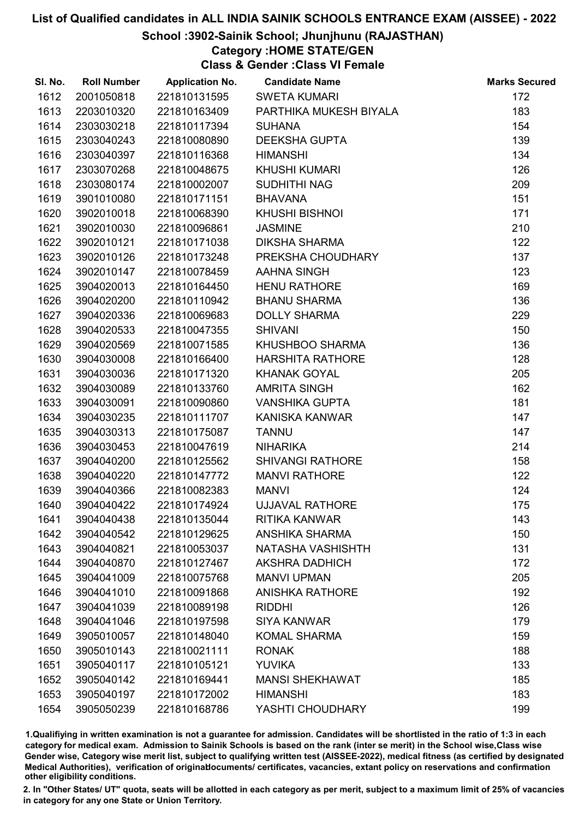### School :3902-Sainik School; Jhunjhunu (RAJASTHAN)

### Category :HOME STATE/GEN

Class & Gender :Class VI Female

| SI. No. | <b>Roll Number</b> | <b>Application No.</b> | <b>Candidate Name</b>   | <b>Marks Secured</b> |
|---------|--------------------|------------------------|-------------------------|----------------------|
| 1612    | 2001050818         | 221810131595           | <b>SWETA KUMARI</b>     | 172                  |
| 1613    | 2203010320         | 221810163409           | PARTHIKA MUKESH BIYALA  | 183                  |
| 1614    | 2303030218         | 221810117394           | <b>SUHANA</b>           | 154                  |
| 1615    | 2303040243         | 221810080890           | <b>DEEKSHA GUPTA</b>    | 139                  |
| 1616    | 2303040397         | 221810116368           | <b>HIMANSHI</b>         | 134                  |
| 1617    | 2303070268         | 221810048675           | <b>KHUSHI KUMARI</b>    | 126                  |
| 1618    | 2303080174         | 221810002007           | <b>SUDHITHI NAG</b>     | 209                  |
| 1619    | 3901010080         | 221810171151           | <b>BHAVANA</b>          | 151                  |
| 1620    | 3902010018         | 221810068390           | <b>KHUSHI BISHNOI</b>   | 171                  |
| 1621    | 3902010030         | 221810096861           | <b>JASMINE</b>          | 210                  |
| 1622    | 3902010121         | 221810171038           | <b>DIKSHA SHARMA</b>    | 122                  |
| 1623    | 3902010126         | 221810173248           | PREKSHA CHOUDHARY       | 137                  |
| 1624    | 3902010147         | 221810078459           | AAHNA SINGH             | 123                  |
| 1625    | 3904020013         | 221810164450           | <b>HENU RATHORE</b>     | 169                  |
| 1626    | 3904020200         | 221810110942           | <b>BHANU SHARMA</b>     | 136                  |
| 1627    | 3904020336         | 221810069683           | <b>DOLLY SHARMA</b>     | 229                  |
| 1628    | 3904020533         | 221810047355           | <b>SHIVANI</b>          | 150                  |
| 1629    | 3904020569         | 221810071585           | KHUSHBOO SHARMA         | 136                  |
| 1630    | 3904030008         | 221810166400           | <b>HARSHITA RATHORE</b> | 128                  |
| 1631    | 3904030036         | 221810171320           | <b>KHANAK GOYAL</b>     | 205                  |
| 1632    | 3904030089         | 221810133760           | <b>AMRITA SINGH</b>     | 162                  |
| 1633    | 3904030091         | 221810090860           | <b>VANSHIKA GUPTA</b>   | 181                  |
| 1634    | 3904030235         | 221810111707           | KANISKA KANWAR          | 147                  |
| 1635    | 3904030313         | 221810175087           | <b>TANNU</b>            | 147                  |
| 1636    | 3904030453         | 221810047619           | <b>NIHARIKA</b>         | 214                  |
| 1637    | 3904040200         | 221810125562           | <b>SHIVANGI RATHORE</b> | 158                  |
| 1638    | 3904040220         | 221810147772           | <b>MANVI RATHORE</b>    | 122                  |
| 1639    | 3904040366         | 221810082383           | <b>MANVI</b>            | 124                  |
| 1640    | 3904040422         | 221810174924           | <b>UJJAVAL RATHORE</b>  | 175                  |
| 1641    | 3904040438         | 221810135044           | <b>RITIKA KANWAR</b>    | 143                  |
| 1642    | 3904040542         | 221810129625           | <b>ANSHIKA SHARMA</b>   | 150                  |
| 1643    | 3904040821         | 221810053037           | NATASHA VASHISHTH       | 131                  |
| 1644    | 3904040870         | 221810127467           | <b>AKSHRA DADHICH</b>   | 172                  |
| 1645    | 3904041009         | 221810075768           | <b>MANVI UPMAN</b>      | 205                  |
| 1646    | 3904041010         | 221810091868           | <b>ANISHKA RATHORE</b>  | 192                  |
| 1647    | 3904041039         | 221810089198           | <b>RIDDHI</b>           | 126                  |
| 1648    | 3904041046         | 221810197598           | <b>SIYA KANWAR</b>      | 179                  |
| 1649    | 3905010057         | 221810148040           | <b>KOMAL SHARMA</b>     | 159                  |
| 1650    | 3905010143         | 221810021111           | <b>RONAK</b>            | 188                  |
| 1651    | 3905040117         | 221810105121           | <b>YUVIKA</b>           | 133                  |
| 1652    | 3905040142         | 221810169441           | <b>MANSI SHEKHAWAT</b>  | 185                  |
| 1653    | 3905040197         | 221810172002           | <b>HIMANSHI</b>         | 183                  |
| 1654    | 3905050239         | 221810168786           | YASHTI CHOUDHARY        | 199                  |

1.Qualifiying in written examination is not a guarantee for admission. Candidates will be shortlisted in the ratio of 1:3 in each category for medical exam. Admission to Sainik Schools is based on the rank (inter se merit) in the School wise,Class wise Gender wise, Category wise merit list, subject to qualifying written test (AISSEE-2022), medical fitness (as certified by designated Medical Authorities), verification of originablocuments/ certificates, vacancies, extant policy on reservations and confirmation other eligibility conditions.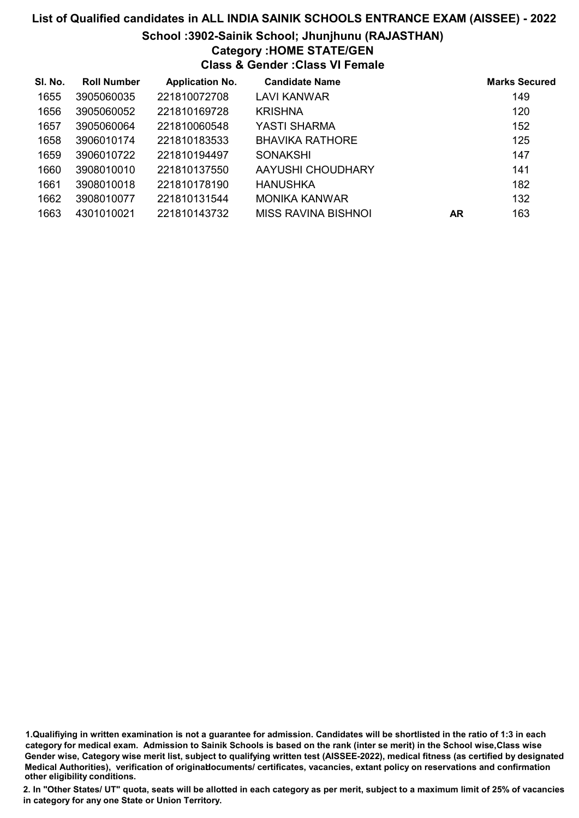## List of Qualified candidates in ALL INDIA SAINIK SCHOOLS ENTRANCE EXAM (AISSEE) - 2022 School :3902-Sainik School; Jhunjhunu (RAJASTHAN) Category :HOME STATE/GEN

Class & Gender :Class VI Female

| SI. No. | <b>Roll Number</b> | <b>Application No.</b> | <b>Candidate Name</b>  |           | <b>Marks Secured</b> |
|---------|--------------------|------------------------|------------------------|-----------|----------------------|
| 1655    | 3905060035         | 221810072708           | LAVI KANWAR            |           | 149                  |
| 1656    | 3905060052         | 221810169728           | <b>KRISHNA</b>         |           | 120                  |
| 1657    | 3905060064         | 221810060548           | YASTI SHARMA           |           | 152                  |
| 1658    | 3906010174         | 221810183533           | <b>BHAVIKA RATHORE</b> |           | 125                  |
| 1659    | 3906010722         | 221810194497           | <b>SONAKSHI</b>        |           | 147                  |
| 1660    | 3908010010         | 221810137550           | AAYUSHI CHOUDHARY      |           | 141                  |
| 1661    | 3908010018         | 221810178190           | <b>HANUSHKA</b>        |           | 182                  |
| 1662    | 3908010077         | 221810131544           | <b>MONIKA KANWAR</b>   |           | 132                  |
| 1663    | 4301010021         | 221810143732           | MISS RAVINA BISHNOI    | <b>AR</b> | 163                  |

<sup>1.</sup>Qualifiying in written examination is not a guarantee for admission. Candidates will be shortlisted in the ratio of 1:3 in each category for medical exam. Admission to Sainik Schools is based on the rank (inter se merit) in the School wise,Class wise Gender wise, Category wise merit list, subject to qualifying written test (AISSEE-2022), medical fitness (as certified by designated Medical Authorities), verification of originablocuments/ certificates, vacancies, extant policy on reservations and confirmation other eligibility conditions.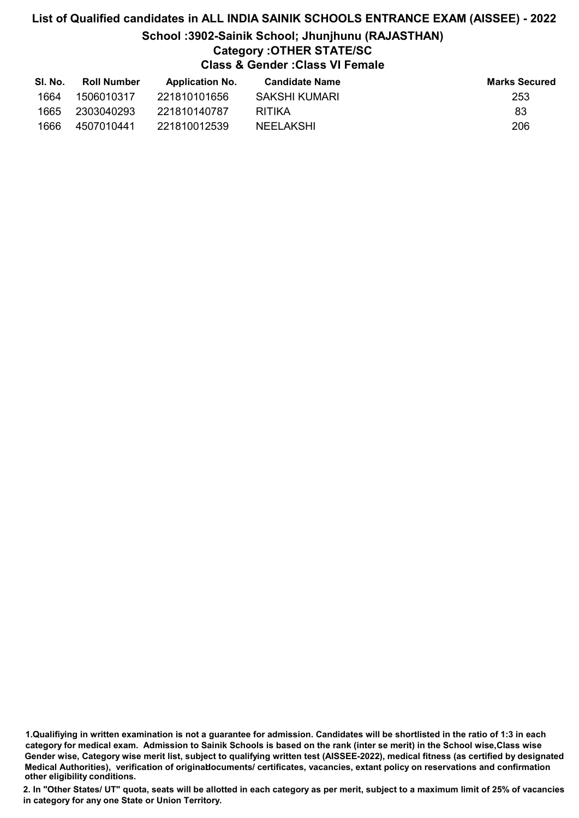## List of Qualified candidates in ALL INDIA SAINIK SCHOOLS ENTRANCE EXAM (AISSEE) - 2022 School :3902-Sainik School; Jhunjhunu (RAJASTHAN) Category :OTHER STATE/SC Class & Gender :Class VI Female

| SI. No. | <b>Roll Number</b> | <b>Application No.</b> | <b>Candidate Name</b> | <b>Marks Secured</b> |
|---------|--------------------|------------------------|-----------------------|----------------------|
| 1664    | 1506010317         | 221810101656           | SAKSHI KUMARI         | 253                  |
| 1665    | 2303040293         | 221810140787           | RITIKA                | 83                   |
| 1666    | 4507010441         | 221810012539           | NEELAKSHI             | 206                  |

1.Qualifiying in written examination is not a guarantee for admission. Candidates will be shortlisted in the ratio of 1:3 in each category for medical exam. Admission to Sainik Schools is based on the rank (inter se merit) in the School wise,Class wise Gender wise, Category wise merit list, subject to qualifying written test (AISSEE-2022), medical fitness (as certified by designated Medical Authorities), verification of originablocuments/ certificates, vacancies, extant policy on reservations and confirmation other eligibility conditions.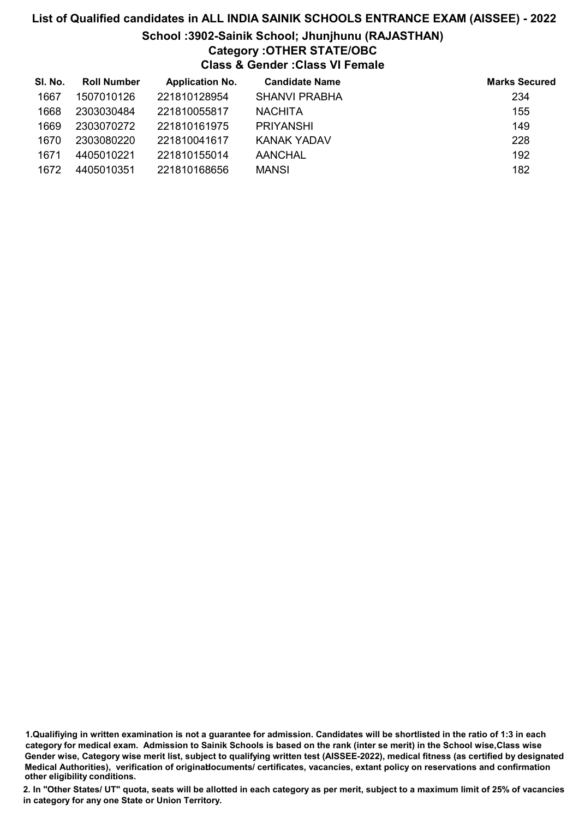### School :3902-Sainik School; Jhunjhunu (RAJASTHAN)

### Category :OTHER STATE/OBC

Class & Gender :Class VI Female

| SI. No. | <b>Roll Number</b> | <b>Application No.</b> | <b>Candidate Name</b> | <b>Marks Secured</b> |
|---------|--------------------|------------------------|-----------------------|----------------------|
| 1667    | 1507010126         | 221810128954           | <b>SHANVI PRABHA</b>  | 234                  |
| 1668    | 2303030484         | 221810055817           | <b>NACHITA</b>        | 155                  |
| 1669    | 2303070272         | 221810161975           | <b>PRIYANSHI</b>      | 149                  |
| 1670    | 2303080220         | 221810041617           | KANAK YADAV           | 228                  |
| 1671    | 4405010221         | 221810155014           | AANCHAL               | 192                  |
| 1672    | 4405010351         | 221810168656           | <b>MANSI</b>          | 182                  |

1.Qualifiying in written examination is not a guarantee for admission. Candidates will be shortlisted in the ratio of 1:3 in each category for medical exam. Admission to Sainik Schools is based on the rank (inter se merit) in the School wise,Class wise Gender wise, Category wise merit list, subject to qualifying written test (AISSEE-2022), medical fitness (as certified by designated Medical Authorities), verification of originablocuments/ certificates, vacancies, extant policy on reservations and confirmation other eligibility conditions.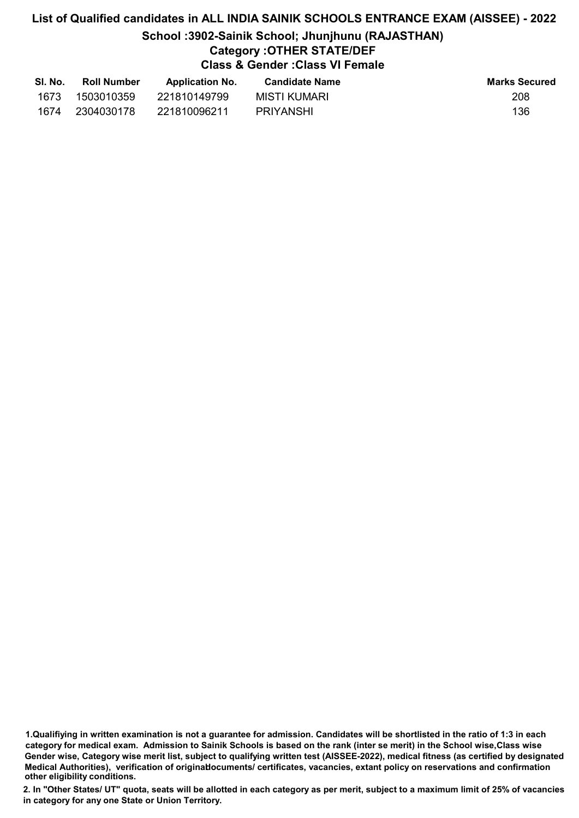# School :3902-Sainik School; Jhunjhunu (RAJASTHAN)

## Category :OTHER STATE/DEF

Class & Gender :Class VI Female

| SI. No. | <b>Roll Number</b> | <b>Application No.</b> | <b>Candidate Name</b> | <b>Marks Secured</b> |
|---------|--------------------|------------------------|-----------------------|----------------------|
| 1673    | 1503010359         | 221810149799           | MISTI KUMARI          | 208                  |
| 1674    | 2304030178         | 221810096211           | PRIYANSHI             | 136                  |

<sup>1.</sup>Qualifiying in written examination is not a guarantee for admission. Candidates will be shortlisted in the ratio of 1:3 in each category for medical exam. Admission to Sainik Schools is based on the rank (inter se merit) in the School wise,Class wise Gender wise, Category wise merit list, subject to qualifying written test (AISSEE-2022), medical fitness (as certified by designated Medical Authorities), verification of originablocuments/ certificates, vacancies, extant policy on reservations and confirmation other eligibility conditions.